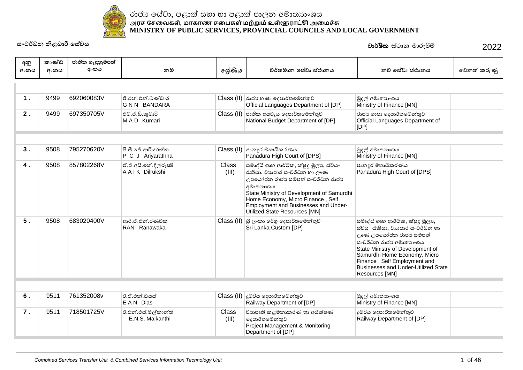

| අනු  | කාණ්ඩ | ජාතික හැඳුනුම්පත් |                                            |                       |                                                                                                                                                                                                                                                                                                  |                                                                                                                                                                                                                                                                                            |             |
|------|-------|-------------------|--------------------------------------------|-----------------------|--------------------------------------------------------------------------------------------------------------------------------------------------------------------------------------------------------------------------------------------------------------------------------------------------|--------------------------------------------------------------------------------------------------------------------------------------------------------------------------------------------------------------------------------------------------------------------------------------------|-------------|
| අංකය | අංකය  | අංකය              | නම                                         | ලශ්ණිය                | වර්තමාන සේවා ස්ථානය                                                                                                                                                                                                                                                                              | නව සේවා ස්ථානය                                                                                                                                                                                                                                                                             | වෙනත් කරුණු |
|      |       |                   |                                            |                       |                                                                                                                                                                                                                                                                                                  |                                                                                                                                                                                                                                                                                            |             |
| 1.   | 9499  | 692060083V        | ජී.එන්.එන්.බණ්ඩාර<br><b>GNN BANDARA</b>    |                       | $\textsf{Class}\left(\textsf{II}\right)$ රාජා භාෂා දෙපාර්තමේන්තුව<br>Official Languages Department of [DP]                                                                                                                                                                                       | මුදල් අමාතාහංශය<br>Ministry of Finance [MN]                                                                                                                                                                                                                                                |             |
| 2.   | 9499  | 697350705V        | එම්.ඒ.ඩී.කුමාරි<br>MAD Kumari              |                       | Class (II) ජාතික අයවැය දෙපාර්තමේන්තුව<br>National Budget Department of [DP]                                                                                                                                                                                                                      | රාජා හාෂා දෙපාර්තමේන්තුව<br>Official Languages Department of<br>[DP]                                                                                                                                                                                                                       |             |
|      |       |                   |                                            |                       |                                                                                                                                                                                                                                                                                                  |                                                                                                                                                                                                                                                                                            |             |
| 3.   | 9508  | 795270620V        | පී.සී.ජේ.ආරියරත්න<br>P C J Ariyarathna     | Class (II)            | පානදූර මහාධිකරණය<br>Panadura High Court of [DPS]                                                                                                                                                                                                                                                 | මුදල් අමාතාහංශය<br>Ministry of Finance [MN]                                                                                                                                                                                                                                                |             |
| 4.   | 9508  | 857802268V        | ඒ.ඒ.අයි.කේ.දිල්රුක්ෂි<br>A A I K Dilrukshi | <b>Class</b><br>(III) | සමෘද්ධි ගෘහ ආර්ථික, ක්ෂුදු මූලා ,ස්වයං<br>රැකියා, වාහපාර සංවර්ධන හා ඌණ<br>උපයෝජන රාජා සම්පත් සංවර්ධන රාජා<br>අමාතාහංශ <b>ය</b><br>State Ministry of Development of Samurdhi<br>Home Economy, Micro Finance, Self<br>Employment and Businesses and Under-<br><b>Utilized State Resources [MN]</b> | පානදූර මහාධිකරණය<br>Panadura High Court of [DPS]                                                                                                                                                                                                                                           |             |
| 5.   | 9508  | 683020400V        | ආර්.ඒ.එන්.රණවක<br>RAN Ranawaka             |                       | Class (II) ශූී ලංකා රේගු දෙපාර්තමේන්තුව<br>Sri Lanka Custom [DP]                                                                                                                                                                                                                                 | සමෘද්ධි ගෘහ ආර්ථික, ක්ෂුදු මූලා,<br>ස්වයං රැකියා, වාහපාර සංවර්ධන හා<br>ඌණ උපයෝජන රාජා සම්පත්<br>සංවර්ධන රාජා අමාතාහංශය<br>State Ministry of Development of<br>Samurdhi Home Economy, Micro<br>Finance, Self Employment and<br><b>Businesses and Under-Utilized State</b><br>Resources [MN] |             |
|      |       |                   |                                            |                       |                                                                                                                                                                                                                                                                                                  |                                                                                                                                                                                                                                                                                            |             |
| 6.   | 9511  | 761352008v        | ඊ.ඒ.එන්.ඩයස්<br>E A N Dias                 |                       | $\textsf{Class}\left(\textsf{II}\right)$ දූම්රිය දෙපාර්තමේන්තුව<br>Railway Department of [DP]                                                                                                                                                                                                    | මුදල් අමාතාහංශය<br>Ministry of Finance [MN]                                                                                                                                                                                                                                                |             |
| 7.   | 9511  | 718501725V        | ඊ.එන්.එස්.මල්කාන්ති<br>E.N.S. Malkanthi    | Class<br>(III)        | වාහපෘති කළමනාකරණ හා අධීක්ෂණ<br>දෙපාර්තමේන්තුව<br>Project Management & Monitoring<br>Department of [DP]                                                                                                                                                                                           | දූම්රිය දෙපාර්තමේන්තුව<br>Railway Department of [DP]                                                                                                                                                                                                                                       |             |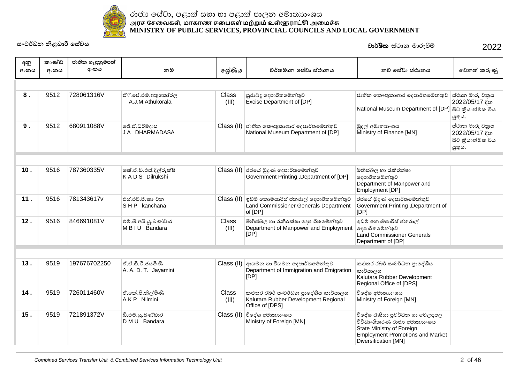

| අනු<br>අංකය | කාණ්ඩ<br>අංකය | ජාතික හැඳුනුම්පත්<br>අංකය | නම                                       | ලේණිය          | වර්තමාන සේවා ස්ථානය                                                                                | නව සේවා ස්ථානය                                                                                                                                                | වෙනත් කරුණු                                                     |
|-------------|---------------|---------------------------|------------------------------------------|----------------|----------------------------------------------------------------------------------------------------|---------------------------------------------------------------------------------------------------------------------------------------------------------------|-----------------------------------------------------------------|
|             |               |                           |                                          |                |                                                                                                    |                                                                                                                                                               |                                                                 |
| 8.          | 9512          | 728061316V                | ඒ්.ජේ.එම්.අතුකෝරල<br>A.J.M.Athukorala    | Class<br>(III) | සුරාබදු දෙපාර්තමේන්තුව<br>Excise Department of [DP]                                                | ජාතික කෞතුකාගාර දෙපාර්තමේන්තුව<br>National Museum Department of [DP]                                                                                          | ස්ථාන මාරු චකුය<br>2022/05/17 දින<br>සිට කියාත්මක විය<br>ශූතුය. |
| 9.          | 9512          | 680911088V                | ්.ඒ.ධර්මදාස<br>JA DHARMADASA             |                | Class (II) ජාතික කෞතුකාගාර දෙපාර්තමේන්තුව<br>National Museum Department of [DP]                    | මුදල් අමාතාහංශය<br>Ministry of Finance [MN]                                                                                                                   | ස්ථාන මාරු චකුය<br>2022/05/17 දින<br>සිට කියාත්මක විය<br>යුතුය. |
|             |               |                           |                                          |                |                                                                                                    |                                                                                                                                                               |                                                                 |
| 10.         | 9516          | 787360335V                | කේ.ඒ.ඩී.එස්.දිල්රුක්ෂි<br>KADS Dilrukshi |                | Class (II) රජයේ මුදුණ දෙපාර්තමේන්තුව<br>Government Printing, Department of [DP]                    | මිනිස්බල හා රැකීරක්ෂා<br>දෙපාර්තමේන්තුව<br>Department of Manpower and<br>Employment [DP]                                                                      |                                                                 |
| 11.         | 9516          | 781343617v                | එස්.එච්.පී.කාංචන<br>SHP kanchana         |                | Class (II) ඉඩම කොමසාරිස් ජනරාල් දෙපාර්තමේන්තුව<br>Land Commissioner Generals Department<br>of [DP] | රජයේ මුදුණ දෙපාර්තමේන්තුව<br>Government Printing , Department of<br>[DP]                                                                                      |                                                                 |
| 12.         | 9516          | 846691081V                | එම්.බී.අයි.යූ.බණ්ඩාර<br>M B I U Bandara  | Class<br>(III) | මිනිස්බල හා රැකීරක්ෂා දෙපාර්තමේන්තුව<br>Department of Manpower and Employment<br>[DP]              | ඉඩම් කොමසාරිස් ජනරාල්<br> ලදපාර්තමේන්තුව<br>Land Commissioner Generals<br>Department of [DP]                                                                  |                                                                 |
|             |               |                           |                                          |                |                                                                                                    |                                                                                                                                                               |                                                                 |
| 13.         | 9519          | 197676702250              | ඒ.ඒ.ඩී.ටී.ජයමිණි<br>A. A. D. T. Jayamini |                | Class (II) ආගමන හා විගමන දෙපාර්තමේන්තුව<br>Department of Immigration and Emigration<br>[DP]        | කළුතර රබර් සංවර්ධන පාදේශීය<br>කාර්යාලය<br>Kalutara Rubber Development<br>Regional Office of [DPS]                                                             |                                                                 |
| 14.         | 9519          | 726011460V                | ඒ.කේ.පී.නිල්මිණි<br>AKP Nilmini          | Class<br>(III) | කළුතර රබර් සංවර්ධන පුාදේශීය කාර්යාලය<br>Kalutara Rubber Development Regional<br>Office of [DPS]    | විදේශ අමාතාහංශය<br>Ministry of Foreign [MN]                                                                                                                   |                                                                 |
| 15.         | 9519          | 721891372V                | ඩි.එම්.යූ.බණ්ඩාර<br>D M U Bandara        | Class (II)     | විදේශ අමාතාහංශය<br>Ministry of Foreign [MN]                                                        | විදේශ රැකියා පුවර්ධන හා වෙළඳපල<br>විවිධාංගීකරණ රාජා අමාතාහංශය<br>State Ministry of Foreign<br><b>Employment Promotions and Market</b><br>Diversification [MN] |                                                                 |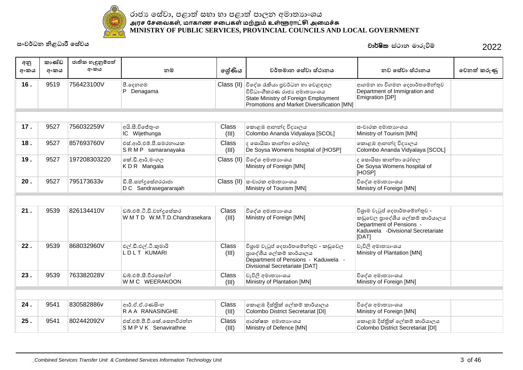

| අනු<br>අංකය | කාණ්ඩ<br>අංකය | ජාතික හැඳුනුම්පත්<br>අංකය | නම                                                    | ලශ්ණිය                | වර්තමාන සේවා ස්ථානය                                                                                                                                            | නව සේවා ස්ථානය                                                                                                                            | වෙනත් කරුණු |
|-------------|---------------|---------------------------|-------------------------------------------------------|-----------------------|----------------------------------------------------------------------------------------------------------------------------------------------------------------|-------------------------------------------------------------------------------------------------------------------------------------------|-------------|
|             |               |                           |                                                       |                       |                                                                                                                                                                |                                                                                                                                           |             |
| 16.         | 9519          | 756423100V                | පී.දෙනගම<br>P Denagama                                |                       | Class (II) විදේශ රැකියා පුවර්ධන හා වෙළඳපල<br>විවිධාංගීකරණ රාජා අමාතාගංශය<br>State Ministry of Foreign Employment<br>Promotions and Market Diversification [MN] | ආගමන හා විගමන දෙපාර්තමේන්තුව<br>Department of Immigration and<br>Emigration [DP]                                                          |             |
|             |               |                           |                                                       |                       |                                                                                                                                                                |                                                                                                                                           |             |
| 17.         | 9527          | 756032259V                | අයි.සී.විජේතුංග<br>IC Wijethunga                      | Class<br>(III)        | කොළඹ ආනන්ද විදාහලය<br>Colombo Ananda Vidyalaya [SCOL]                                                                                                          | සංචාරක අමාතාහංශය<br>Ministry of Tourism [MN]                                                                                              |             |
| 18.         | 9527          | 857693760V                | එස්.ආර්.එම්.පී.සමරනායක<br>SRMP samaranayaka           | <b>Class</b><br>(III) | ද සොයිසා කාන්තා රෝහල<br>De Soysa Womens hospital of [HOSP]                                                                                                     | කොළඹ ආනන්ද විදාහලය<br>Colombo Ananda Vidyalaya [SCOL]                                                                                     |             |
| 19.         | 9527          | 197208303220              | කේ.ඩී.ආර්.මංගල<br>KDR Mangala                         | Class (II)            | විදේශ අමාතාහංශය<br>Ministry of Foreign [MN]                                                                                                                    | ද සොයිසා කාන්තා රෝහල<br>De Soysa Womens hospital of<br>[HOSP]                                                                             |             |
| 20.         | 9527          | 795173633v                | ඩි.සී.සන්දුසේගරරාජා<br>D C Sandrasegararajah          |                       | Class (II)  සංචාරක අමාතාහංශය<br>Ministry of Tourism [MN]                                                                                                       | විදේශ අමාතාහංශය<br>Ministry of Foreign [MN]                                                                                               |             |
|             |               |                           |                                                       |                       |                                                                                                                                                                |                                                                                                                                           |             |
| 21.         | 9539          | 826134410V                | ඩබ්.එම්.ටී.ඩී.චන්දුසේකර<br>WMTD W.M.T.D.Chandrasekara | <b>Class</b><br>(III) | විදේශ අමාතාහංශය<br>Ministry of Foreign [MN]                                                                                                                    | විශුාම වැටුප් දෙපාර්තමේන්තුව -<br>කඩුවෙල පාදේශීය ලේකම් කාර්යාලය<br>Department of Pensions -<br>Kaduwela -Divisional Secretariate<br>[DAT] |             |
| 22.         | 9539          | 868032960V                | එල්.ඩී.එල්.ටී.කුමාරි<br><b>LDLT KUMARI</b>            | Class<br>(III)        | විශුාම වැටුප් දෙපාර්තමේන්තුව - කඩුවෙල<br>පාදේශීය ලේකම් කාර්යාලය<br>Department of Pensions - Kaduwela -<br>Divisional Secretariate [DAT]                        | වැවිලි අමාතාගංශය<br>Ministry of Plantation [MN]                                                                                           |             |
| 23.         | 9539          | 763382028V                | ඩබු.එම්.සී.වීරකෝන්<br>W M C WEERAKOON                 | Class<br>(III)        | වැවිලි අමාතාගංශය<br>Ministry of Plantation [MN]                                                                                                                | විදේශ අමාතාහංශය<br>Ministry of Foreign [MN]                                                                                               |             |
|             |               |                           |                                                       |                       |                                                                                                                                                                |                                                                                                                                           |             |
| 24.         | 9541          | 830582886v                | ආර්.ඒ.ඒ.රණසිංහ<br>RAA RANASINGHE                      | <b>Class</b><br>(III) | කොළඹ දිස්තික් ලේකම් කාර්යාලය<br>Colombo District Secretariat [DI]                                                                                              | විදේශ අමාතාහංශය<br>Ministry of Foreign [MN]                                                                                               |             |
| 25.         | 9541          | 802442092V                | එස්.එම්.පී.වී.කේ.සෙනවිරත්න<br>SMPVK Senavirathne      | Class<br>(III)        | ආරක්ෂක අමාතාහංශය<br>Ministry of Defence [MN]                                                                                                                   | කොළඹ දිස්තික් ලේකම් කාර්යාලය<br>Colombo District Secretariat [DI]                                                                         |             |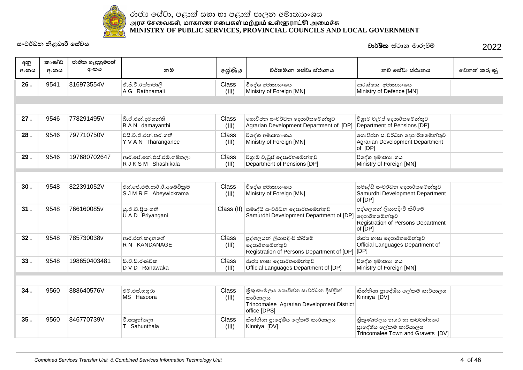

| අනු<br>අංකය | කාණ්ඩ<br>අංකය | ජාතික හැඳුනුම්පත්<br>අංකය | නම                                                  | ලේණිය                 | වර්තමාන සේවා ස්ථානය                                                                                              | නව සේවා ස්ථානය                                                                           | වෙනත් කරුණු |
|-------------|---------------|---------------------------|-----------------------------------------------------|-----------------------|------------------------------------------------------------------------------------------------------------------|------------------------------------------------------------------------------------------|-------------|
| 26.         | 9541          | 816973554V                | ඒ.ජී.වී.රත්නමාලි<br>A G Rathnamali                  | Class<br>(III)        | විදේශ අමාතාහංශය<br>Ministry of Foreign [MN]                                                                      | ආරක්ෂක අමාතාහංශය<br>Ministry of Defence [MN]                                             |             |
|             |               |                           |                                                     |                       |                                                                                                                  |                                                                                          |             |
|             |               |                           |                                                     |                       |                                                                                                                  |                                                                                          |             |
| 27.         | 9546          | 778291495V                | බී.ඒ.එන්.දමයන්ති<br>B A N damayanthi                | Class<br>(III)        | ගොවිජන සංවර්ධන දෙපාර්තමේන්තුව<br>Agrarian Development Department of [DP]                                         | විශුාම වැටුප් දෙපාර්තමේන්තුව<br>Department of Pensions [DP]                              |             |
| 28.         | 9546          | 797710750V                | වයි.වී.ඒ.එන්.තරංගනී<br>Y V A N Tharanganee          | Class<br>(III)        | විදේශ අමාතාගංශය<br>Ministry of Foreign [MN]                                                                      | ගොවිජන ස∘වර්ධන ලදපාර්තමේන්තුව<br>Agrarian Development Department<br>of [DP]              |             |
| 29.         | 9546          | 197680702647              | ආර්.ජේ.කේ.එස්.එම්.ශෂිකලා<br>R J K S M Shashikala    | Class<br>(III)        | විශුාම වැටුප් දෙපාර්තමේන්තුව<br>Department of Pensions [DP]                                                      | විදේශ අමාතාහංශය<br>Ministry of Foreign [MN]                                              |             |
|             |               |                           |                                                     |                       |                                                                                                                  |                                                                                          |             |
| 30.         | 9548          | 822391052V                | එස්.ජේ.එම්.ආර්.ඊ.අබේවිකුම<br>S J M R E Abeywickrama | Class<br>(III)        | විදේශ අමාතාහංශය<br>Ministry of Foreign [MN]                                                                      | සමෘද්ධි සංවර්ධන දෙපාර්තමේන්තුව<br>Samurdhi Development Department<br>of [DP]             |             |
| 31.         | 9548          | 766160085v                | ශු.ඒ.ඩී.පිුයංගනී<br>U A D Priyangani                |                       | Class (II) සමෘද්ධි සංවර්ධන දෙපාර්තමේන්තුව<br>Samurdhi Development Department of [DP] ଚ <sub>දපා</sub> ර්තමේන්තුව | පුද්ගලයන් ලියාපදිංචි කිරීමේ<br>Registration of Persons Department<br>of [DP]             |             |
| 32.         | 9548          | 785730038v                | ආර්.එන්.කදනගේ<br>R N KANDANAGE                      | Class<br>(III)        | පුද්ගලයන් ලියාපදිංචි කිරීමේ<br>දෙපාර්තමේන්තුව<br>Registration of Persons Department of [DP] [DP]                 | රාජා හාෂා දෙපාර්තමේන්තුව<br>Official Languages Department of                             |             |
| 33.         | 9548          | 198650403481              | ඩී.වී.ඩී.රණවක<br>D V D Ranawaka                     | Class<br>(III)        | රාජා භාෂා දෙපාර්තමේන්තුව<br>Official Languages Department of [DP]                                                | විදේශ අමාතාහංශය<br>Ministry of Foreign [MN]                                              |             |
|             |               |                           |                                                     |                       |                                                                                                                  |                                                                                          |             |
| 34.         | 9560          | 888640576V                | එම්.එස්.හසුරා<br>MS Hasoora                         | <b>Class</b><br>(III) | තිකුණාමලය ගොවිජන සංවර්ධන දිස්තික්<br>කාර්යාලය<br>Trincomalee Agrarian Development District<br>office [DPS]       | කින්නියා පාදේශීය ලේකම් කාර්යාලය<br>Kinniya [DV]                                          |             |
| 35.         | 9560          | 846770739V                | ටී.සකුන්තලා<br>Sahunthala                           | Class<br>(III)        | කින්නියා පාදේශීය ලේකම් කාර්යාලය<br>Kinniya [DV]                                                                  | තිකුණාමලය නගර හා කඩවත්සතර<br>පාදේශීය ලේකම් කාර්යාලය<br>Trincomalee Town and Gravets [DV] |             |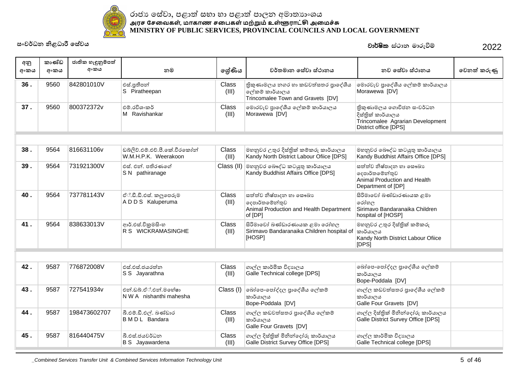

#### ˡ˫ˉɕ˳˦ʢˣ˫˚˨˫Ʈ˦˝˫˧˫˚˨˫Ʈ˚˫ˢ˘ʯ˞˫˔ɕ˫ʭˤˠ <u>அரச சேவைகள், மாகாண சபைகள் மற்றும் உள்ளூராட்சி அமைச்சு</u> **MINISTRY OF PUBLIC SERVICES, PROVINCIAL COUNCILS AND LOCAL GOVERNMENT**

**˦ʭˣə˗˘ǧ˨˗˫ɝ˳˦ʢˣˠ** 2022 jd¾Isl **ia:dk udreùï**

| අනු<br>අංකය | කාණ්ඩ<br>අංකය | ජාතික හැඳුනුම්පත්<br>අංකය | නම                                                    | ලේණිය          | වර්තමාන සේවා ස්ථානය                                                                             | නව සේවා ස්ථානය                                                                                             | වෙනත් කරුණු |
|-------------|---------------|---------------------------|-------------------------------------------------------|----------------|-------------------------------------------------------------------------------------------------|------------------------------------------------------------------------------------------------------------|-------------|
| 36.         | 9560          | 842801010V                | එස්.පුතීපත්<br>S Piratheepan                          | Class<br>(III) | තිකුණාමලය නගර හා කඩවත්සතර පාදේශීය<br>ලේකම් කාර්යාලය<br>Trincomalee Town and Gravets [DV]        | මොරවැව පුාදේශීය ලේකම් කාර්යාලය<br>Morawewa [DV]                                                            |             |
| 37.         | 9560          | 800372372v                | එම්.රවිශංකර්<br>M Ravishankar                         | Class<br>(III) | මොරවැව පුාදේශීය ලේකම් කාර්යාලය<br>Morawewa [DV]                                                 | තිකුණාමලය ගොවිජන සංවර්ධන<br>දිස්තික් කාර්යාලය<br>Trincomalee Agrarian Development<br>District office [DPS] |             |
|             |               |                           |                                                       |                |                                                                                                 |                                                                                                            |             |
| 38.         | 9564          | 816631106v                | ඩබ්ලිව්.එම්.එච්.පී.කේ.වීරකෝන්<br>W.M.H.P.K. Weerakoon | Class<br>(III) | මහනුවර උතුර දිස්තික් කම්කරු කාර්යාලය<br>Kandy North District Labour Ofiice [DPS]                | මහනුවර බෞද්ධ කටයුතු කාර්යාලය<br>Kandy Buddhist Affairs Office [DPS]                                        |             |
| 39.         | 9564          | 731921300V                | එස්. එන්. පතිරණගේ<br>S N pathiranage                  | Class (II)     | මහනුවර බෞද්ධ කටයුතු කාර්යාලය<br>Kandy Buddhist Affairs Office [DPS]                             | සත්ත්ව නිෂ්පාදන හා සෞඛාා<br>දෙපාර්තමේන්තුව<br>Animal Production and Health<br>Department of [DP]           |             |
| 40.         | 9564          | 737781143V                | ඒ්.ඩී.ඩී.එස්. කලුපෙරුම<br>ADDS Kaluperuma             | Class<br>(III) | සත්ත්ව නිෂ්පාදන හා සෞඛා<br>දෙපාර්තමේන්තුව<br>Animal Production and Health Department<br>of [DP] | සිරිමාවෝ බණ්ඩාරණායක ළමා<br>රෝහල<br>Sirimavo Bandaranaika Children<br>hospital of [HOSP]                    |             |
| 41.         | 9564          | 838633013V                | ආර්.එස්.විකුමසිංහ<br>R S WICKRAMASINGHE               | Class<br>(III) | සිරිමාවෝ බණ්ඩාරණායක ළමා රෝහල<br>Sirimavo Bandaranaika Children hospital of<br>[HOSP]            | මහනුවර උතුර දිස්තික් කම්කරු<br> කාර්යාලය<br>Kandy North District Labour Ofiice<br>[DPS]                    |             |
|             |               |                           |                                                       |                |                                                                                                 |                                                                                                            |             |
| 42.         | 9587          | 776872008V                | එස්.එස්.ජයරත්න<br>S S Jayarathna                      | Class<br>(III) | ගාල්ල කාර්මික විදාහලය<br>Galle Technical college [DPS]                                          | බෝපෙ-පෝද්දල පුාදේශීය ලේකම්<br>කාර්යාලය<br>Bope-Poddala [DV]                                                |             |
| 43.         | 9587          | 727541934v                | එන්.ඩබ්.ඒ්.එන්.මහේෂා<br>N W A nishanthi mahesha       | Class (I)      | බෝපෙ-පෝද්දල පාදේශීය ලේකම්<br>කාර්යාලය<br>Bope-Poddala [DV]                                      | ගාල්ල කඩවත්සතර පාදේශීය ලේකම්<br>කාර්යාලය<br>Galle Four Gravets [DV]                                        |             |
| 44.         | 9587          | 198473602707              | බී.එම්.ඩී.එල්. බණ්ඩාර<br>B M D L Bandara              | Class<br>(III) | ගාල්ල කඩවත්සතර පාදේශීය ලේකම්<br>කාර්යාලය<br>Galle Four Gravets [DV]                             | ගාල්ල දිස්තික් මිනින්දෝරු කාර්යාලය<br>Galle District Survey Office [DPS]                                   |             |
| 45.         | 9587          | 816440475V                | බී.එස්.ජයවර්ධන<br><b>B</b> S Jayawardena              | Class<br>(III) | ගාල්ල දිස්තික් මිනින්දෝරු කාර්යාලය<br>Galle District Survey Office [DPS]                        | ගාල්ල කාර්මික විදාහලය<br>Galle Technical college [DPS]                                                     |             |

\_Combined Services Transfer Unit & Combined Services Information Technology Unit 5 of 46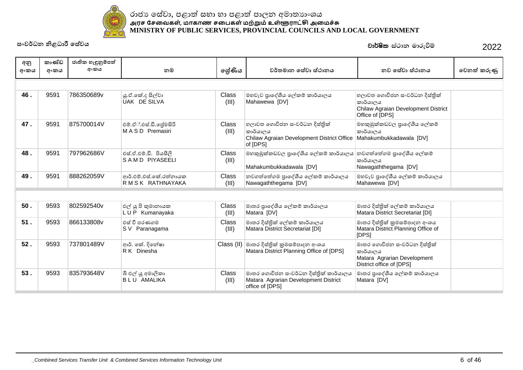

| අනු<br>අංකය | කාණ්ඩ<br>අංකය | ජාතික හැඳුනුම්පත්<br>අංකය | නම                                           | ලේණිය                 | වර්තමාන සේවා ස්ථානය                                                                                 | නව සේවා ස්ථානය                                                                                      | වෙනත් කරුණු |
|-------------|---------------|---------------------------|----------------------------------------------|-----------------------|-----------------------------------------------------------------------------------------------------|-----------------------------------------------------------------------------------------------------|-------------|
|             |               |                           |                                              |                       |                                                                                                     |                                                                                                     |             |
| 46.         | 9591          | 786350689v                | යූ.ඒ.කේ.ද සිල්වා<br>UAK DE SILVA             | <b>Class</b><br>(III) | මහවැව පාදේශීය ලේකම් කාර්යාලය<br>Mahawewa [DV]                                                       | හලාවත ගොවිජන සංවර්ධන දිස්තික්<br>කාර්යාලය<br>Chilaw Agraian Development District<br>Office of [DPS] |             |
| 47.         | 9591          | 875700014V                | එම්.ඒ්.එස්.ඩී.ලේමසිරි<br>MASD Premasiri      | Class<br>(III)        | හලාවත ගොවිජන සංවර්ධන දිස්තික්<br>කාර්යාලය<br>Chilaw Agraian Development District Office<br>of [DPS] | මහකුඹුක්කඩවල පුාදේශීය ලේකම්<br>කාර්යාලය<br>Mahakumbukkadawala [DV]                                  |             |
| 48.         | 9591          | 797962686V                | එස්.ඒ.එම්.ඩී. පියසීලි<br>SAMD PIYASEELI      | Class<br>(III)        | මහකුඹුක්කඩවල පාදේශීය ලේකම් කාර්යාලය<br>Mahakumbukkadawala [DV]                                      | නවගත්තේගම පාදේශීය ලේකම්<br>කාර්යාලය<br>Nawagaththegama [DV]                                         |             |
| 49.         | 9591          | 888262059V                | ආර්.එම්.එස්.කේ.රත්නායක<br>R M S K RATHNAYAKA | Class<br>(III)        | නවගත්තේගම පුාදේශීය ලේකම් කාර්යාලය<br>Nawagaththegama [DV]                                           | මහවැව පුාදේශීය ලේකම් කාර්යාලය<br>Mahawewa [DV]                                                      |             |
|             |               |                           |                                              |                       |                                                                                                     |                                                                                                     |             |
| $50.$       | 9593          | 802592540v                | එල් යු පි කුමානායක<br>LUP Kumanayaka         | <b>Class</b><br>(III) | මාතර පාදේශීය ලේකම් කාර්යාලය<br>Matara [DV]                                                          | මාතර දිස්තික් ලේකම් කාර්යාලය<br>Matara District Secretariat [DI]                                    |             |
| 51.         | 9593          | 866133808v                | එස් වී පරණගම<br>S V Paranagama               | <b>Class</b><br>(III) | මාතර දිස්තික් ලේකම් කාර්යාලය<br>Matara District Secretariat [DI]                                    | මාතර දිස්තික් කුමසම්පාදන අංශය<br>Matara District Planning Office of<br>[DPS]                        |             |
| 52.         | 9593          | 737801489V                | ආර්. කේ. දිනේෂා<br>R K Dinesha               |                       | Class (II) මාතර දිස්තික් කුමසම්පාදන අංශය<br>Matara District Planning Office of [DPS]                | මාතර ගොවිජන සංවර්ධන දිස්තික්<br>කාර්යාලය<br>Matara Agrarian Development<br>District office of [DPS] |             |
| 53.         | 9593          | 835793648V                | බී එල් යූ අමාලිකා<br><b>BLU AMALIKA</b>      | <b>Class</b><br>(III) | මාතර ගොවිජන සංවර්ධන දිස්තික් කාර්යාලය<br>Matara Agrarian Development District<br>office of [DPS]    | මාතර පාදේශීය ලේකම් කාර්යාලය<br>Matara [DV]                                                          |             |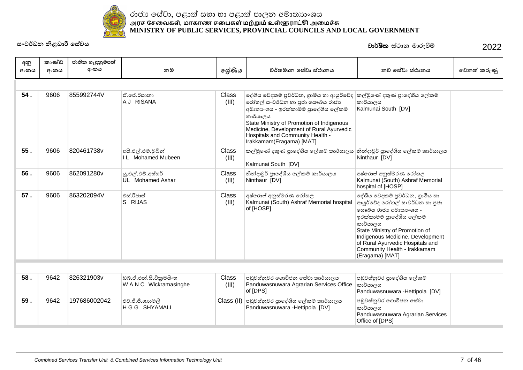

| අනු<br>අංකය | කාණ්ඩ<br>අංකය | ජාතික හැඳුනුම්පත්<br>අංකය | නම                                               | ලේණිය                 | වර්තමාන සේවා ස්ථානය                                                                                                                                                                                                                                                                                                    | නව සේවා ස්ථානය                                                                                                                                                                                                                                                                                   | වෙනත් කරුණු |
|-------------|---------------|---------------------------|--------------------------------------------------|-----------------------|------------------------------------------------------------------------------------------------------------------------------------------------------------------------------------------------------------------------------------------------------------------------------------------------------------------------|--------------------------------------------------------------------------------------------------------------------------------------------------------------------------------------------------------------------------------------------------------------------------------------------------|-------------|
|             |               |                           |                                                  |                       |                                                                                                                                                                                                                                                                                                                        |                                                                                                                                                                                                                                                                                                  |             |
| 54.         | 9606          | 855992744V                | ඒ ලේ රිසානා<br>A J RISANA                        | Class<br>(III)        | ලද්ශීය වෙදකම් පුවර්ධන, ගුාමීය හා ආයුර්වේද  කල්මුණේ දකුණ පුාදේශීය ලේකම්<br>රෝහල් සංවර්ධන හා පුජා සෞඛ්ය රාජාා<br>අමාතාගය - ඉරක්කාමම් පුාදේශීය ලේකම්<br>කාර්යාලය<br>State Ministry of Promotion of Indigenous<br>Medicine, Development of Rural Ayurvedic<br>Hospitals and Community Health -<br>Irakkamam(Eragama) [MAT] | කාර්යාලය<br>Kalmunai South [DV]                                                                                                                                                                                                                                                                  |             |
| 55.         | 9606          | 820461738v                | අයි.එල්.එම්.මුබීන්<br>IL Mohamed Mubeen          | Class<br>(III)        | කල්මුණේ දකුණ පුාදේශීය ලේකම් කාර්යාලය තින්දාවූර් පුාදේශීය ලේකම් කාර්යාලය<br>Kalmunai South [DV]                                                                                                                                                                                                                         | Ninthaur [DV]                                                                                                                                                                                                                                                                                    |             |
| 56.         | 9606          | 862091280v                | ශු.එල්.ඵම්.අස්හර්<br>UL Mohamed Ashar            | <b>Class</b><br>(III) | නින්දාවූර් පාදේශීය ලේකම් කාර්යාලය<br>Ninthaur [DV]                                                                                                                                                                                                                                                                     | අෂ්රොෆ් අනුස්මරණ රෝහල<br>Kalmunai (South) Ashraf Memorial<br>hospital of [HOSP]                                                                                                                                                                                                                  |             |
| 57.         | 9606          | 863202094V                | එස්.රිජාස්<br>S RIJAS                            | Class<br>(III)        | අෂ්රොෆ් අනුස්මරණ රෝහල<br>Kalmunai (South) Ashraf Memorial hospital<br>of [HOSP]                                                                                                                                                                                                                                        | දේශීය වෙදකම් පුවර්ධන, ගුාමීය හා<br>ආයුර්වේද රෝහල් සංවර්ධන හා පුජා<br>මසෟඛ්ය රාජා අමාතා ිශය -<br>ඉරක්කාමම් පාදේශීය ලේකම්<br>කාර්යාලය<br>State Ministry of Promotion of<br>Indigenous Medicine, Development<br>of Rural Ayurvedic Hospitals and<br>Community Health - Irakkamam<br>(Eragama) [MAT] |             |
|             |               |                           |                                                  |                       |                                                                                                                                                                                                                                                                                                                        |                                                                                                                                                                                                                                                                                                  |             |
| 58.         | 9642          | 826321903v                | ඩබ්.ඒ.එන්.සී.විකුමසිංහ<br>W A N C Wickramasinghe | Class<br>(III)        | පඩුවස්තුවර ගොවිජන සේවා කාර්යාලය<br>Panduwasnuwara Agrarian Services Office                                                                                                                                                                                                                                             | පඬුවස්නුවර පාදේශීය ලේකම්<br>කාර්යාලය                                                                                                                                                                                                                                                             |             |

| 58. | 9642 | 826321903v   | ඩබ්.ඒ.එන්.සී.විකුමසිංහ<br>W A N C Wickramasinghe | Class<br>(III) | පඩුවස්තුවර ගොවිජන සේවා කාර්යාලය<br>Panduwasnuwara Agrarian Services Office   කාර්යාලය<br>of [DPS] | පඬුවස්නුවර පාදේශීය ලේකම්<br>Panduwasnuwara - Hettipola [DV]                               |  |
|-----|------|--------------|--------------------------------------------------|----------------|---------------------------------------------------------------------------------------------------|-------------------------------------------------------------------------------------------|--|
| 59. | 9642 | 197686002042 | එච්.ජී.ජී.ශාහමලී<br>∣H G G SHYAMALI              |                | Class (II) පඩුවස්තුවර පාලේශීය ලේකම් කාර්යාලය<br>Panduwasnuwara -Hettipola [DV]                    | පඩුවස්තුවර ගොවිජන සේවා<br>කාර්යාලය<br>Panduwasnuwara Agrarian Services<br>Office of [DPS] |  |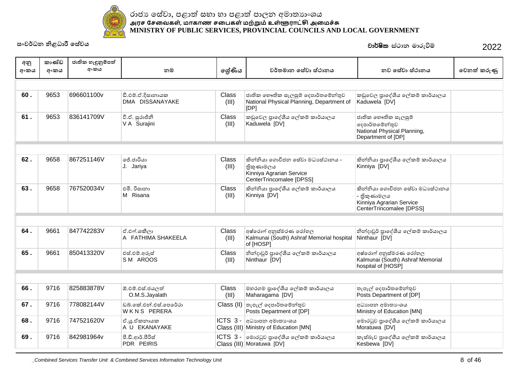

# **˦ʭˣə˗˘ǧ˨˗˫ɝ˳˦ʢˣˠ** 2022 jd¾Isl **ia:dk udreùï**

| අනු<br>අංකය | කාණ්ඩ<br>අංකය | ජාතික හැඳුනුම්පත්<br>අංකය | නම                                   | ලශ්ණිය                | වර්තමාන සේවා ස්ථානය                                                                                   | නව සේවා ස්ථානය                                                                                         | වෙනත් කරුණු |
|-------------|---------------|---------------------------|--------------------------------------|-----------------------|-------------------------------------------------------------------------------------------------------|--------------------------------------------------------------------------------------------------------|-------------|
|             |               |                           |                                      |                       |                                                                                                       |                                                                                                        |             |
| 60.         | 9653          | 696601100v                | ඩී.එම්.ඒ.දිසානායක<br>DMA DISSANAYAKE | Class<br>(III)        | ජාතික භෞතික සැලසුම් දෙපාර්තමේන්තුව<br>National Physical Planning, Department of<br>[DP]               | කඩුවෙල පාදේශීය ලේකම් කාර්යාලය<br>Kaduwela [DV]                                                         |             |
| 61.         | 9653          | 836141709V                | වී.ඒ. සුරාජිනී<br>V A Surajini       | Class<br>(III)        | කඩුවෙල පාදේශීය ලේකම් කාර්යාලය<br>Kaduwela [DV]                                                        | ජාතික භෞතික සැලසුම්<br>දෙපාර්තමේන්තුව<br>National Physical Planning,<br>Department of [DP]             |             |
|             |               |                           |                                      |                       |                                                                                                       |                                                                                                        |             |
| 62.         | 9658          | 867251146V                | ජේ.ජාරියා<br>J. Jariya               | Class<br>(III)        | කින්නියා ගොවිජන සේවා මධාසේථානය -<br>තිකුණාමලය<br>Kinniya Agrarian Service<br>CenterTrincomalee [DPSS] | කින්නියා පාදේශීය ලේකම් කාර්යාලය<br>Kinniya [DV]                                                        |             |
| 63.         | 9658          | 767520034V                | එමි. රිසානා<br>M Risana              | Class<br>(III)        | කින්නියා පාදේශීය ලේකම් කාර්යාලය<br>Kinniya [DV]                                                       | කින්නියා ගොවිජන සේවා මධාාස්ථානය<br>- තිකුණාමලය<br>Kinniya Agrarian Service<br>CenterTrincomalee [DPSS] |             |
|             |               |                           |                                      |                       |                                                                                                       |                                                                                                        |             |
| 64.         | 9661          | 847742283V                | ඒ.එෆ්.ශකීලා<br>A FATHIMA SHAKEELA    | Class<br>(III)        | අෂ්රොෆ් අනුස්මරණ රෝහල<br>Kalmunai (South) Ashraf Memorial hospital Ninthaur [DV]<br>of [HOSP]         | නින්දාවූර් පාදේශීය ලේකම් කාර්යාලය                                                                      |             |
| 65.         | 9661          | 850413320V                | එස්.එම්.අරූස්<br>SM AROOS            | Class<br>(III)        | නින්දාවූර් පුාදේශීය ලේකම් කාර්යාලය<br>Ninthaur [DV]                                                   | අෂ්රොෆ් අනුස්මරණ රෝහල<br>Kalmunai (South) Ashraf Memorial<br>hospital of [HOSP]                        |             |
|             |               |                           |                                      |                       |                                                                                                       |                                                                                                        |             |
| 66.         | 9716          | 825883878V                | ඕ.එම්.එස්.ජයලත්<br>O.M.S.Jayalath    | <b>Class</b><br>(III) | මහරගම පුාදේශීය ලේකම් කාර්යාලය<br>Maharagama [DV]                                                      | තැපැල් දෙපාර්තමේන්තුව<br>Posts Department of [DP]                                                      |             |
| 67.         | 9716          | 778082144V                | ඩබ්.කේ.එන්.එස්.පෙරේරා<br>WKNS PERERA |                       | Class (II) තැපැල් දෙපාර්තමේන්තුව<br>Posts Department of [DP]                                          | අධාහපන අමාතා ශය<br>Ministry of Education [MN]                                                          |             |
| 68.         | 9716          | 747521620V                | ඒ.ශූ.ඒකනායක<br>A U EKANAYAKE         |                       | $ICTS$ 3 - අධාහාපන අමාතාංශය<br>Class (III) Ministry of Education [MN]                                 | මොරටුව පාදේශීය ලේකම් කාර්යාලය<br>Moratuwa [DV]                                                         |             |
| 69.         | 9716          | 842981964v                | පී.ඩී.ආර්.පීරිස්<br>PDR PEIRIS       |                       | ICTS 3 -  මොරටුව පුාදේශීය ලේකම් කාර්යාලය<br>Class (III) Moratuwa [DV]                                 | කැස්බෑව පාදේශීය ලේකම් කාර්යාලය<br>Kesbewa [DV]                                                         |             |

\_Combined Services Transfer Unit & Combined Services Information Technology Unit 8 of 46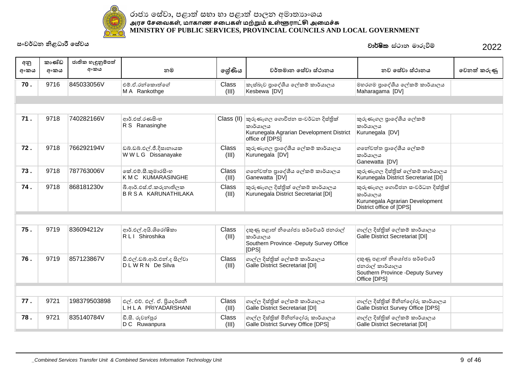

| අනු<br>අංකය | කාණ්ඩ<br>අංකය | ජාතික හැඳුනුම්පත්<br>අංකය | නම                                                  | ලශ්ණිය                | වර්තමාන සේවා ස්ථානය                                                                                                    | නව සේවා ස්ථානය                                                                                              | වෙනත් කරුණු |
|-------------|---------------|---------------------------|-----------------------------------------------------|-----------------------|------------------------------------------------------------------------------------------------------------------------|-------------------------------------------------------------------------------------------------------------|-------------|
| 70.         | 9716          | 845033056V                | එම්.ඒ.රන්කොත්ගේ<br>M A Rankothge                    | Class<br>(III)        | කැස්බෑව පාදේශීය ලේකම් කාර්යාලය<br>Kesbewa [DV]                                                                         | මහරගම පුාදේශීය ලේකම් කාර්යාලය<br>Maharagama [DV]                                                            |             |
|             |               |                           |                                                     |                       |                                                                                                                        |                                                                                                             |             |
| 71.         | 9718          | 740282166V                | ආර්.එස්.රණසිංහ<br>R S Ranasinghe                    |                       | Class (II) කුරුණෑගල ගොවිජන සංවර්ධන දිස්තික්<br>කාර්යාලය<br>Kurunegala Agrarian Development District<br>office of [DPS] | කුරුණෑගල පුාදේශීය ලේකම්<br>කාර්යාලය<br>Kurunegala [DV]                                                      |             |
| 72.         | 9718          | 766292194V                | ඩබ්.ඩබ්.එල්.ජී.දිසානායක<br>WWLG Dissanayake         | Class<br>(III)        | කුරුණෑගල පුාදේශීය ලේකම් කාර්යාලය<br>Kurunegala [DV]                                                                    | ගතේවත්ත පාදේශීය ලේකම්<br>කාර්යාලය<br>Ganewatta [DV]                                                         |             |
| 73.         | 9718          | 787763006V                | කේ.එම්.සී.කුමාරසිංහ<br>K M C KUMARASINGHE           | Class<br>(III)        | ගතේවත්ත පුාදේශීය ලේකම් කාර්යාලය<br>Ganewatta [DV]                                                                      | කුරුණෑගල දිස්තික් ලේකම් කාර්යාලය<br>Kurunegala District Secretariat [DI]                                    |             |
| 74.         | 9718          | 868181230v                | බී.ආර්.එස්.ඒ.කරුනාතිලක<br><b>BRSA KARUNATHILAKA</b> | <b>Class</b><br>(III) | කුරුණෑගල දිස්තික් ලේකම් කාර්යාලය<br>Kurunegala District Secretariat [DI]                                               | කුරුණෑගල ගොවිජන සංවර්ධන දිස්තික්<br>කාර්යාලය<br>Kurunegala Agrarian Development<br>District office of [DPS] |             |
|             |               |                           |                                                     |                       |                                                                                                                        |                                                                                                             |             |
| 75.         | 9719          | 836094212v                | ආර්.එල්.අයි.ශිරෝෂිකා<br>R L I Shiroshika            | Class<br>(III)        | දකුණු පළාත් නියෝජා සර්වේයර් ජනරාල්<br>කාර්යාලය<br>Southern Province -Deputy Survey Office<br>[DPS]                     | ගාල්ල දිස්තික් ලේකම් කාර්යාලය<br><b>Galle District Secretariat [DI]</b>                                     |             |
| 76.         | 9719          | 857123867V                | ඩී.එල්.ඩබ්.ආර්.එන්.ද සිල්වා<br>DLWRN De Silva       | <b>Class</b><br>(III) | ගාල්ල දිස්තික් ලේකම් කාර්යාලය<br><b>Galle District Secretariat [DI]</b>                                                | දකුණු පළාත් නියෝජා සර්වේයර්<br>ජනරාල් කාර්යාලය<br>Southern Province -Deputy Survey<br>Office [DPS]          |             |
|             |               |                           |                                                     |                       |                                                                                                                        |                                                                                                             |             |
| 77.         | 9721          | 198379503898              | එල්. එච්. එල්. ඒ. පියදර්ශනී<br>LHLA PRIYADARSHANI   | Class<br>(III)        | ගාල්ල දිස්තික් ලේකම් කාර්යාලය<br><b>Galle District Secretariat [DI]</b>                                                | ගාල්ල දිස්තික් මිනින්දෝරු කාර්යාලය<br>Galle District Survey Office [DPS]                                    |             |
| 78.         | 9721          | 835140784V                | ඩී.සී. රුවන්පූර<br>D C Ruwanpura                    | Class<br>(III)        | ගාල්ල දිස්තික් මිනින්දෝරු කාර්යාලය<br>Galle District Survey Office [DPS]                                               | ගාල්ල දිස්තික් ලේකම් කාර්යාලය<br><b>Galle District Secretariat [DI]</b>                                     |             |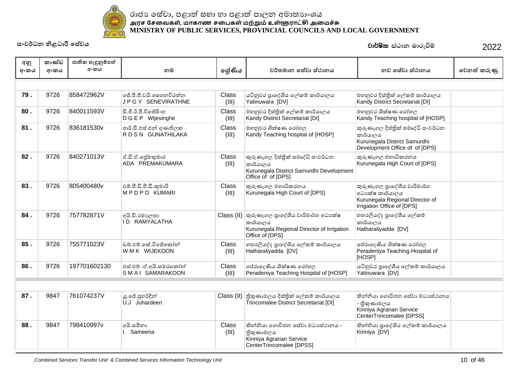

| අනු<br>අංකය | කාණ්ඩ<br>අංකය | ජාතික හැඳුනුම්පත්<br>අංකය | නම                                                  | ලශ්ණිය                | වර්තමාන සේවා ස්ථානය                                                                                                        | නව සේවා ස්ථානය                                                                                                   | වෙනත් කරුණු |
|-------------|---------------|---------------------------|-----------------------------------------------------|-----------------------|----------------------------------------------------------------------------------------------------------------------------|------------------------------------------------------------------------------------------------------------------|-------------|
|             |               |                           |                                                     |                       |                                                                                                                            |                                                                                                                  |             |
| 79.         | 9726          | 858472962V                | ජේ.පී.ජී.වයි.සෙනෙවිරත්න<br><b>JPGY SENEVIRATHNE</b> | Class<br>(III)        | යටිනුවර පාදේශීය ලේකම් කාර්යාලය<br>Yatinuwara [DV]                                                                          | මහනුවර දිස්තික් ලේකම් කාර්යාලය<br>Kandy District Secretariat [DI]                                                |             |
| 80.         | 9726          | 840011593V                | ඩී.ජී.ඊ.පී.විජේසිංහ<br>DGEP Wijesinghe              | Class<br>(III)        | මහනුවර දිස්තික් ලේකම් කාර්යාලය<br>Kandy District Secretariat [DI]                                                          | මහනුවර ශික්ෂණ රෝහල<br>Kandy Teaching hospital of [HOSP]                                                          |             |
| 81.         | 9726          | 836181530v                | ආර්.ඩී.එස්.එන් ගුණතිලක<br>RDSN GUNATHILAKA          | Class<br>(III)        | මහනුවර ශික්ෂණ රෝහල<br>Kandy Teaching hospital of [HOSP]                                                                    | කුරුණෑගල දිස්තික් සමෘද්ධි සංවර්ධන<br>කාර්යාලය<br>Kurunegala District Samurdhi<br>Development Office of of [DPS]  |             |
| 82.         | 9726          | 840271013V                | ඒ.ඩී.ඒ.ලේුමකුමාර<br>ADA PREMAKUMARA                 | Class<br>(III)        | කුරුණෑගල දිස්තික් සමෘද්ධි සංවර්ධන<br>කාර්යාලය<br>Kurunegala District Samurdhi Development<br>Office of of [DPS]            | කුරුණෑගල මහාධිකරනය<br>Kurunegala High Court of [DPS]                                                             |             |
| 83.         | 9726          | 805400480v                | එම්.පී.ඩී.පී.ඩී.කුමාරි<br>MPDPD KUMARI              | Class<br>(III)        | කුරුණෑගල මහාධිකරනය<br>Kurunegala High Court of [DPS]                                                                       | කුරුණෑගල පුාදේශීය වාරිමාර්ග<br>අධා ක්ෂ කාර්යාලය<br>Kurunegala Regional Director of<br>Irrigation Office of [DPS] |             |
| 84.         | 9726          | 757782871V                | අයි.ඩී.රමාලතා<br><b>ID RAMYALATHA</b>               |                       | Class (II) කුරුණෑගල පාදේශීය වාරිමාර්ග අධාහක්ෂ<br>කාර්යාලය<br>Kurunegala Regional Director of Irrigation<br>Office of [DPS] | හතරලියද්ද පාදේශීය ලේකම්<br>කාර්යාලය<br>Hatharaliyadda [DV]                                                       |             |
| 85.         | 9726          | 755771023V                | ඩබ්.එම්.කේ.විජේකෝන්<br>WMK WIJEKOON                 | Class<br>(III)        | හතරලියද්ද පාදේශීය ලේකම් කාර්යාලය<br>Hatharaliyadda [DV]                                                                    | පේරාදෙණිය ශික්ෂණ රෝහල<br>Peradeniya Teaching Hospital of<br>[HOSP]                                               |             |
| 86.         | 9726          | 197701602130              | එස්.එම් .ඒ.අයි.සමරකෝන්<br>SMAI SAMARAKOON           | <b>Class</b><br>(III) | පේරාදෙණිය ශික්ෂණ රෝහල<br>Peradeniya Teaching Hospital of [HOSP]                                                            | යටිනුවර පාදේශීය ලේකම් කාර්යාලය<br>Yatinuwara [DV]                                                                |             |
|             |               |                           |                                                     |                       |                                                                                                                            |                                                                                                                  |             |
| 87.         | 9847          | 761074237V                | යු.ජේ.ජුහර්දීන්<br>U.J Juhardeen                    |                       | Class (II) නිකුණාමලය දිස්තික් ලේකම් කාර්යාලය<br>Trincomalee District Secretariat [DI]                                      | කින්නියා ගොවිජන සේවා මධාසේථානය<br>- තිකුණාමලය<br>Kinniya Agrarian Service<br>CenterTrincomalee [DPSS]            |             |
| 88.         | 9847          | 798410997v                | අයි.සමීනා<br>I. Sameena                             | Class<br>(III)        | කින්නියා ගොවිජන සේවා මධාසේථානය -<br>තිකුණාමලය<br>Kinniya Agrarian Service<br>CenterTrincomalee [DPSS]                      | කින්නියා පාදේශීය ලේකම් කාර්යාලය<br>Kinniya [DV]                                                                  |             |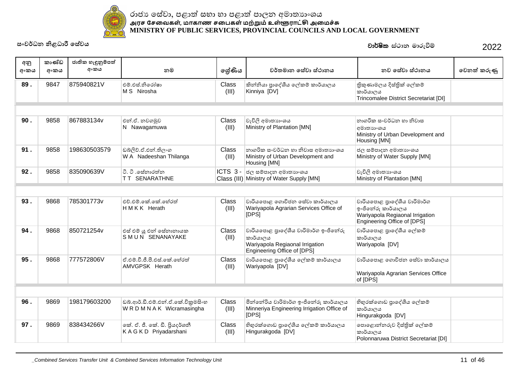

| අනු<br>අංකය | කාණ්ඩ<br>අංකය | ජාතික හැඳුනුම්පත්<br>අංකය | නම                                                         | ලේණිය                 | වර්තමාන සේවා ස්ථානය                                                                                                | නව සේවා ස්ථානය                                                                                                     | වෙනත් කරුණු |
|-------------|---------------|---------------------------|------------------------------------------------------------|-----------------------|--------------------------------------------------------------------------------------------------------------------|--------------------------------------------------------------------------------------------------------------------|-------------|
| 89.         | 9847          | 875940821V                | එම් එස් නිරෝෂා<br>M S Nirosha                              | Class<br>(III)        | කින්නියා පාදේශීය ලේකම් කාර්යාලය<br>Kinniya [DV]                                                                    | තිකුණාමලය දිස්තික් ලේකම්<br>කාර්යාලය<br>Trincomalee District Secretariat [DI]                                      |             |
|             |               |                           |                                                            |                       |                                                                                                                    |                                                                                                                    |             |
| 90.         | 9858          | 867883134v                | එන්.ඒ. නවගමුව<br>N Nawagamuwa                              | Class<br>(III)        | වැවිලි අමාතාහංශය<br>Ministry of Plantation [MN]                                                                    | නාගරික සංවර්ධන හා නිවාස<br>අමාතාහංශය<br>Ministry of Urban Development and<br>Housing [MN]                          |             |
| 91.         | 9858          | 198630503579              | ඩබ්ලිව්.ඒ.එන්.තිලංග<br>W A Nadeeshan Thilanga              | <b>Class</b><br>(III) | නාගරික සංවර්ධන හා නිවාස අමාතාහංශය<br>Ministry of Urban Development and<br>Housing [MN]                             | ජල සම්පාදන අමාතාහංශය<br>Ministry of Water Supply [MN]                                                              |             |
| 92.         | 9858          | 835090639V                | ටි. ටී .සේනාරත්න<br><b>TT SENARATHNE</b>                   | ICTS 3-               | ජල සම්පාදන අමාතාහංශය<br>Class (III) Ministry of Water Supply [MN]                                                  | වැවිලි අමාතාහංශය<br>Ministry of Plantation [MN]                                                                    |             |
|             |               |                           |                                                            |                       |                                                                                                                    |                                                                                                                    |             |
| 93.         | 9868          | 785301773v                | එච්.එම්.කේ.කේ.හේරත්<br>HMKK Herath                         | <b>Class</b><br>(III) | වාරියපොළ ගොවිජන සේවා කාර්යාලය<br>Wariyapola Agrarian Services Office of<br>[DPS]                                   | වාරියපොළ පුාදේශීය වාරිමාර්ග<br>ඉංජිනේරු කාර්යාලය<br>Wariyapola Regiaonal Irrigation<br>Engineering Office of [DPS] |             |
| 94.         | 9868          | 850721254v                | එස් එම් යූ එන් සේනානායක<br>SMUN SENANAYAKE                 | Class<br>(III)        | වාරියපොළ පුාදේශීය වාරිමාර්ග ඉංජිනේරු<br>කාර්යාලය<br>Wariyapola Regiaonal Irrigation<br>Engineering Office of [DPS] | වාරියපොළ පුාදේශීය ලේකම්<br>කාර්යාලය<br>Wariyapola [DV]                                                             |             |
| 95.         | 9868          | 777572806V                | ඒ.එම්.වී.ජී.පී.එස්.කේ.හේරත්<br>AMVGPSK Herath              | Class<br>(III)        | වාරියපොළ පුාදේශීය ලේකම් කාර්යාලය<br>Wariyapola [DV]                                                                | වාරියපොළ ගොවිජන සේවා කාර්යාලය<br>Wariyapola Agrarian Services Office<br>of [DPS]                                   |             |
|             |               |                           |                                                            |                       |                                                                                                                    |                                                                                                                    |             |
| 96.         | 9869          | 198179603200              | ඩබ්.ආර්.ඩී.එම්.එන්.ඒ.කේ.විකුමසිංහ<br>WRDMNAK Wicramasingha | Class<br>(III)        | මින්නේරිය වාරිමාර්ග ඉංජිනේරු කාර්යාලය<br>Minneriya Engineering Irrigation Office of<br>[DPS]                       | හිහුරක්ගොඩ පාදේශීය ලේකම්<br>කාර්යාලය<br>Hingurakgoda [DV]                                                          |             |
| 97.         | 9869          | 838434266V                | කේ. ඒ. ජී. කේ. ඩී. පියදර්ශනී<br>KAGKD Priyadarshani        | Class<br>(III)        | හිභූරක්ගොඩ පුාදේශීය ලේකම් කාර්යාලය<br>Hingurakgoda [DV]                                                            | පොළොන්නරුව දිස්තික් ලේකම්<br>කාර්යාලය<br>Polonnaruwa District Secretariat [DI]                                     |             |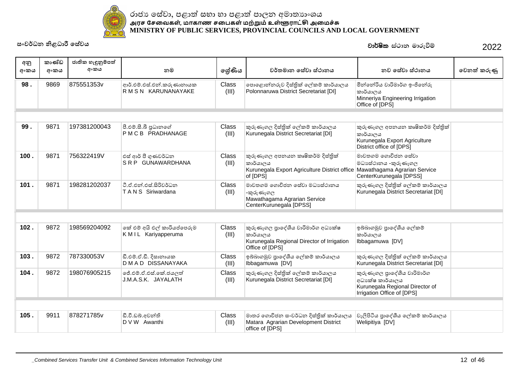

|             | කාණ්ඩ | ජාතික හැඳුනුම්පත් |                                                   |                       |                                                                                                                                         |                                                                                                                  |             |
|-------------|-------|-------------------|---------------------------------------------------|-----------------------|-----------------------------------------------------------------------------------------------------------------------------------------|------------------------------------------------------------------------------------------------------------------|-------------|
| අනු<br>අංකය | අංකය  | අංකය              | නම                                                | ලේණිය                 | වර්තමාන සේවා ස්ථානය                                                                                                                     | නව සේවා ස්ථානය                                                                                                   | වෙනත් කරුණු |
| 98.         | 9869  | 875551353v        | ආර්.එම්.එස්.එන්.කරුණානායක<br>R M S N KARUNANAYAKE | Class<br>(III)        | පොළොන්නරුව දිස්තික් ලේකම් කාර්යාලය<br>Polonnaruwa District Secretariat [DI]                                                             | මින්තේරිය වාරිමාර්ග ඉංජිනේරු<br>කාර්යාලය<br>Minneriya Engineering Irrigation<br>Office of [DPS]                  |             |
|             |       |                   |                                                   |                       |                                                                                                                                         |                                                                                                                  |             |
| 99.         | 9871  | 197381200043      | පී.එම්.සී.බී පුධානගේ<br>PMCB PRADHANAGE           | Class<br>(III)        | කුරුණෑගල දිස්තික් ලේකම් කාර්යාලය<br>Kurunegala District Secretariat [DI]                                                                | කුරුණෑගල අපනයන කෘෂිකර්ම දිස්තිුක්<br>කාර්යාලය<br>Kurunegala Export Agriculture<br>District office of [DPS]       |             |
| 100.        | 9871  | 756322419V        | එස් ආර් පී ගුණවර්ධන<br>SRP GUNAWARDHANA           | Class<br>(III)        | කුරුණෑගල අපනයන කෘෂිකර්ම දිස්තිුක්<br>කාර්යාලය<br>Kurunegala Export Agriculture District office Mawathagama Agrarian Service<br>of [DPS] | මාවතගම ගොවිජන සේවා<br>මධාසේථානය -කුරුණෑගල<br>CenterKurunegala [DPSS]                                             |             |
| 101.        | 9871  | 198281202037      | ටී.ඒ.එන්.එස්.සිරිවර්ධන<br>T A N S Siriwardana     | <b>Class</b><br>(III) | මාවතගම ගොවිජන සේවා මධාාස්ථානය<br>-කුරුණෑගල<br>Mawathagama Agrarian Service<br>CenterKurunegala [DPSS]                                   | කුරුණෑගල දිස්තික් ලේකම් කාර්යාලය<br>Kurunegala District Secretariat [DI]                                         |             |
|             |       |                   |                                                   |                       |                                                                                                                                         |                                                                                                                  |             |
| 102.        | 9872  | 198569204092      | කේ එම් අයි එල් කාරියප්පෙරුම<br>KMIL Kariyapperuma | Class<br>(III)        | කුරුණෑගල පාදේශීය වාරිමාර්ග අධා ක්ෂ<br>කාර්යාලය<br>Kurunegala Regional Director of Irrigation<br>Office of [DPS]                         | ඉබ්බාගමුව පාදේශීය ලේකම්<br>කාර්යාලය<br>Ibbagamuwa [DV]                                                           |             |
| 103.        | 9872  | 787330053V        | ඩී.එම්.ඒ.ඩී. දිසානායක<br>D M A D DISSANAYAKA      | Class<br>(III)        | ඉබ්බාගමුව පුාදේශීය ලේකම් කාර්යාලය<br>Ibbagamuwa [DV]                                                                                    | කුරුණෑගල දිස්තික් ලේකම් කාර්යාලය<br>Kurunegala District Secretariat [DI]                                         |             |
| 104.        | 9872  | 198076905215      | ජේ.එම්.ඒ.එස්.කේ.ජයලත්<br>J.M.A.S.K. JAYALATH      | Class<br>(III)        | කුරුණෑගල දිස්තික් ලේකම් කාර්යාලය<br>Kurunegala District Secretariat [DI]                                                                | කුරුණෑගල පුාදේශීය වාරිමාර්ග<br>අධා ක්ෂ කාර්යාලය<br>Kurunegala Regional Director of<br>Irrigation Office of [DPS] |             |
|             |       |                   |                                                   |                       |                                                                                                                                         |                                                                                                                  |             |
| 105.        | 9911  | 878271785v        | ඩී.වී.ඩබ්.අවන්ති<br>D V W Awanthi                 | Class<br>(III)        | මාතර ගොවිජන සංවර්ධන දිස්තික් කාර්යාලය<br>Matara Agrarian Development District<br>office of [DPS]                                        | වැලිපිටිය පාදේශීය ලේකම් කාර්යාලය<br>Welipitiya [DV]                                                              |             |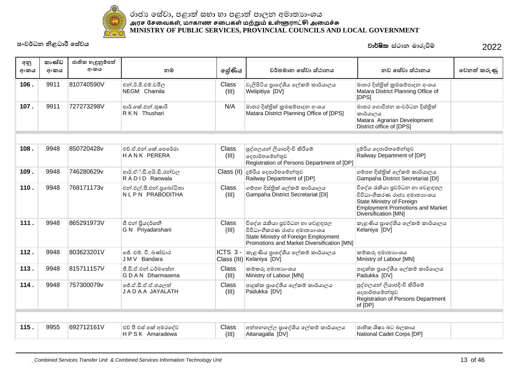

| අනු<br>අංකය | කාණ්ඩ<br>අංකය | ජාතික හැඳුනුම්පත්<br>අංකය | නම                                            | ලශ්ණිය                | වර්තමාන සේවා ස්ථානය                                                                                                                                 | නව සේවා ස්ථානය                                                                                                                                                | වෙනත් කරුණු |
|-------------|---------------|---------------------------|-----------------------------------------------|-----------------------|-----------------------------------------------------------------------------------------------------------------------------------------------------|---------------------------------------------------------------------------------------------------------------------------------------------------------------|-------------|
|             |               |                           |                                               |                       |                                                                                                                                                     |                                                                                                                                                               |             |
| 106.        | 9911          | 810740590V                | එන්.ඊ.ජී.එම්.චමිල<br>NEGM Chamila             | Class<br>(III)        | වැලිපිටිය පුාදේශීය ලේකම් කාර්යාලය<br>Welipitiya [DV]                                                                                                | මාතර දිස්තික් කුමසම්පාදන අංශය<br>Matara District Planning Office of<br>[DPS]                                                                                  |             |
| 107.        | 9911          | 727273298V                | ආර්.කේ.එන්.තුෂාරි<br>R K N Thushari           | N/A                   | මාතර දිස්තික් කුමසම්පාදන අංශය<br>Matara District Planning Office of [DPS]                                                                           | මාතර ගොවිජන සංවර්ධන දිස්තික්<br>කාර්යාලය<br>Matara Agrarian Development<br>District office of [DPS]                                                           |             |
|             |               |                           |                                               |                       |                                                                                                                                                     |                                                                                                                                                               |             |
| 108.        | 9948          | 850720428v                | එච්. ඒ. එන්. කේ. පෙරේරා<br><b>HANK PERERA</b> | Class<br>(III)        | පුද්ගලයන් ලියාපදිංචි කිරීමේ<br>දෙපාර්තමේන්තුව<br>Registration of Persons Department of [DP]                                                         | දූම්රිය දෙපාර්තමේන්තුව<br>Railway Department of [DP]                                                                                                          |             |
| 109.        | 9948          | 746280629v                | ආර්.ඒ්.ඩී.අයි.ඩී.රත්වල<br>RADID Ranwala       | Class (II)            | දූම්රිය දෙපාර්තමේන්තුව<br>Railway Department of [DP]                                                                                                | ගම්පහ දිස්තික් ලේකම් කාර්යාලය<br>Gampaha District Secretariat [DI]                                                                                            |             |
| 110.        | 9948          | 768171173v                | එන්.එල්.පී.එන්.පුබෝධිතා<br>NLPN PRABODITHA    | Class<br>(III)        | ගම්පහ දිස්තික් ලේකම් කාර්යාලය<br>Gampaha District Secretariat [DI]                                                                                  | විදේශ රැකියා පුවර්ධන හා වෙළඳපල<br>විවිධාංගීකරණ රාජා අමාතාහංශය<br>State Ministry of Foreign<br><b>Employment Promotions and Market</b><br>Diversification [MN] |             |
| 111.        | 9948          | 865291973V                | ජී එන් පියදර්ශනී<br>G N Priyadarshani         | Class<br>(III)        | විදේශ රැකියා පුවර්ධන හා වෙළඳපල<br>විවිධාංගීකරණ රාජා අමාතාහංශය<br>State Ministry of Foreign Employment<br>Promotions and Market Diversification [MN] | කැළණිය පුාදේශීය ලේකම් කාර්යාලය<br>Kelaniya [DV]                                                                                                               |             |
| 112.        | 9948          | 803623201V                | ජේ. එම්. වී. බණ්ඩාර<br>JMV Bandara            | ICTS 3-               | කැළණිය පාදේශීය ලේකම් කාර්යාලය<br>Class (III) Kelaniya [DV]                                                                                          | කම්කරු අමාතාහංශය<br>Ministry of Labour [MN]                                                                                                                   |             |
| 113.        | 9948          | 815711157V                | ජී.ඩී.ඒ.එන්.ධර්මසේන<br>G D A N Dharmasena     | <b>Class</b><br>(III) | කම්කරු අමාතහාංශය<br>Ministry of Labour [MN]                                                                                                         | පාදුක්ක පුාදේශීය ලේකම් කාර්යාලය<br>Padukka [DV]                                                                                                               |             |
| 114.        | 9948          | 757300079v                | ජේ.ඒ.ඩී.ඒ.ඒ.ජයලත්<br>J A D A A JAYALATH       | Class<br>(III)        | පාදුක්ක පුාදේශීය ලේකම් කාර්යාලය<br>Padukka [DV]                                                                                                     | පුද්ගලයන් ලියාපදිංචි කිරීමේ<br>දෙපාර්තමේන්තුව<br>Registration of Persons Department<br>of [DP]                                                                |             |
|             |               |                           |                                               |                       |                                                                                                                                                     |                                                                                                                                                               |             |
| 115.        | 9955          | 692712161V                | එච් පී එස් කේ අමරදේව<br>HPSK Amaradewa        | Class<br>(III)        | අත්තනගල්ල පුාදේශීය ලේකම් කාර්යාලය<br>Attanagalla [DV]                                                                                               | ජාතික ශිෂා බට බලකාය<br>National Cadet Corps [DP]                                                                                                              |             |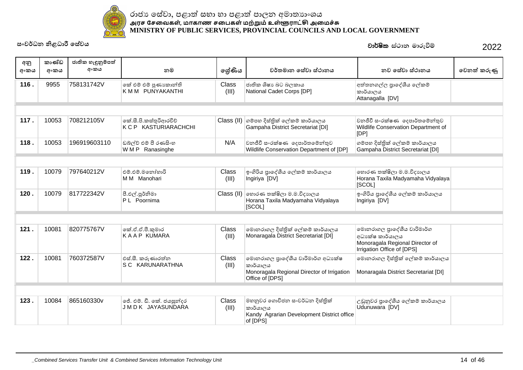

| අනු<br>අංකය | කාණ්ඩ<br>අංකය | ජාතික හැඳුනුම්පත්<br>අංකය | නම                                               | ලේණිය          | වර්තමාන සේවා ස්ථානය                                                                                            | නව සේවා ස්ථානය                                                                                                 | වෙනත් කරුණු |
|-------------|---------------|---------------------------|--------------------------------------------------|----------------|----------------------------------------------------------------------------------------------------------------|----------------------------------------------------------------------------------------------------------------|-------------|
| 116.        | 9955          | 758131742V                | කේ එම් එම් පුණාකාන්ති<br>K M M PUNYAKANTHI       | Class<br>(III) | ජාතික ශිෂාා බට බලකාය<br>National Cadet Corps [DP]                                                              | අත්තනගල්ල පාදේශීය ලේකම්<br>කාර්යාලය<br>Attanagalla [DV]                                                        |             |
|             |               |                           |                                                  |                |                                                                                                                |                                                                                                                |             |
| 117.        | 10053         | 708212105V                | කේ.සී.පි.කස්තුරිආරචිච්<br>K C P KASTURIARACHCHI  |                | Class (II) ගම්පහ දිස්තික් ලේකම් කාර්යාලය<br>Gampaha District Secretariat [DI]                                  | වනජීවී සංරක්ෂණ ලදපාර්තමේන්තුව<br>Wildlife Conservation Department of<br>[DP]                                   |             |
| 118.        | 10053         | 196919603110              | ඩබ්ල්ව් එම් පී රණසිංහ<br>WMP Ranasinghe          | N/A            | වනජීවී සංරක්ෂණ ලදපාර්තමේන්තුව<br>Wildlife Conservation Department of [DP]                                      | ගම්පහ දිස්තික් ලේකම් කාර්යාලය<br>Gampaha District Secretariat [DI]                                             |             |
|             |               |                           |                                                  |                |                                                                                                                |                                                                                                                |             |
| 119.        | 10079         | 797640212V                | එම්.එම්.මනෝහාරි<br>M M Manohari                  | Class<br>(III) | ඉංගිරිය පුාදේශීය ලේකම් කාර්යාලය<br>Ingiriya [DV]                                                               | හොරණ තක්ෂිලා ම.ම.විදාහලය<br>Horana Taxila Madyamaha Vidyalaya<br>[SCOL]                                        |             |
| 120.        | 10079         | 817722342V                | පී.එල්.පූර්නිමා<br>P L Poornima                  |                | Class (II) හොරණ තක්ෂිලා ම.ම.විදාහලය<br>Horana Taxila Madyamaha Vidyalaya<br>[SCOL]                             | ඉංගිරිය පුාදේශීය ලේකම් කාර්යාලය<br>Ingiriya [DV]                                                               |             |
|             |               |                           |                                                  |                |                                                                                                                |                                                                                                                |             |
| 121.        | 10081         | 820775767V                | කේ.ඒ.ඒ.පී.කුමාර<br><b>KAAP KUMARA</b>            | Class<br>(III) | මොනරාගල දිස්තික් ලේකම් කාර්යාලය<br>Monaragala District Secretariat [DI]                                        | මොනරාගල පුාදේශීය වාරිමාර්ග<br>අධාකේෂ කාර්යාලය<br>Monoragala Regional Director of<br>Irrigation Office of [DPS] |             |
| 122.        | 10081         | 760372587V                | එස්.සී. කරුණාරත්න<br>S C KARUNARATHNA            | Class<br>(III) | මොනරාගල පාදේශීය වාරිමාර්ග අධාාක්ෂ<br>කාර්යාලය<br>Monoragala Regional Director of Irrigation<br>Office of [DPS] | මොනරාගල දිස්තික් ලේකම් කාර්යාලය<br>Monaragala District Secretariat [DI]                                        |             |
|             |               |                           |                                                  |                |                                                                                                                |                                                                                                                |             |
| 123.        | 10084         | 865160330v                | ජේ. එම්. ඩී. කේ. ජයසුන්දර<br>J M D K JAYASUNDARA | Class<br>(III) | මහනුවර ගොවිජන සංවර්ධන දිස්තික්<br>කාර්යාලය<br>Kandy Agrarian Development District office<br>of [DPS]           | උඩුනුවර පාදේශීය ලේකම් කාර්යාලය<br>Udunuwara [DV]                                                               |             |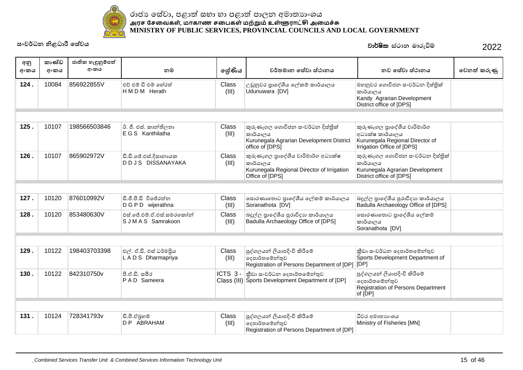

| අනු<br>අංකය | කාණ්ඩ<br>අංකය | ජාතික හැඳුනුම්පත්<br>අංකය | නම                                              | ලේණිය          | වර්තමාන සේවා ස්ථානය                                                                                              | නව සේවා ස්ථානය                                                                                                  | වෙනත් කරුණු |
|-------------|---------------|---------------------------|-------------------------------------------------|----------------|------------------------------------------------------------------------------------------------------------------|-----------------------------------------------------------------------------------------------------------------|-------------|
| 124.        | 10084         | 856922855V                | එච් එම් ඩි එම් හේරත්<br>HMDM Herath             | Class<br>(III) | උඩුනුවර පාදේශීය ලේකම් කාර්යාලය<br>Udunuwara [DV]                                                                 | මහනුවර ගොවිජන සංවර්ධන දිස්තික්<br>කාර්යාලය<br>Kandy Agrarian Development<br>District office of [DPS]            |             |
|             |               |                           |                                                 |                |                                                                                                                  |                                                                                                                 |             |
| 125.        | 10107         | 198566503846              | ඊ. ජී. එස්. කාන්තිලතා<br>E G S Kanthilatha      | Class<br>(III) | කුරුණෑගල ගොවිජන සංවර්ධන දිස්තික්<br>කාර්යාලය<br>Kurunegala Agrarian Development District<br>office of [DPS]      | කුරුණෑගල පුාදේශීය වාරිමාර්ග<br>අධාක්ෂ කාර්යාලය<br>Kurunegala Regional Director of<br>Irrigation Office of [DPS] |             |
| 126.        | 10107         | 865902972V                | ඩී.ඩී.ජේ.එස්.දිසානායක<br>DDJS DISSANAYAKA       | Class<br>(III) | කුරුණෑගල පුාදේශීය වාරිමාර්ග අධාාක්ෂ<br>කාර්යාලය<br>Kurunegala Regional Director of Irrigation<br>Office of [DPS] | කුරුණෑගල ගොවිජන සංවර්ධන දිස්තික්<br>කාර්යාලය<br>Kurunegala Agrarian Development<br>District office of [DPS]     |             |
|             |               |                           |                                                 |                |                                                                                                                  |                                                                                                                 |             |
| 127.        | 10120         | 876010992V                | ඩී.ජී.පී.ඩී විජේරත්ත<br>D G P D wijerathna      | Class<br>(III) | සොරණාතොට පුාදේශීය ලේකම් කාර්යාලය<br>Soranathota [DV]                                                             | බදුල්ල පුාදේශීය පුරාවිදාහ කාර්යාලය<br>Badulla Archaeology Office of [DPS]                                       |             |
| 128.        | 10120         | 853480630V                | එස්.ජේ.එම්.ඒ.එස්.සමරකෝන්<br>S J M A S Samrakoon | Class<br>(III) | බදුල්ල පාදේශීය පුරාවිදාහ කාර්යාලය<br>Badulla Archaeology Office of [DPS]                                         | සොරණාතොට පුාදේශීය ලේකම්<br>කාර්යාලය<br>Soranathota [DV]                                                         |             |
|             |               |                           |                                                 |                |                                                                                                                  |                                                                                                                 |             |
| 129.        | 10122         | 198403703398              | එල්. ඒ.ඩී. එස් ධර්මපිය<br>LADS Dharmapriya      | Class<br>(III) | පුද්ගලයන් ලියාපදිංචි කිරීමේ<br> ලදපාර්තමේන්තුව<br>Registration of Persons Department of [DP] [DP]                | කීඩා සංවර්ධන දෙපාර්තමේන්තුව<br>Sports Development Department of                                                 |             |
| 130.        | 10122         | 842310750v                | පී.ඒ.ඩී. සමීර<br><b>PAD</b> Sameera             | ICTS 3-        | කීඩා සංවර්ධන දෙපාර්තමේන්තුව<br>Class (III) Sports Development Department of [DP]                                 | පුද්ගලයන් ලියාපදිංචි කිරීමේ<br>දෙපාර්තමේන්තුව<br>Registration of Persons Department<br>of [DP]                  |             |
|             |               |                           |                                                 |                |                                                                                                                  |                                                                                                                 |             |
| 131.        | 10124         | 728341793v                | ඩී.පී.ඒබුහම්<br>D P ABRAHAM                     | Class<br>(III) | පුද්ගලයන් ලියාපදිංචි කිරීමේ<br> ලදපාර්තමේන්තුව<br>Registration of Persons Department of [DP]                     | ධීවර අමාතාහංශය<br>Ministry of Fisheries [MN]                                                                    |             |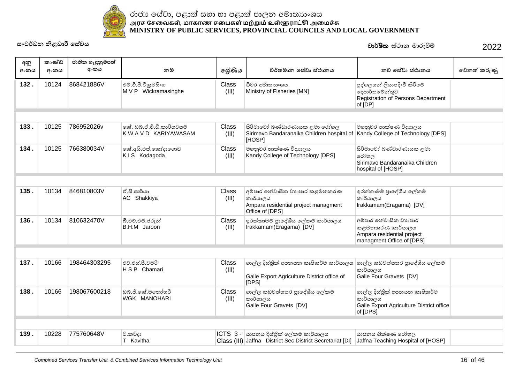

| අනු<br>අංකය | කාණ්ඩ<br>අංකය | ජාතික හැඳුනුම්පත්<br>අංකය | නම                                                 | ලශ්ණිය         | වර්තමාන සේවා ස්ථානය                                                                                  | නව සේවා ස්ථානය                                                                                       | වෙනත් කරුණු |
|-------------|---------------|---------------------------|----------------------------------------------------|----------------|------------------------------------------------------------------------------------------------------|------------------------------------------------------------------------------------------------------|-------------|
| 132.        | 10124         | 868421886V                | එම්.වී.පී.විකුමසිංහ<br>M V P Wickramasinghe        | Class<br>(III) | ධීවර අමාතාහංශය<br>Ministry of Fisheries [MN]                                                         | පුද්ගලයන් ලියාපදිංචි කිරීමේ<br>දෙපාර්තමේන්තුව<br>Registration of Persons Department<br>of [DP]       |             |
|             |               |                           |                                                    |                |                                                                                                      |                                                                                                      |             |
| 133.        | 10125         | 786952026v                | කේ, ඩබ්.ඒ.වි.ඩී.කාරියවසම්<br>K W A V D KARIYAWASAM | Class<br>(III) | සිරිමාවෝ බණ්ඩාරණායක ළමා රෝහල<br>Sirimavo Bandaranaika Children hospital of<br>[HOSP]                 | මහනුවර තාක්ෂණ විදාහලය<br>Kandy College of Technology [DPS]                                           |             |
| 134.        | 10125         | 766380034V                | කේ.අයි.එස්.කෝදාගොඩ<br>KIS Kodagoda                 | Class<br>(III) | මහනුවර තාක්ෂණ විදාහලය<br>Kandy College of Technology [DPS]                                           | සිරිමාවෝ බණ්ඩාරණායක ළමා<br>රෝහල<br>Sirimavo Bandaranaika Children<br>hospital of [HOSP]              |             |
|             |               |                           |                                                    |                |                                                                                                      |                                                                                                      |             |
| 135.        | 10134         | 846810803V                | ඒ.සී.සකියා<br>AC Shakkiya                          | Class<br>(III) | අම්පාර තේවාසික වාහපාර කළමනකරණ<br>කාර්යාලය<br>Ampara residential project managment<br>Office of [DPS] | ඉරක්කාමම් පාදේශීය ලේකම්<br>කාර්යාලය<br>Irakkamam(Eragama) [DV]                                       |             |
| 136.        | 10134         | 810632470V                | බී.එච්.එම්.ජරුන්<br>B.H.M Jaroon                   | Class<br>(III) | ඉරක්කාමම් පාදේශීය ලේකම් කාර්යාලය<br>Irakkamam(Eragama) [DV]                                          | අම්පාර තේවාසික වාහපාර<br>කළමනකරණ කාර්යාලය<br>Ampara residential project<br>managment Office of [DPS] |             |
|             |               |                           |                                                    |                |                                                                                                      |                                                                                                      |             |
| 137.        | 10166         | 198464303295              | එච්.එස්.පී.චමරි<br>H S P Chamari                   | Class<br>(III) | ගාල්ල දිස්තික් අපනයන කෘෂිකර්ම කාර්යාලය<br>Galle Export Agriculture District office of<br>[DPS]       | ගාල්ල කඩවත්සතර පාදේශීය ලේකම්<br>කාර්යාලය<br>Galle Four Gravets [DV]                                  |             |
| 138.        | 10166         | 198067600218              | ඩබ්.ජී.කේ.මනෝහරී<br>WGK MANOHARI                   | Class<br>(III) | ගාල්ල කඩවත්සතර පාදේශීය ලේකම්<br>කාර්යාලය<br>Galle Four Gravets [DV]                                  | ගාල්ල දිස්තික් අපනයන කෘෂිකර්ම<br>කාර්යාලය<br>Galle Export Agriculture District office<br>of [DPS]    |             |
|             |               |                           |                                                    |                |                                                                                                      |                                                                                                      |             |
| 139.        | 10228         | 775760648V                | ටි.කවිදා<br>T Kavitha                              |                | ICTS 3 -  යාපනය දිස්තික් ලේකම් කාර්යාලය<br>Class (III) Jaffna District Sec District Secretariat [DI] | යාපනය ශික්ෂණ රෝහල<br>Jaffna Teaching Hospital of [HOSP]                                              |             |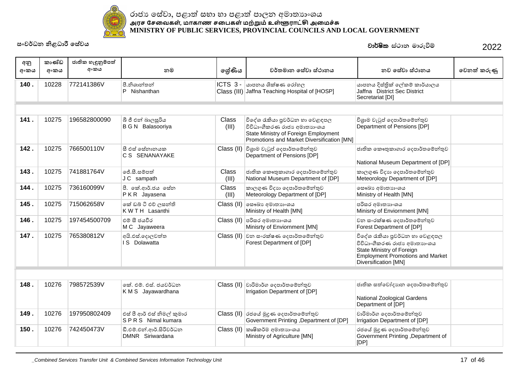

| අනු<br>අංකය | කාණ්ඩ<br>අංකය | ජාතික හැඳුනුම්පත්<br>අංකය | නම                                              | ලශ්ණිය         | වර්තමාන සේවා ස්ථානය                                                                                                                                 | නව සේවා ස්ථානය                                                                                                                                                | වෙනත් කරුණු |
|-------------|---------------|---------------------------|-------------------------------------------------|----------------|-----------------------------------------------------------------------------------------------------------------------------------------------------|---------------------------------------------------------------------------------------------------------------------------------------------------------------|-------------|
| 140.        | 10228         | 772141386V                | පී.නිශාන්තන්<br>P Nishanthan                    |                | $ICTS$ 3 - $\omega$ ාපනය ශික්ෂණ රෝහල<br>Class (III) Jaffna Teaching Hospital of [HOSP]                                                              | යාපනය දිස්තික් ලේකම් කාර්යාලය<br>Jaffna District Sec District<br>Secretariat [DI]                                                                             |             |
|             |               |                           |                                                 |                |                                                                                                                                                     |                                                                                                                                                               |             |
| 141.        | 10275         | 196582800090              | බී ජී එන් බාලසූරිය<br><b>B G N</b> Balasooriya  | Class<br>(III) | විදේශ රැකියා පුවර්ධන හා වෙළඳපල<br>විවිධාංගීකරණ රාජා අමාතාහංශය<br>State Ministry of Foreign Employment<br>Promotions and Market Diversification [MN] | විශුාම වැටුප් දෙපාර්තමේන්තුව<br>Department of Pensions [DP]                                                                                                   |             |
| 142.        | 10275         | 766500110V                | සී එස් සේනානයක<br>C S SENANAYAKE                |                | $Class$ (II) විශුාම වැටුප් දෙපාර්තමේන්තුව<br>Department of Pensions [DP]                                                                            | ජාතික කෞතුකාගාර දෙපාර්තමේන්තුව<br>National Museum Department of [DP]                                                                                          |             |
| 143.        | 10275         | 741881764V                | ජේ.සී.සම්පත්<br>J C sampath                     | Class<br>(III) | ජාතික කෞතුකාගාර දෙපාර්තමේන්තුව<br>National Museum Department of [DP]                                                                                | කාලගුණ විදාහ දෙපාර්තමේන්තුව<br>Meteorology Department of [DP]                                                                                                 |             |
| 144.        | 10275         | 736160099V                | පී. කේ.ආර්.ජය සේත<br>PKR Jayasena               | Class<br>(III) | කාලගුණ විදාහ දෙපාර්තමේන්තුව<br>Meteorology Department of [DP]                                                                                       | ලසෟඛා අමාතාහංශය<br>Ministry of Health [MN]                                                                                                                    |             |
| 145.        | 10275         | 715062658V                | කේ ඩබ් ටී එච් ලසන්ති<br>K W T H Lasanthi        |                | Class (II) ලසංඛා අමාතාගංශය<br>Ministry of Health [MN]                                                                                               | පරිසර අමාතාහංශය<br>Minisrty of Enviornment [MN]                                                                                                               |             |
| 146.        | 10275         | 197454500709              | එම් සී ජයවීර<br>M C Jayaweera                   | Class (II)     | පරිසර අමාතාහංශය<br>Minisrty of Enviornment [MN]                                                                                                     | වන සංරක්ෂණ දෙපාර්තමේන්තුව<br>Forest Department of [DP]                                                                                                        |             |
| 147.        | 10275         | 765380812V                | අයි.එස්.දොලවත්ත<br>IS Dolawatta                 |                | Class (II) වන සංරක්ෂණ දෙපාර්තමේන්තුව<br>Forest Department of [DP]                                                                                   | විදේශ රැකියා පුවර්ධන හා වෙළඳපල<br>විවිධාංගීකරණ රාජා අමාතාහංශය<br>State Ministry of Foreign<br><b>Employment Promotions and Market</b><br>Diversification [MN] |             |
|             |               |                           |                                                 |                |                                                                                                                                                     |                                                                                                                                                               |             |
| 148.        | 10276         | 798572539V                | කේ. එම්. එස්. ජයවර්ධන<br>KMS Jayawardhana       |                | $Class$ (II) වාරිමාර්ග දෙපාර්තමේන්තුව<br>Irrigation Department of [DP]                                                                              | ජාතික සත්වෝදාහන දෙපාර්තමේන්තුව<br>National Zoological Gardens<br>Department of [DP]                                                                           |             |
| 149.        | 10276         | 197950802409              | එස් පී ආර් එස් නිමල් කුමාර<br>SPRS Nimal kumara |                | Class (II) රජයේ මුදුණ දෙපාර්තමේන්තුව<br>Government Printing, Department of [DP]                                                                     | වාරිමාර්ග දෙපාර්තමේන්තුව<br>Irrigation Department of [DP]                                                                                                     |             |
| 150.        | 10276         | 742450473V                | ඩී.එම්.එන්.ආර්.සිරිවර්ධන<br>DMNR Siriwardana    |                | Class (II) කෘෂිකර්ම අමාතාහංශය<br>Ministry of Agriculture [MN]                                                                                       | රජයේ මුදණ දෙපාර්තමේන්තුව<br>Government Printing , Department of<br>[DP]                                                                                       |             |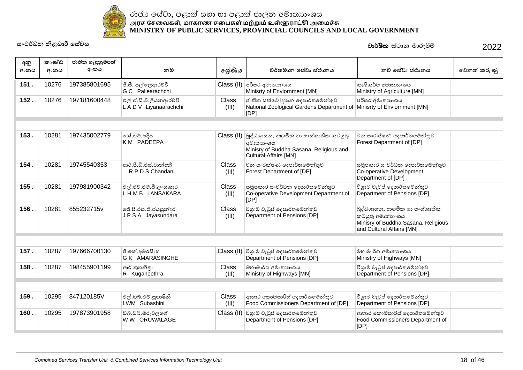

| අනු<br>අංකය | කාණ්ඩ<br>අංකය | ජාතික හැඳුනුම්පත්<br>අංකය | නම                                               | ලශ්ණිය                | වර්තමාන සේවා ස්ථානය                                                                                                                     | නව සේවා ස්ථානය                                                                                                        | වෙනත් කරුණු |
|-------------|---------------|---------------------------|--------------------------------------------------|-----------------------|-----------------------------------------------------------------------------------------------------------------------------------------|-----------------------------------------------------------------------------------------------------------------------|-------------|
| 151.        | 10276         | 197385801695              | ජී.සී. පල්ලෙආරච්චි                               |                       | Class (II) පරිසර අමාතාහංශය                                                                                                              | කෘෂිකර්ම අමාතාහංශය                                                                                                    |             |
|             |               |                           | G C Pallearachchi                                |                       | Minisrty of Enviornment [MN]                                                                                                            | Ministry of Agriculture [MN]                                                                                          |             |
| 152.        | 10276         | 197181600448              | එල්.ඒ.ඩී.වී.ලියනආරච්චි<br>L A D V Liyanaarachchi | Class<br>(III)        | ජාතික සත්වෝදාහන දෙපාර්තමේන්තුව<br>National Zoological Gardens Department of<br>[DP]                                                     | පරිසර අමාතාහංශය<br>Minisrty of Enviornment [MN]                                                                       |             |
|             |               |                           |                                                  |                       |                                                                                                                                         |                                                                                                                       |             |
| 153.        | 10281         | 197435002779              | කේ.එම්.පදීප<br>KM PADEEPA                        |                       | Class (II) බුද්ධශාසන, ආගමික හා සංස්කෘතික කටයුතු<br>අමාතාහංශය<br>Minisry of Buddha Sasana, Religious and<br><b>Cultural Affairs [MN]</b> | වන සංරක්ෂණ දෙපාර්තමේන්තුව<br>Forest Department of [DP]                                                                |             |
| 154.        | 10281         | 19745540353               | ආර්.පී.ඩී.එස්.චාත්දනී<br>R.P.D.S.Chandani        | Class<br>(III)        | වන සංරක්ෂණ දෙපාර්තමේන්තුව<br>Forest Department of [DP]                                                                                  | සමූපකාර සංවර්ධන දෙපාර්තමේන්තුව<br>Co-operative Development<br>Department of [DP]                                      |             |
| 155.        | 10281         | 197981900342              | එල්.එච්.එම්.බී.ලංසකාර<br>LHMB LANSAKARA          | Class<br>(III)        | සමූපකාර සංවර්ධන දෙපාර්තමේන්තුව<br>Co-operative Development Department of<br>[DP]                                                        | විශුාම වැටුප් දෙපාර්තමේන්තුව<br>Department of Pensions [DP]                                                           |             |
| 156.        | 10281         | 855232715v                | ජේ.පී.එස්.ඒ.ජයසූන්දර<br>JPSA Jayasundara         | Class<br>(III)        | විශුාම වැටුප් දෙපාර්තමේන්තුව<br>Department of Pensions [DP]                                                                             | බුද්ධශාසන, ආගමික හා සංස්කෘතික<br>කටයුතු අමාතාහංශය<br>Minisry of Buddha Sasana, Religious<br>and Cultural Affairs [MN] |             |
|             |               |                           |                                                  |                       |                                                                                                                                         |                                                                                                                       |             |
| 157.        | 10287         | 197666700130              | ජී.කේ.අමරසිංහ<br>G K AMARASINGHE                 |                       | Class (II) විශුාම වැටුප් දෙපාර්තමේන්තුව<br>Department of Pensions [DP]                                                                  | මහාමාර්ග අමාතාහංශය<br>Ministry of Highways [MN]                                                                       |             |
| 158.        | 10287         | 198455901199              | ආර්.කුහනීතා<br>R Kuganeethra                     | <b>Class</b><br>(III) | මහාමාර්ග අමාතාහංශය<br>Ministry of Highways [MN]                                                                                         | විශුාම වැටුප් දෙපාර්තමේන්තුව<br>Department of Pensions [DP]                                                           |             |
|             |               |                           |                                                  |                       |                                                                                                                                         |                                                                                                                       |             |
| 159.        | 10295         | 847120185V                | එල්.ඩබ්.එම්.සුහාෂිනී<br>LWM Subashini            | Class<br>(III)        | ආහාර කොමසාරිස් දෙපාර්තමේන්තුව<br>Food Commissioners Department of [DP]                                                                  | විශුාම වැටුප් දෙපාර්තමේන්තුව<br>Department of Pensions [DP]                                                           |             |
| 160.        | 10295         | 197873901958              | ඩබ්.ඩබ්.ඔරුවලගේ<br>W W ORUWALAGE                 | Class (II)            | විශුාම වැටුප් දෙපාර්තමේන්තුව<br>Department of Pensions [DP]                                                                             | ආහාර කොමසාරිස් දෙපාර්තමේන්තුව<br>Food Commissioners Department of<br>[DP]                                             |             |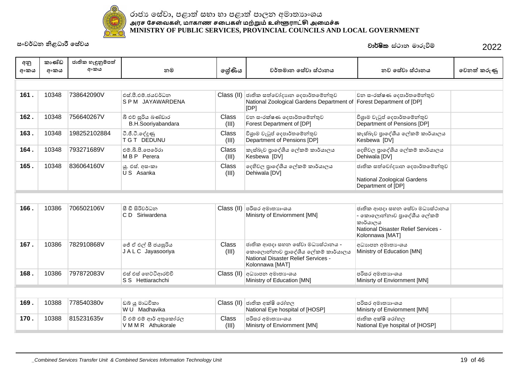

| අනු<br>අංකය | කාණ්ඩ<br>අංකය | ජාතික හැඳුනුම්පත්<br>අංකය | නම                                           | ලශ්ණිය                | වර්තමාන සේවා ස්ථානය                                                                                                            | නව සේවා ස්ථානය                                                                                                                     | වෙනත් කරුණු |
|-------------|---------------|---------------------------|----------------------------------------------|-----------------------|--------------------------------------------------------------------------------------------------------------------------------|------------------------------------------------------------------------------------------------------------------------------------|-------------|
|             |               |                           |                                              |                       |                                                                                                                                |                                                                                                                                    |             |
| 161.        | 10348         | 738642090V                | එස්.පී.එම්.ජයවර්ධන<br>SPM JAYAWARDENA        |                       | Class (II) ජාතික සත්වෝදාහන දෙපාර්තමේන්තුව<br>National Zoological Gardens Department of Forest Department of [DP]<br>[DP]       | වන සංරක්ෂණ දෙපාර්තමේන්තුව                                                                                                          |             |
| 162.        | 10348         | 756640267V                | බී එච් සුරිය බණ්ඩාර<br>B.H.Sooriyabandara    | Class<br>(III)        | වන සංරක්ෂණ දෙපාර්තමේන්තුව<br>Forest Department of [DP]                                                                         | විශුාම වැටුප් දෙපාර්තමේන්තුව<br>Department of Pensions [DP]                                                                        |             |
| 163.        | 10348         | 198252102884              | ටී.ජී.ටී.දේදුණු<br>T G T DEDUNU              | Class<br>(III)        | විශුාම වැටුප් දෙපාර්තමේන්තුව<br>Department of Pensions [DP]                                                                    | කැස්බෑව පාදේශීය ලේකම් කාර්යාලය<br>Kesbewa [DV]                                                                                     |             |
| 164.        | 10348         | 793271689V                | එම්.බී.පී.පෙරේරා<br>MBP Perera               | Class<br>(III)        | කැස්බෑව පාදේශීය ලේකම් කාර්යාලය<br>Kesbewa [DV]                                                                                 | දෙහිවල පුාදේශීය ලේකම් කාර්යාලය<br>Dehiwala [DV]                                                                                    |             |
| 165.        | 10348         | 836064160V                | යු. එස්. අස∘කා<br>U S Asanka                 | Class<br>(III)        | දෙහිවල පුාදේශීය ලේකම් කාර්යාලය<br>Dehiwala [DV]                                                                                | ජාතික සත්වෝදාහන දෙපාර්තමේන්තුව<br>National Zoological Gardens<br>Department of [DP]                                                |             |
|             |               |                           |                                              |                       |                                                                                                                                |                                                                                                                                    |             |
| 166.        | 10386         | 706502106V                | සී ඩී සිරිවර්ධන<br>C D Siriwardena           |                       | Class (II) පරිසර අමාතාගංශය<br>Minisrty of Enviornment [MN]                                                                     | ජාතික ආපදා සහන සේවා මධාාස්ථානය<br>- කොලොන්නාව පුාදේශීය ලේකම්<br>කාර්යාලය<br>National Disaster Relief Services -<br>Kolonnawa [MAT] |             |
| 167.        | 10386         | 782910868V                | ජේ ඒ එල් සී ජයසූරිය<br>J A L C Jayasooriya   | <b>Class</b><br>(III) | ජාතික ආපදා සහන සේවා මධාසේථානය -<br>කොලොන්නාව පුාදේශීය ලේකම් කාර්යාලය<br>National Disaster Relief Services -<br>Kolonnawa [MAT] | අධාහපන අමාතා ශය<br>Ministry of Education [MN]                                                                                      |             |
| 168.        | 10386         | 797872083V                | එස් එස් හෙට්ටිආරච්චි<br>S S Hettiarachchi    |                       | $Class$ (II) අධාහපන අමාතාංශය<br>Ministry of Education [MN]                                                                     | පරිසර අමාතාහංශය<br>Minisrty of Enviornment [MN]                                                                                    |             |
|             |               |                           |                                              |                       |                                                                                                                                |                                                                                                                                    |             |
| 169.        | 10388         | 778540380v                | ඩබ් යු මාධවිකා<br>W U Madhavika              |                       | $Class (II)$ ජාතික අක්ෂි රෝහල<br>National Eye hospital of [HOSP]                                                               | පරිසර අමාතාහංශය<br>Minisrty of Enviornment [MN]                                                                                    |             |
| 170.        | 10388         | 815231635v                | වි එම් එම් ආර් අතුකෝරල<br>V M M R Athukorale | Class<br>(III)        | පරිසර අමාතාහංශය<br>Minisrty of Enviornment [MN]                                                                                | ජාතික අක්ෂි රෝහල<br>National Eye hospital of [HOSP]                                                                                |             |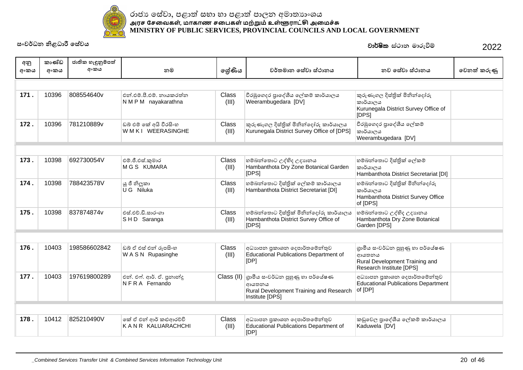

| අනු<br>අංකය | කාණ්ඩ<br>අංකය | ජාතික හැඳුනුම්පත්<br>අංකය | නම                                               | ලශ්ණිය         | වර්තමාන සේවා ස්ථානය                                                                                    | නව සේවා ස්ථානය                                                                                          | වෙනත් කරුණු |
|-------------|---------------|---------------------------|--------------------------------------------------|----------------|--------------------------------------------------------------------------------------------------------|---------------------------------------------------------------------------------------------------------|-------------|
|             |               |                           |                                                  |                |                                                                                                        |                                                                                                         |             |
| 171.        | 10396         | 808554640v                | එන්.එම්.පී.එම්. නායකරත්න<br>N M P M nayakarathna | Class<br>(III) | වීරඹුගෙදර පාදේශීය ලේකම් කාර්යාලය<br>Weerambugedara [DV]                                                | කුරුණෑගල දිස්තික් මිනින්දෝරු<br>කාර්යාලය<br>Kurunegala District Survey Office of<br>[DPS]               |             |
| 172.        | 10396         | 781210889v                | ඩබ් එම් කේ අයි වීරසිංහ<br>WMKI WEERASINGHE       | Class<br>(III) | කුරුණෑගල දිස්තික් මිනින්දෝරු කාර්යාලය<br>Kurunegala District Survey Office of [DPS]                    | වීරඹුගෙදර පාදේශීය ලේකම්<br>කාර්යාලය<br>Weerambugedara [DV]                                              |             |
|             |               |                           |                                                  |                |                                                                                                        |                                                                                                         |             |
| 173.        | 10398         | 692730054V                | එම්.ජී.එස්.කුමාර<br><b>MGS KUMARA</b>            | Class<br>(III) | හම්බන්තොට උද්භිද උදාහනය<br>Hambanthota Dry Zone Botanical Garden<br>[DPS]                              | හම්බන්තොට දිස්තික් ලේකම්<br>කාර්යාලය<br>Hambanthota District Secretariat [DI]                           |             |
| 174.        | 10398         | 788423578V                | ුයු ජී නිලූකා<br>U G Niluka                      | Class<br>(III) | හම්බන්තොට දිස්තික් ලේකම් කාර්යාලය<br>Hambanthota District Secretariat [DI]                             | හම්බන්තොට දිස්තික් මිනින්දෝරු<br>කාර්යාලය<br>Hambanthota District Survey Office<br>of [DPS]             |             |
| 175.        | 10398         | 837874874v                | එස්.එච්.ඩී.සාරංගා<br>SHD Saranga                 | Class<br>(III) | හම්බන්තොට දිස්තික් මිනින්දෝරු කාර්යාලය<br>Hambanthota District Survey Office of<br>[DPS]               | හම්බන්තොට උද්භිද උදාහනය<br>Hambanthota Dry Zone Botanical<br>Garden [DPS]                               |             |
|             |               |                           |                                                  |                |                                                                                                        |                                                                                                         |             |
| 176.        | 10403         | 198586602842              | ඩබ් ඒ එස් එන් රූපසිංහ<br>WASN Rupasinghe         | Class<br>(III) | අධාහපන පුකාශන දෙපාර්තමේන්තුව<br>Educational Publications Department of<br>[DP]                         | ගුාමීය සංවර්ධන පුහුණු හා පර්යේෂණ<br>ආයතනය<br>Rural Development Training and<br>Research Institute [DPS] |             |
| 177.        | 10403         | 197619800289              | එන්. එෆ්. ආර්. ඒ. පුනාන්දු<br>NFRA Fernando      | Class (II)     | ගාමීය සංවර්ධන පුහුණු හා පර්යේෂණ<br>ආයතනය<br>Rural Development Training and Research<br>Institute [DPS] | අධාහපන පුකාශන දෙපාර්තමේන්තුව<br><b>Educational Publications Department</b><br>of [DP]                   |             |
|             |               |                           |                                                  |                |                                                                                                        |                                                                                                         |             |
| 178.        | 10412         | 825210490V                | කේ ඒ එන් ආර් කළුආරච්චි<br>KANR KALUARACHCHI      | Class<br>(III) | අධාහපන පුකාශන දෙපාර්තමේන්තුව<br><b>Educational Publications Department of</b><br>[DP]                  | කඩුවෙල පාදේශීය ලේකම් කාර්යාලය<br>Kaduwela [DV]                                                          |             |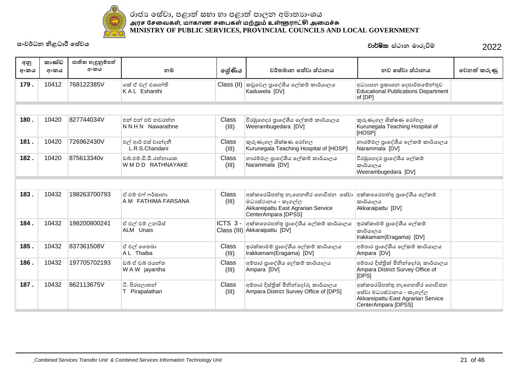

| අනු<br>අංකය | කාණ්ඩ<br>අංකය | ජාතික හැඳුනුම්පත්<br>අංකය | නම                                               | ලේණිය          | වර්තමාන සේවා ස්ථානය                                                                                                   | නව සේවා ස්ථානය                                                                                                        | වෙනත් කරුණු |
|-------------|---------------|---------------------------|--------------------------------------------------|----------------|-----------------------------------------------------------------------------------------------------------------------|-----------------------------------------------------------------------------------------------------------------------|-------------|
| 179.        | 10412         | 768122385V                | කේ ඒ එල් එශාන්ති<br>KAL Eshanthi                 |                | Class (II) කඩුවෙල පුාදේශීය ලේකම් කාර්යාලය<br>Kaduwela [DV]                                                            | අධාහපන පුකාශන දෙපාර්තමේන්තුව<br><b>Educational Publications Department</b><br>of [DP]                                 |             |
|             |               |                           |                                                  |                |                                                                                                                       |                                                                                                                       |             |
| 180.        | 10420         | 827744034V                | එන් එන් එව් නවරත්න<br>NNHN Nawarathne            | Class<br>(III) | වීරඹුගෙදර පාදේශීය ලේකම් කාර්යාලය<br>Weerambugedara [DV]                                                               | කුරුණෑගල ශික්ෂණ රෝහල<br>Kurunegala Teaching Hospital of<br>[HOSP]                                                     |             |
| 181.        | 10420         | 726962430V                | එල් ආර් එස් වාන්දනී<br>L.R.S.Chandani            | Class<br>(III) | කුරුණෑගල ශික්ෂණ රෝහල<br>Kurunegala Teaching Hospital of [HOSP]                                                        | නාරම්මල පුාදේශීය ලේකම් කාර්යාලය<br>Narammala [DV]                                                                     |             |
| 182.        | 10420         | 875613340v                | ඩුබ්, එම්, ඩී, ඩී, රත්නායක<br>W M D D RATHNAYAKE | Class<br>(III) | නාරම්මල පුාදේශීය ලේකම් කාර්යාලය<br>Narammala [DV]                                                                     | වීරඹුගෙදර පුාදේශීය ලේකම්<br>කාර්යාලය<br>Weerambugedara [DV]                                                           |             |
|             |               |                           |                                                  |                |                                                                                                                       |                                                                                                                       |             |
| 183.        | 10432         | 198263700793              | ඒ එම් එෆ් ෆර්සානා<br>A M FATHIMA FARSANA         | Class<br>(III) | අක්කරෙයිපත්තු නැගෙනහිර ගොවිජන සේවා<br>මධාසේථානය - කෑගල්ල<br>Akkareipattu East Agrarian Service<br>CenterAmpara [DPSS] | අක්ක ෛරපත්තු පාදේශීය ලේකම්<br>කාර්යාලය<br>Akkaraipattu [DV]                                                           |             |
| 184.        | 10432         | 198200800241              | ඒ එල් එම් උනයිස්<br>ALM Unais                    | ICTS 3-        | අක්ක ෛරපත්තු පාදේශීය ලේකම් කාර්යාලය<br>Class (III) Akkaraipattu [DV]                                                  | ඉරක්කාමම් පාදේශීය ලේකම්<br>කාර්යාලය<br>Irakkamam(Eragama) [DV]                                                        |             |
| 185.        | 10432         | 837361508V                | ඒ එල් නෙබා<br>A L Thaiba                         | Class<br>(III) | ඉරක්කාමම් පාදේශීය ලේකම් කාර්යාලය<br>Irakkamam(Eragama) [DV]                                                           | අම්පාර පුාදේශීය ලේකම් කාර්යාලය<br>Ampara [DV]                                                                         |             |
| 186.        | 10432         | 197705702193              | ඩුබ් ඒ ඩුබ් ජයන්ත<br>W A W jayantha              | Class<br>(III) | අම්පාර පාදේශීය ලේකම් කාර්යාලය<br>Ampara [DV]                                                                          | අම්පාර දිස්තික් මිනින්දෝරු කාර්යාලය<br>Ampara District Survey Office of<br>[DPS]                                      |             |
| 187.        | 10432         | 862113675V                | ටී. පිරපලාතුන්<br>T Pirapalathan                 | Class<br>(III) | අම්පාර දිස්තික් මිනින්දෝරු කාර්යාලය<br>Ampara District Survey Office of [DPS]                                         | අක්කරෙයිපත්තු නැගෙනහිර ගොවිජන<br>සේවා මධාසේථානය - කෑගල්ල<br>Akkareipattu East Agrarian Service<br>CenterAmpara [DPSS] |             |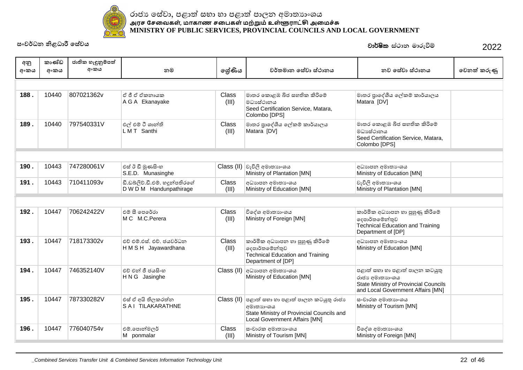

| අනු  | කාණ්ඩ | ජාතික හැඳුනුම්පත් |                                 |                |                                                         |                                                                                   |             |
|------|-------|-------------------|---------------------------------|----------------|---------------------------------------------------------|-----------------------------------------------------------------------------------|-------------|
| අංකය | අංකය  | අංකය              | නම                              | ලශ්ණිය         | වර්තමාන සේවා ස්ථානය                                     | නව සේවා ස්ථානය                                                                    | වෙනත් කරුණු |
|      |       |                   |                                 |                |                                                         |                                                                                   |             |
|      |       |                   |                                 |                |                                                         |                                                                                   |             |
| 188. | 10440 | 807021362v        | ඒ ජී ඒ ඒකතායක                   | Class          | මාතර කොළඹ බිජ සහතික කිරිමේ                              | මාතර පුාදේශීය ලේකම් කාර්යාලය                                                      |             |
|      |       |                   | A G A Ekanayake                 | (III)          | මධාසේථානය<br>Seed Certification Service, Matara,        | Matara [DV]                                                                       |             |
|      |       |                   |                                 |                | Colombo [DPS]                                           |                                                                                   |             |
| 189. | 10440 | 797540331V        | එල් එම් ටී ශාන්ති               | Class          | මාතර පුාදේශීය ලේකම් කාර්යාලය                            | මාතර කොළඹ බිජ සහතික කිරිමේ                                                        |             |
|      |       |                   | LMT Santhi                      | (III)          | Matara [DV]                                             | මධාසේථානය                                                                         |             |
|      |       |                   |                                 |                |                                                         | Seed Certification Service, Matara,<br>Colombo [DPS]                              |             |
|      |       |                   |                                 |                |                                                         |                                                                                   |             |
|      |       |                   |                                 |                |                                                         |                                                                                   |             |
| 190. | 10443 | 747280061V        | එස් ඊ ඩී මුණසිංහ                |                | Class (II) වැවිලි අමාතාහංශය                             | අධාහපන අමාතා ශය                                                                   |             |
|      |       |                   | S.E.D. Munasinghe               |                | Ministry of Plantation [MN]                             | Ministry of Education [MN]                                                        |             |
| 191. | 10443 | 710411093v        | ඩී.ඩබ්ලිව්.ඩී.එම්. හදූන්පතිරගේ  | Class          | අධාහපන අමාතා ෙශය                                        | වැවිලි අමාතාගංශය                                                                  |             |
|      |       |                   | D W D M Handunpathirage         | (III)          | Ministry of Education [MN]                              | Ministry of Plantation [MN]                                                       |             |
|      |       |                   |                                 |                |                                                         |                                                                                   |             |
|      |       |                   |                                 |                |                                                         |                                                                                   |             |
| 192. | 10447 | 706242422V        | එම් සී පෙරේරා<br>M C M.C.Perera | Class<br>(III) | විදේශ අමාතාහංශය<br>Ministry of Foreign [MN]             | කාර්මික අධාහපන හා පුහුණු කිරීමේ<br>දෙපාර්තමේන්තුව                                 |             |
|      |       |                   |                                 |                |                                                         | <b>Technical Education and Training</b>                                           |             |
|      |       |                   |                                 |                |                                                         | Department of [DP]                                                                |             |
| 193. | 10447 | 718173302v        | එච් එම් එස්, එච්, ජයවර්ධන       | Class          | කාර්මික අධාහපන හා පුහුණු කිරීමේ                         | අධාහපන අමාතා ශය                                                                   |             |
|      |       |                   | HMSH Jayawardhana               | (III)          | දෙපාර්තමේන්තුව                                          | Ministry of Education [MN]                                                        |             |
|      |       |                   |                                 |                | <b>Technical Education and Training</b>                 |                                                                                   |             |
|      |       |                   |                                 |                | Department of [DP]                                      |                                                                                   |             |
| 194. | 10447 | 746352140V        | එච් එන් ජී ජයසිංහ               |                | Class (II) අධාහාපන අමාතාංශය                             | පළාත් සභා හා පළාත් පාලන කටයුතු                                                    |             |
|      |       |                   | H N G Jasinghe                  |                | Ministry of Education [MN]                              | රාජා අමාතාහංශය                                                                    |             |
|      |       |                   |                                 |                |                                                         | <b>State Ministry of Provincial Councils</b><br>and Local Government Affairs [MN] |             |
| 195. | 10447 | 787330282V        | එස් ඒ අයි තිලකරත්න              |                | $\text{Class (II)}$ පළාත් සහා හා පළාත් පාලන කටයුතු රාජා | සංචාරක අමාතාහංශය                                                                  |             |
|      |       |                   | SAI TILAKARATHNE                |                | <u>අමාතාහංශය</u>                                        | Ministry of Tourism [MN]                                                          |             |
|      |       |                   |                                 |                | State Ministry of Provincial Councils and               |                                                                                   |             |
|      |       |                   |                                 |                | Local Government Affairs [MN]                           |                                                                                   |             |
| 196. | 10447 | 776040754v        | එම්.පොන්මලර්                    | Class          | සංචාරක අමාතාහංශය                                        | විදේශ අමාතාහංශය                                                                   |             |
|      |       |                   | M ponmalar                      | (III)          | Ministry of Tourism [MN]                                | Ministry of Foreign [MN]                                                          |             |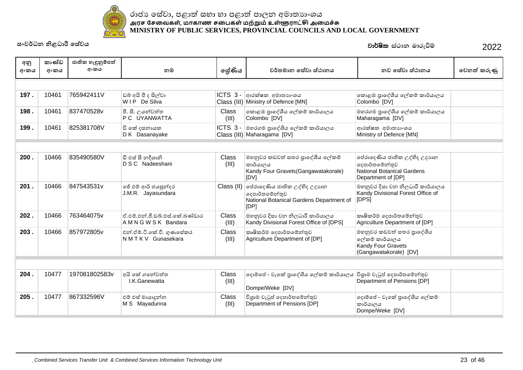

**˦ʭˣə˗˘ǧ˨˗˫ɝ˳˦ʢˣˠ** 2022 වාර්ෂික ස්ථාන මාරුවීම්

| අනු<br>අංකය | කාණ්ඩ<br>අංකය | ජාතික හැඳුනුම්පත්<br>අංකය | නම                                                      | ලේණිය                 | වර්තමාන සේවා ස්ථානය                                                                                | නව සේවා ස්ථානය                                                                                            | වෙනත් කරුණු |
|-------------|---------------|---------------------------|---------------------------------------------------------|-----------------------|----------------------------------------------------------------------------------------------------|-----------------------------------------------------------------------------------------------------------|-------------|
|             |               |                           |                                                         |                       |                                                                                                    |                                                                                                           |             |
| 197.        | 10461         | 765942411V                | ඩබ් අයි පී ද සිල්වා<br>WIP De Silva                     | ICTS 3-               | ආරක්ෂක අමාතාහංශය<br>Class (III) Ministry of Defence [MN]                                           | කොළඹ පුාදේශීය ලේකම් කාර්යාලය<br>Colombo [DV]                                                              |             |
| 198.        | 10461         | 837470528v                | පී. සී. උයන්වත්ත<br>P C UYANWATTA                       | <b>Class</b><br>(III) | කොළඹ පුාදේශීය ලේකම් කාර්යාලය<br>Colombo [DV]                                                       | මහරගම පාදේශීය ලේකම් කාර්යාලය<br>Maharagama [DV]                                                           |             |
| 199.        | 10461         | 825381708V                | ඩි කේ දසනායක<br>D K Dasanayake                          |                       | ICTS 3 - මහරගම පුාදේශීය ලේකම් කාර්යාලය<br>Class (III) Maharagama [DV]                              | ආරක්ෂක අමාතාහංශය<br>Ministry of Defence [MN]                                                              |             |
|             |               |                           |                                                         |                       |                                                                                                    |                                                                                                           |             |
| 200.        | 10466         | 835490580V                | ඩී එස් සී නදීශානි<br>D S C Nadeeshani                   | Class<br>(III)        | මහනුවර කඩවත් සතර පාදේශීය ලේකම්<br>කාර්යාලය<br>Kandy Four Gravets (Gangawatakorale)<br>[DV]         | පේරාදෙණිය ජාතික උද්භිද උදාහන<br>දෙපාර්තමේන්තුව<br><b>National Botanical Gardens</b><br>Department of [DP] |             |
| 201.        | 10466         | 847543531v                | ජේ එම් ආර් ජයසුන්දර<br>J.M.R. Jayasundara               | Class (II)            | මේරාදෙණිය ජාතික උද්භිද උදාහන<br>දෙපාර්තමේන්තුව<br>National Botanical Gardens Department of<br>[DP] | මහනුවර දිසා වන නිලධාරී කාර්යාලය<br>Kandy Divisional Forest Office of<br>[DPS]                             |             |
| 202.        | 10466         | 763464075v                | ඒ එම් එන් ජී ඩබ් එස් කේ බණ්ඩාර<br>A M N G W S K Bandara | Class<br>(III)        | මහනුවර දිසා වන නිලධාරී කාර්යාලය<br>Kandy Divisional Forest Office of [DPS]                         | කෘෂිකර්ම දෙපාර්තමේන්තුව<br>Agriculture Department of [DP]                                                 |             |
| 203.        | 10466         | 857972805v                | එන්.ඒම්.ටී.කේ.වී. ගුණසේකර<br>NMTKV Gunasekara           | Class<br>(III)        | කෘෂිකර්ම දෙපාර්තමේන්තුව<br>Agriculture Department of [DP]                                          | මහනුවර කඩවත් සතර පාදේශීය<br>ලේකම් කාර්යාලය<br>Kandy Four Gravets<br>(Gangawatakorale) [DV]                |             |
|             |               |                           |                                                         |                       |                                                                                                    |                                                                                                           |             |
| 204.        | 10477         | 197081802583v             | අයි කේ ගතේවත්ත<br>I.K.Ganewatta                         | <b>Class</b><br>(III) | ලදාම්පේ - වෑකේ පුාදේශීය ලේකම් කාර්යාලය<br>Dompe/Weke [DV]                                          | විශුාම වැටුප් දෙපාර්තමේන්තුව<br>Department of Pensions [DP]                                               |             |
| 205.        | 10477         | 867332596V                | එම් එස් මායාදූන්න<br>M S Mayadunna                      | Class<br>(III)        | විශුාම වැටුප් දෙපාර්තමේන්තුව<br>Department of Pensions [DP]                                        | දොම්පේ - වෑකේ පුාදේශීය ලේකම්<br>කාර්යාලය<br>Dompe/Weke [DV]                                               |             |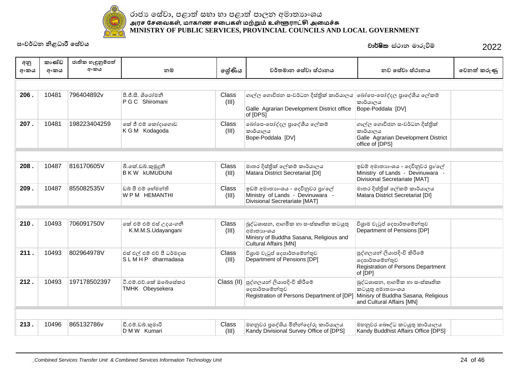

| අනු  | කාණ්ඩ | ජාතික හැඳුනුම්පත් |                                                 |                |                                                                                                                                |                                                                                                                       |             |
|------|-------|-------------------|-------------------------------------------------|----------------|--------------------------------------------------------------------------------------------------------------------------------|-----------------------------------------------------------------------------------------------------------------------|-------------|
| අංකය | අංකය  | අංකය              | නම                                              | ලේණිය          | වර්තමාන සේවා ස්ථානය                                                                                                            | නව සේවා ස්ථානය                                                                                                        | වෙනත් කරුණු |
|      |       |                   |                                                 |                |                                                                                                                                |                                                                                                                       |             |
| 206. | 10481 | 796404892v        | පී.ජී.සී. ශිරෝමනී<br>P G C Shiromani            | Class<br>(III) | ගාල්ල ගොවිජන සංවර්ධන දිස්තික් කාර්යාලය<br>Galle Agrarian Development District office<br>of [DPS]                               | බෝපෙ-පෝද්දල පුාදේශීය ලේකම්<br>කාර්යාලය<br>Bope-Poddala [DV]                                                           |             |
| 207. | 10481 | 198223404259      | කේ ජී එම් කෝදාගොඩ<br>K G M Kodagoda             | Class<br>(III) | බෝපෙ-පෝද්දල පුාදේශීය ලේකම්<br>කාර්යාලය<br>Bope-Poddala [DV]                                                                    | ගාල්ල ගොවිජන සංවර්ධන දිස්තික්<br>කාර්යාලය<br>Galle Agrarian Development District<br>office of [DPS]                   |             |
|      |       |                   |                                                 |                |                                                                                                                                |                                                                                                                       |             |
| 208. | 10487 | 816170605V        | බී.කේ.ඩබ්.කුමුදුනී<br><b>BKW KUMUDUNI</b>       | Class<br>(III) | මාතර දිස්තික් ලේකම් කාර්යාලය<br>Matara District Secretariat [DI]                                                               | ඉඩම් අමාතාහංශය - දෙවිනුවර පුා/ලේ<br>Ministry of Lands - Devinuwara -<br>Divisional Secretariate [MAT]                 |             |
| 209. | 10487 | 855082535V        | ඩබ් පී එම් හේමන්ති<br>WPM HEMANTHI              | Class<br>(III) | ඉඩම් අමාතාහංශය - දෙවිනුවර පුා/ලේ<br>Ministry of Lands - Devinuwara -<br>Divisional Secretariate [MAT]                          | මාතර දිස්තික් ලේකම් කාර්යාලය<br>Matara District Secretariat [DI]                                                      |             |
|      |       |                   |                                                 |                |                                                                                                                                |                                                                                                                       |             |
| 210. | 10493 | 706091750V        | ංක් එම් එම් එස් උදයංගනී<br>K.M.M.S.Udayangani   | Class<br>(III) | බුද්ධශාසන, ආගමික හා සංස්කෘතික කටයුතු<br>  අමාතාහංශය<br>Minisry of Buddha Sasana, Religious and<br><b>Cultural Affairs [MN]</b> | විශුාම වැටුප් දෙපාර්තමේන්තුව<br>Department of Pensions [DP]                                                           |             |
| 211. | 10493 | 802964978V        | එස් එල් එම් එච් පී ධර්මදාස<br>SLMHP dharmadasa  | Class<br>(III) | විශුාම වැටුප් දෙපාර්තමේන්තුව<br>Department of Pensions [DP]                                                                    | පුද්ගලයන් ලියාපදිංචි කිරීමේ<br>දෙපාර්තමේන්තුව<br>Registration of Persons Department<br>of [DP]                        |             |
| 212. | 10493 | 197178502397      | ටී.එම්.එව්.කේ ඔබේසේකර<br><b>TMHK Obeysekera</b> | Class (II)     | පුද්ගලයන් ලියාපදිංචි කිරීමේ<br>දෙපාර්තමේන්තුව<br>Registration of Persons Department of [DP]                                    | බුද්ධශාසන, ආගමික හා සංස්කෘතික<br>කටයුතු අමාතාගංශය<br>Minisry of Buddha Sasana, Religious<br>and Cultural Affairs [MN] |             |
|      |       |                   |                                                 |                |                                                                                                                                |                                                                                                                       |             |
| 213. | 10496 | 865132786v        | ඩී.එම්.ඩබ්.කුමාරි<br>D M W Kumari               | Class<br>(III) | මහනුවර පුදේශිය මිනින්දෝරු කාර්යාලය<br>Kandy Divisional Survey Office of [DPS]                                                  | මහනුවර බෞද්ධ කටයුතු කාර්යාලය<br>Kandy Buddhist Affairs Office [DPS]                                                   |             |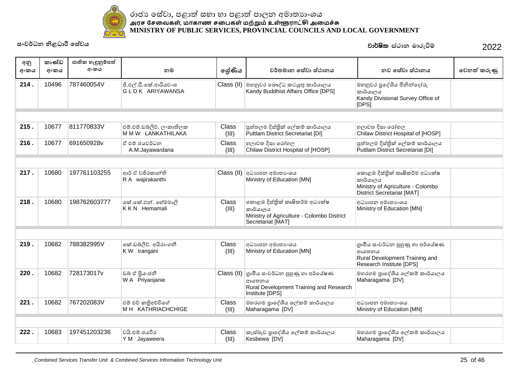

| අනු<br>අංකය | කාණ්ඩ<br>අංකය | ජාතික හැඳුනුම්පත්<br>අංකය | නම                                              | ලේණිය          | වර්තමාන සේවා ස්ථානය                                                                                           | නව සේවා ස්ථානය                                                                                                       | වෙනත් කරුණු |
|-------------|---------------|---------------------------|-------------------------------------------------|----------------|---------------------------------------------------------------------------------------------------------------|----------------------------------------------------------------------------------------------------------------------|-------------|
| 214.        | 10496         | 787460054V                | ජී.එල්.ඩී.කේ.ආරියවංශ<br>GLDK ARIYAWANSA         |                | Class (II) මහනුවර බෞද්ධ කටයුතු කාර්යාලය<br>Kandy Buddhist Affairs Office [DPS]                                | මහනුවර පුදේශිය මිනින්දෝරු<br>කාර්යාලය<br>Kandy Divisional Survey Office of<br>[DPS]                                  |             |
|             |               |                           |                                                 |                |                                                                                                               |                                                                                                                      |             |
| 215.        | 10677         | 811770833V                | එම්.එම්.ඩබ්ලිව්. ලංකාතිලක<br>M M W LANKATHILAKA | Class<br>(III) | පුත්තලම දිස්තික් ලේකම් කාර්යාලය<br>Puttlam District Secretariat [DI]                                          | හලාවත දිසා රෝහල<br>Chilaw District Hospital of [HOSP]                                                                |             |
| 216.        | 10677         | 691650928v                | ඒ එම් ජයවර්ධන<br>A.M.Jayawardana                | Class<br>(III) | හලාවත දිසා රෝහල<br>Chilaw District Hospital of [HOSP]                                                         | පුත්තලම දිස්තික් ලේකම් කාර්යාලය<br>Puttlam District Secretariat [DI]                                                 |             |
|             |               |                           |                                                 |                |                                                                                                               |                                                                                                                      |             |
| 217.        | 10680         | 197761103255              | ආර් ඒ වජිරකාන්ති<br>R A wajirakanthi            | Class (II)     | අධාහපන අමාතා ංශය<br>Ministry of Education [MN]                                                                | කොළඹ දිස්තික් කෘෂිකර්ම අධා ක්ෂ<br>කාර්යාලය<br>Ministry of Agriculture - Colombo<br><b>District Secretariat [MAT]</b> |             |
| 218.        | 10680         | 198762603777              | කේ.කේ.එන්. හේමමාලි<br><b>KKN</b> Hemamali       | Class<br>(III) | කොළඹ දිස්තික් කෘෂිකර්ම අධාපක්ෂ<br>කාර්යාලය<br>Ministry of Agriculture - Colombo District<br>Secretariat [MAT] | අධාහපන අමාතා ෙශය<br>Ministry of Education [MN]                                                                       |             |
|             |               |                           |                                                 |                |                                                                                                               |                                                                                                                      |             |
| 219.        | 10682         | 788382995V                | කේ.ඩබ්ලිව්. අයිරාංගනී<br>KW Irangani            | Class<br>(III) | අධාහපන අමාතා ංශය<br>Ministry of Education [MN]                                                                | ගුාමීය සංවර්ධන පුහුණු හා පර්යේෂණ<br>ආයතනය<br>Rural Development Training and<br>Research Institute [DPS]              |             |
| 220.        | 10682         | 728173017v                | ඩබ් ඒ පිුයංජනී<br>W A Priyanjanie               | Class (II)     | ගාමීය සංවර්ධන පුහුණු හා පර්යේෂණ<br>ආයතනය<br>Rural Development Training and Research<br>Institute [DPS]        | මහරගම පාදේශීය ලේකම් කාර්යාලය<br>Maharagama [DV]                                                                      |             |
| 221.        | 10682         | 767202083V                | එම් එච් කතිඅච්චිගේ<br>M H KATHRIACHCHIGE        | Class<br>(III) | මහරගම පාදේශීය ලේකම් කාර්යාලය<br>Maharagama [DV]                                                               | අධාහපන අමාතා ෙශය<br>Ministry of Education [MN]                                                                       |             |
|             |               |                           |                                                 |                |                                                                                                               |                                                                                                                      |             |
| 222.        | 10683         | 197451203236              | වයි.එම්.ජයවීර<br>Y M Jayaweera                  | Class<br>(III) | කැස්බෑව පාදේශීය ලේකම් කාර්යාලය<br>Kesbewa [DV]                                                                | මහරගම පාදේශීය ලේකම් කාර්යාලය<br>Maharagama [DV]                                                                      |             |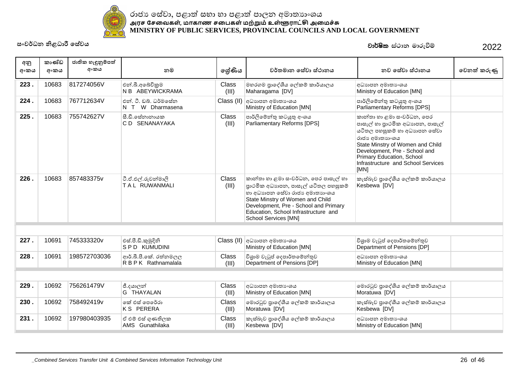

| අනු<br>අංකය | කාණ්ඩ<br>අංකය | ජාතික හැඳුනුම්පත්<br>අංකය | නම                                            | ලශ්ණිය         | වර්තමාන සේවා ස්ථානය                                                                                                                                                                                                                                       | නව සේවා ස්ථානය                                                                                                                                                                                                                                                   | වෙනත් කරුණු |
|-------------|---------------|---------------------------|-----------------------------------------------|----------------|-----------------------------------------------------------------------------------------------------------------------------------------------------------------------------------------------------------------------------------------------------------|------------------------------------------------------------------------------------------------------------------------------------------------------------------------------------------------------------------------------------------------------------------|-------------|
| 223.        | 10683         | 817274056V                | එන්.බී.අබේවිකුම<br>N B ABEYWICKRAMA           | Class<br>(III) | මහරගම පාදේශීය ලේකම් කාර්යාලය<br>Maharagama [DV]                                                                                                                                                                                                           | අධාහපන අමාතා ශය<br>Ministry of Education [MN]                                                                                                                                                                                                                    |             |
| 224.        | 10683         | 767712634V                | එන්. ටී. ඩබ්. ධර්මසේන<br>W Dharmasena<br>N T  | Class (II)     | අධාහපන අමාතා ෙශය<br>Ministry of Education [MN]                                                                                                                                                                                                            | පාර්ලිමේන්තු කටයුතු අංශය<br>Parliamentary Reforms [DPS]                                                                                                                                                                                                          |             |
| 225.        | 10683         | 755742627V                | සී.ඩී.සේනානායක<br>C D SENANAYAKA              | Class<br>(III) | පාර්ලිමේන්තු කටයුතු අංශය<br>Parliamentary Reforms [DPS]                                                                                                                                                                                                   | කාන්තා හා ළමා සංවර්ධන, පෙර<br>පාසැල් හා පුාථමික අධාහපන, පාසැල්<br>යටිතල පහසුකම් හා අධාහපන සේවා<br>රාජා අමාතාගංශය<br>State Minstry of Women and Child<br>Development, Pre - School and<br>Primary Education, School<br>Infrastructure and School Services<br>[MN] |             |
| 226.        | 10683         | 857483375v                | ටී.ඒ.එල්.රුවන්මාලි<br>TAL RUWANMALI           | Class<br>(III) | කාන්තා හා ළමා සංවර්ධන, පෙර පාසැල් හා<br>පාථමික අධාහපන, පාසැල් යටිතල පහසුකම්<br>හා අධාහපන සේවා රාජා අමාතාහංශය<br>State Minstry of Women and Child<br>Development, Pre - School and Primary<br>Education, School Infrastructure and<br>School Services [MN] | කැස්බෑව පාදේශීය ලේකම් කාර්යාලය<br>Kesbewa [DV]                                                                                                                                                                                                                   |             |
|             |               |                           |                                               |                |                                                                                                                                                                                                                                                           |                                                                                                                                                                                                                                                                  |             |
| 227.        | 10691         | 745333320v                | එස්.පී.ඩී.කුමුදිනි<br><b>SPD KUMUDINI</b>     |                | Class (II) අධාහාපන අමාතාංශය<br>Ministry of Education [MN]                                                                                                                                                                                                 | විශුාම වැටුප් දෙපාර්තමේන්තුව<br>Department of Pensions [DP]                                                                                                                                                                                                      |             |
| 228.        | 10691         | 198572703036              | ආර්.බී.පී.කේ. රත්නමලල<br>R B P K Rathnamalala | Class<br>(III) | විශාම වැටුප් දෙපාර්තමේන්තුව<br>Department of Pensions [DP]                                                                                                                                                                                                | අධාහපන අමාතා ශය<br>Ministry of Education [MN]                                                                                                                                                                                                                    |             |
|             |               |                           |                                               |                |                                                                                                                                                                                                                                                           |                                                                                                                                                                                                                                                                  |             |
| 229.        | 10692         | 756261479V                | ජී.දයාලන්<br>G THAYALAN                       | Class<br>(III) | අධාහපන අමාතා ංශය<br>Ministry of Education [MN]                                                                                                                                                                                                            | මොරටුව පාදේශීය ලේකම් කාර්යාලය<br>Moratuwa [DV]                                                                                                                                                                                                                   |             |
| 230.        | 10692         | 758492419v                | කේ එස් පෙරේරා<br><b>KS PERERA</b>             | Class<br>(III) | මොරටුව පුාදේශීය ලේකම් කාර්යාලය<br>Moratuwa [DV]                                                                                                                                                                                                           | කැස්බෑව පාදේශීය ලේකම් කාර්යාලය<br>Kesbewa [DV]                                                                                                                                                                                                                   |             |
| 231.        | 10692         | 197980403935              | ඒ එම් එස් ගුණතිලක<br>AMS Gunathilaka          | Class<br>(III) | කැස්බෑව පාදේශීය ලේකම් කාර්යාලය<br>Kesbewa [DV]                                                                                                                                                                                                            | අධාහපන අමාතා ශය<br>Ministry of Education [MN]                                                                                                                                                                                                                    |             |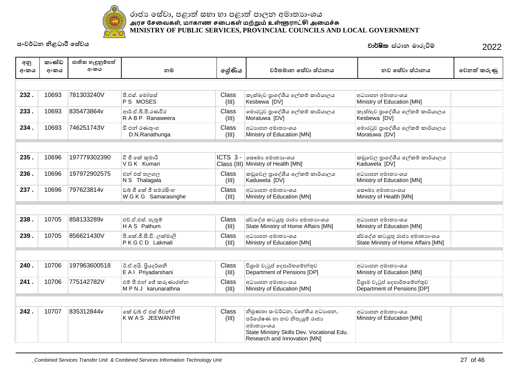

| අනු  | කාණ්ඩ<br>අංකය | ජාතික හැඳුනුම්පත්<br>අංකය | නම                                           |                | වර්තමාන සේවා ස්ථානය                                                                                                                                        | නව සේවා ස්ථානය                                                      | වෙනත් කරුණු |
|------|---------------|---------------------------|----------------------------------------------|----------------|------------------------------------------------------------------------------------------------------------------------------------------------------------|---------------------------------------------------------------------|-------------|
| අංකය |               |                           |                                              | ලශ්ණිය         |                                                                                                                                                            |                                                                     |             |
|      |               |                           |                                              |                |                                                                                                                                                            |                                                                     |             |
| 232. | 10693         | 781303240V                | පී.එස්. මෝසස්<br>PS MOSES                    | Class<br>(III) | කැස්බෑව පාදේශීය ලේකම් කාර්යාලය<br>Kesbewa [DV]                                                                                                             | අධාහපන අමාතා ශය<br>Ministry of Education [MN]                       |             |
| 233. | 10693         | 835473864v                | ආර්.ඒ.බී.පී.රණවීර<br>RABP Ranaweera          | Class<br>(III) | මොරටුව පුාදේශීය ලේකම් කාර්යාලය<br>Moratuwa [DV]                                                                                                            | කැස්බෑව පුාදේශීය ලේකම් කාර්යාලය<br>Kesbewa [DV]                     |             |
| 234. | 10693         | 746251743V                | ඩී එන් රණතුංග<br>D.N.Ranathunga              | Class<br>(III) | අධාහපන අමාතා ෙශය<br>Ministry of Education [MN]                                                                                                             | මොරටුව පුාදේශීය ලේකම් කාර්යාලය<br>Moratuwa [DV]                     |             |
|      |               |                           |                                              |                |                                                                                                                                                            |                                                                     |             |
| 235. | 10696         | 197779302390              | වී ජී කේ කුමාරි<br>V G K Kumari              | ICTS 3-        | ලසෟඛා අමාතාහංශය<br>Class (III) Ministry of Health [MN]                                                                                                     | කඩුවෙල පාදේශීය ලේකම් කාර්යාලය<br>Kaduwela [DV]                      |             |
| 236. | 10696         | 197972902575              | එන් එස් තලගල<br>N S Thalagala                | Class<br>(III) | කඩුවෙල පාදේශීය ලේකම් කාර්යාලය<br>Kaduwela [DV]                                                                                                             | අධාහපන අමාතා ංශය<br>Ministry of Education [MN]                      |             |
| 237. | 10696         | 797623814v                | ඩබ් ජී කේ ජී සමරසිංහ<br>W G K G Samarasinghe | Class<br>(III) | අධාහපන අමාතා ශය<br>Ministry of Education [MN]                                                                                                              | ලසෟඛා අමාතාගංශය<br>Ministry of Health [MN]                          |             |
|      |               |                           |                                              |                |                                                                                                                                                            |                                                                     |             |
| 238. | 10705         | 858133289v                | එච්.ඒ.එස්. පැතුම්<br>HAS Pathum              | Class<br>(III) | ස්වදේශ කටයුතු රාජා අමාතාහංශය<br>State Ministry of Home Affairs [MN]                                                                                        | අධාහපන අමාතා ශය<br>Ministry of Education [MN]                       |             |
| 239. | 10705         | 856621430V                | පී.කේ.ජී.සී.ඩී. ලක්මාලි<br>PKGCD Lakmali     | Class<br>(III) | අධාහපන අමාතා ශය<br>Ministry of Education [MN]                                                                                                              | ස්වදේශ කටයුතු රාජා අමාතාගංශය<br>State Ministry of Home Affairs [MN] |             |
|      |               |                           |                                              |                |                                                                                                                                                            |                                                                     |             |
| 240. | 10706         | 197963600518              | ඊ.ඒ.අයි. පියදර්ශනී<br>E A I Priyadarshani    | Class<br>(III) | විශුාම වැටුප් දෙපාර්තමේන්තුව<br>Department of Pensions [DP]                                                                                                | අධාහපන අමාතා ශය<br>Ministry of Education [MN]                       |             |
| 241. | 10706         | 775142782V                | එම් පී එන් ජේ කරුණාරත්න<br>MPNJ karunarathna | Class<br>(III) | අධාහපන අමාතා ෙශය<br>Ministry of Education [MN]                                                                                                             | විශුාම වැටුප් දෙපාර්තමේන්තුව<br>Department of Pensions [DP]         |             |
|      |               |                           |                                              |                |                                                                                                                                                            |                                                                     |             |
| 242. | 10707         | 835312844v                | කේ ඩබ් ඒ එස් ජීවන්ති<br>K W A S JEEWANTHI    | Class<br>(III) | නිපුණතා සංවර්ධන, වෘත්තීය අධාහපන,<br>පර්යේෂණ හා නව නිපැයුම් රාජා<br>අමාතාහංශය<br>State Ministry Skills Dev. Vocational Edu.<br>Research and Innovation [MN] | අධාහපන අමාතා ශය<br>Ministry of Education [MN]                       |             |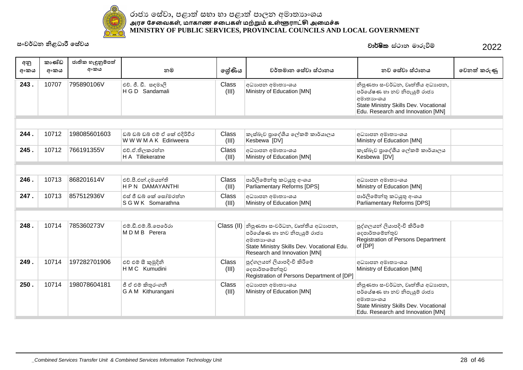

| අනු<br>අංකය | කාණ්ඩ<br>අංකය | ජාතික හැඳුනුම්පත්<br>අංකය | නම                                                      | ලශ්ණිය                | වර්තමාන සේවා ස්ථානය                                                                                                                                         | නව සේවා ස්ථානය                                                                                                                                               | වෙනත් කරුණු |
|-------------|---------------|---------------------------|---------------------------------------------------------|-----------------------|-------------------------------------------------------------------------------------------------------------------------------------------------------------|--------------------------------------------------------------------------------------------------------------------------------------------------------------|-------------|
| 243.        | 10707         | 795890106V                | එච්. ජී. ඩී. සඳමාලි<br>H G D Sandamali                  | Class<br>(III)        | අධාහපන අමාතා ශය<br>Ministry of Education [MN]                                                                                                               | නිපුණතා සංවර්ධන, වෘත්තීය අධාහපන,<br>පර්යේෂණ හා නව නිපැයුම් රාජාා<br>අමාතාහංශය<br>State Ministry Skills Dev. Vocational<br>Edu. Research and Innovation [MN]  |             |
|             |               |                           |                                                         |                       |                                                                                                                                                             |                                                                                                                                                              |             |
| 244.        | 10712         | 198085601603              | ඩබ් ඩබ් ඩබ් එම් ඒ කේ එදිරිවීර<br>W W W M A K Ediriweera | Class<br>(III)        | කැස්බෑව පාදේශීය ලේකම් කාර්යාලය<br>Kesbewa [DV]                                                                                                              | අධාහපන අමාතා ංශය<br>Ministry of Education [MN]                                                                                                               |             |
| 245.        | 10712         | 766191355V                | එච්.ඒ.තිලකරත්න<br>H A Tillekeratne                      | <b>Class</b><br>(III) | අධාහපන අමාතාගයෙ<br>Ministry of Education [MN]                                                                                                               | කැස්බෑව පාදේශීය ලේකම් කාර්යාලය<br>Kesbewa [DV]                                                                                                               |             |
|             |               |                           |                                                         |                       |                                                                                                                                                             |                                                                                                                                                              |             |
| 246.        | 10713         | 868201614V                | එච්.පී.එන්.දමයන්ති<br><b>HPN DAMAYANTHI</b>             | Class<br>(III)        | පාර්ලිමේන්තු කටයුතු අංශය<br>Parliamentary Reforms [DPS]                                                                                                     | අධාහපන අමාතා ංශය<br>Ministry of Education [MN]                                                                                                               |             |
| 247.        | 10713         | 857512936V                | එස් ජී ඩබ් කේ සෝමරත්න<br>S G W K Somarathna             | <b>Class</b><br>(III) | අධාහපන අමාතා ශය<br>Ministry of Education [MN]                                                                                                               | පාර්ලිමේන්තු කටයුතු අංශය<br>Parliamentary Reforms [DPS]                                                                                                      |             |
|             |               |                           |                                                         |                       |                                                                                                                                                             |                                                                                                                                                              |             |
| 248.        | 10714         | 785360273V                | එම්.ඩී.එම්.බී.පෙරේරා<br>MDMB Perera                     | Class (II)            | නිපුණතා සංවර්ධන, වෘත්තීය අධාහපන,<br>පර්යේෂණ හා නව නිපැයුම් රාජාා<br>අමාතාහංශය<br>State Ministry Skills Dev. Vocational Edu.<br>Research and Innovation [MN] | පුද්ගලයන් ලියාපදිංචි කිරීමේ<br> ලදපාර්තමේන්තුව<br>Registration of Persons Department<br>of [DP]                                                              |             |
| 249.        | 10714         | 197282701906              | එච් එම් සී කුමුදිනි<br>H M C Kumudini                   | Class<br>(III)        | පුද්ගලයන් ලියාපදිංචි කිරීමේ<br>දෙපාර්තමේන්තුව<br>Registration of Persons Department of [DP]                                                                 | අධාහපන අමාතා ංශය<br>Ministry of Education [MN]                                                                                                               |             |
| 250.        | 10714         | 198078604181              | ජී ඒ එම් කිතුරංගනී<br>G A M Kithurangani                | <b>Class</b><br>(III) | අධාහපන අමාතා ශය<br>Ministry of Education [MN]                                                                                                               | නිපුණතා සංවර්ධන, වෘත්තීය අධාහපන,<br>පර්යේෂණ හා නව නිපැයුම් රාජාා<br> අමාතාහංශය<br>State Ministry Skills Dev. Vocational<br>Edu. Research and Innovation [MN] |             |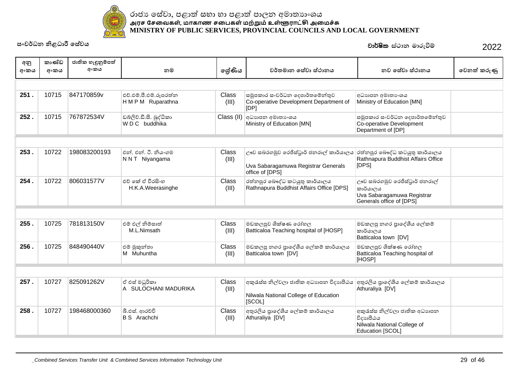

| අනු<br>අංකය | කාණ්ඩ<br>අංකය | ජාතික හැඳුනුම්පත්<br>අංකය | නම                                           | ලේණිය                 | වර්තමාන සේවා ස්ථානය                                                                              | නව සේවා ස්ථානය                                                                                      | වෙනත් කරුණු |
|-------------|---------------|---------------------------|----------------------------------------------|-----------------------|--------------------------------------------------------------------------------------------------|-----------------------------------------------------------------------------------------------------|-------------|
|             |               |                           |                                              |                       |                                                                                                  |                                                                                                     |             |
| 251.        | 10715         | 847170859v                | එච්.එම්.පී.එම්.රූපරත්න<br>H M P M Ruparathna | Class<br>(III)        | සමූපකාර සංවර්ධන දෙපාර්තමේන්තුව<br>Co-operative Development Department of<br>[DP]                 | අධාහපන අමාතා ශය<br>Ministry of Education [MN]                                                       |             |
| 252.        | 10715         | 767872534V                | ඩබලිව්.ඩී.සී. බුද්ධිකා<br>WDC buddhika       | Class (II)            | අධාහපන අමාතා ශය<br>Ministry of Education [MN]                                                    | සමූපකාර සංවර්ධන දෙපාර්තමේන්තුව<br>Co-operative Development<br>Department of [DP]                    |             |
|             |               |                           |                                              |                       |                                                                                                  |                                                                                                     |             |
| 253.        | 10722         | 198083200193              | එන්. එන්. ටී. නියංගම<br>N N T Niyangama      | Class<br>(III)        | ඌව සබරගමුව රෙජිස්ටුාර් ජනරාල් කාර්යාලය<br>Uva Sabaragamuwa Registrar Generals<br>office of [DPS] | රත්නපුර බෞද්ධ කටයුතු කාර්යාලය<br>Rathnapura Buddhist Affairs Office<br>[DPS]                        |             |
| 254.        | 10722         | 806031577V                | එච් කේ ඒ වීරසිංහ<br>H.K.A.Weerasinghe        | Class<br>(III)        | රත්නපුර බෞද්ධ කටයුතු කාර්යාලය<br>Rathnapura Buddhist Affairs Office [DPS]                        | ඌව සබරගමුව රෙජිස්ටුාර් ජනරාල්<br>කාර්යාලය<br>Uva Sabaragamuwa Registrar<br>Generals office of [DPS] |             |
|             |               |                           |                                              |                       |                                                                                                  |                                                                                                     |             |
| 255.        | 10725         | 781813150V                | එම් එල් නිම්සාත්<br>M.L.Nimsath              | <b>Class</b><br>(III) | මඩකලපුව ශික්ෂණ රෝහල<br>Batticaloa Teaching hospital of [HOSP]                                    | මඩකලපු නගර පුාදේශීය ලේකම්<br>කාර්යාලය<br>Batticaloa town [DV]                                       |             |
| 256.        | 10725         | 848490440V                | එම් මුකුන්තා<br>M Muhuntha                   | Class<br>(III)        | මඩකලපු නගර පාදේශීය ලේකම් කාර්යාලය<br>Batticaloa town [DV]                                        | මඩකලපුව ශික්ෂණ රෝහල<br>Batticaloa Teaching hospital of<br>[HOSP]                                    |             |
|             |               |                           |                                              |                       |                                                                                                  |                                                                                                     |             |
| 257.        | 10727         | 825091262V                | ඒ එස් මධුරිකා<br>A SULOCHANI MADURIKA        | Class<br>(III)        | අකුරැස්ස නිල්වලා ජාතික අධාහපන විදාහපීඨය<br>Nilwala National College of Education<br>[SCOL]       | අතුරලිය පාදේශීය ලේකම් කාර්යාලය<br>Athuraliya [DV]                                                   |             |
| 258.        | 10727         | 198468000360              | බී.එස්. ආරච්චි<br><b>B</b> S Arachchi        | Class<br>(III)        | අතුරලිය පාදේශීය ලේකම් කාර්යාලය<br>Athuraliya [DV]                                                | අකුරැස්ස නිල්වලා ජාතික අධාහපන<br>විදාහපීඨය<br>Nilwala National College of<br>Education [SCOL]       |             |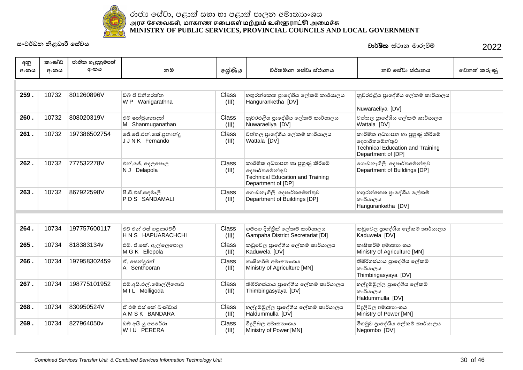

| අනු<br>අංකය | කාණ්ඩ<br>අංකය | ජාතික හැඳුනුම්පත්<br>අංකය | නම                                          | ලශ්ණිය                | වර්තමාන සේවා ස්ථානය                                                                                                | නව සේවා ස්ථානය                                                                                                     | වෙනත් කරුණු |
|-------------|---------------|---------------------------|---------------------------------------------|-----------------------|--------------------------------------------------------------------------------------------------------------------|--------------------------------------------------------------------------------------------------------------------|-------------|
|             |               |                           |                                             |                       |                                                                                                                    |                                                                                                                    |             |
| 259.        | 10732         | 801260896V                | ඩබ් පී වනිගරත්ත<br>W P Wanigarathna         | Class<br>(III)        | හභුරන්කෙත පුාදේශීය ලේකම් කාර්යාලය<br>Hanguranketha [DV]                                                            | නුවරඑළිය පාදේශීය ලේකම් කාර්යාලය<br>Nuwaraeliya [DV]                                                                |             |
| 260.        | 10732         | 808020319V                | එම් ෂන්මුගනාදන්<br>M Shanmuganathan         | Class<br>(III)        | නුවරඑළිය පුාදේශීය ලේකම් කාර්යාලය<br>Nuwaraeliya [DV]                                                               | වත්තල පුාදේශීය ලේකම් කාර්යාලය<br>Wattala [DV]                                                                      |             |
| 261.        | 10732         | 197386502754              | ජේ.ජේ.එන්.කේ.පුනාන්දු<br>JJNK Fernando      | Class<br>(III)        | වත්තල පාදේශීය ලේකම් කාර්යාලය<br>Wattala [DV]                                                                       | කාර්මික අධාහපන හා පුහුණු කිරීමේ<br>දෙපාර්තමේන්තුව<br><b>Technical Education and Training</b><br>Department of [DP] |             |
| 262.        | 10732         | 777532278V                | එන්.ජේ. දෙලපොල<br>N J Delapola              | Class<br>(III)        | කාර්මික අධාහපන හා පුහුණු කිරීමේ<br>දෙපාර්තමේන්තුව<br><b>Technical Education and Training</b><br>Department of [DP] | ගොඩනැගිලි දෙපාර්තමේන්තුව<br>Department of Buildings [DP]                                                           |             |
| 263.        | 10732         | 867922598V                | පී.ඩී.එස්.සඳමාලි<br>PDS SANDAMALI           | Class<br>(III)        | ගොඩනැගිලි දෙපාර්තමේන්තුව<br>Department of Buildings [DP]                                                           | හගුරන්කෙත පාදේශීය ලේකම්<br>කාර්යාලය<br>Hanguranketha [DV]                                                          |             |
|             |               |                           |                                             |                       |                                                                                                                    |                                                                                                                    |             |
| 264.        | 10734         | 197757600117              | එව් එන් එස් හපුආරච්චි<br>H N S HAPUARACHCHI | Class<br>(III)        | ගම්පහ දිස්තික් ලේකම් කාර්යාලය<br>Gampaha District Secretariat [DI]                                                 | කඩුවෙල පුාදේශීය ලේකම් කාර්යාලය<br>Kaduwela [DV]                                                                    |             |
| 265.        | 10734         | 818383134v                | එම්. ජී.කේ. ඇල්ලෙපොල<br>M G K Ellepola      | Class<br>(III)        | කඩුවෙල පාදේශීය ලේකම් කාර්යාලය<br>Kaduwela [DV]                                                                     | කෘෂිකර්ම අමාතාහංශය<br>Ministry of Agriculture [MN]                                                                 |             |
| 266.        | 10734         | 197958302459              | ඒ. සෙන්දුරන්<br>A Senthooran                | Class<br>(III)        | කෘෂිකර්ම අමාතාහංශය<br>Ministry of Agriculture [MN]                                                                 | තිඹිරිගස්යාය පුාදේශීය ලේකම්<br>කාර්යාලය<br>Thimbirigasyaya [DV]                                                    |             |
| 267.        | 10734         | 198775101952              | එම්.අයි.එල්.මොල්ලිගොඩ<br>MIL Molligoda      | Class<br>(III)        | තිඹිරිගස්යාය පුාදේශීය ලේකම් කාර්යාලය<br>Thimbirigasyaya [DV]                                                       | හල්දුම්මුල්ල පුාදේශීය ලේකම්<br>කාර්යාලය<br>Haldummulla [DV]                                                        |             |
| 268.        | 10734         | 830950524V                | ඒ එම් එස් කේ බණ්ඩාර<br>A M S K BANDARA      | <b>Class</b><br>(III) | හල්දුම්මුල්ල පුාදේශීය ලේකම් කාර්යාලය<br>Haldummulla [DV]                                                           | විදුලිබල අමාතාහංශය<br>Ministry of Power [MN]                                                                       |             |
| 269.        | 10734         | 827964050v                | ඩබ් අයි යූ පෙරේරා<br>WIU PERERA             | Class<br>(III)        | විදුලිබල අමාතාහංශය<br>Ministry of Power [MN]                                                                       | මීගමුව පාදේශීය ලේකම් කාර්යාලය<br>Negombo [DV]                                                                      |             |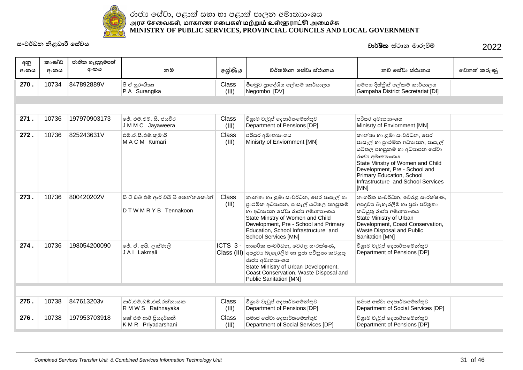

| අනු<br>අංකය | කාණ්ඩ<br>අංකය | ජාතික හැඳුනුම්පත්<br>අංකය | නම                                                            | ලශ්ණිය         | වර්තමාන සේවා ස්ථානය                                                                                                                                                                                                                                       | නව සේවා ස්ථානය                                                                                                                                                                                                                                                   | වෙනත් කරුණු |
|-------------|---------------|---------------------------|---------------------------------------------------------------|----------------|-----------------------------------------------------------------------------------------------------------------------------------------------------------------------------------------------------------------------------------------------------------|------------------------------------------------------------------------------------------------------------------------------------------------------------------------------------------------------------------------------------------------------------------|-------------|
| 270.        | 10734         | 847892889V                | පී ඒ සුරංගිකා<br>P A Surangika                                | Class<br>(III) | මීගමුව පුාදේශීය ලේකම් කාර්යාලය<br>Negombo [DV]                                                                                                                                                                                                            | ගම්පහ දිස්තික් ලේකම් කාර්යාලය<br>Gampaha District Secretariat [DI]                                                                                                                                                                                               |             |
|             |               |                           |                                                               |                |                                                                                                                                                                                                                                                           |                                                                                                                                                                                                                                                                  |             |
| 271.        | 10736         | 197970903173              | ්ජී, එම්.එම්. සී. ජයවීර<br>J M M C Jayaweera                  | Class<br>(III) | විශුාම වැටුප් දෙපාර්තමේන්තුව<br>Department of Pensions [DP]                                                                                                                                                                                               | පරිසර අමාතාහංශය<br>Minisrty of Enviornment [MN]                                                                                                                                                                                                                  |             |
| 272.        | 10736         | 825243631V                | එම්.ඒ.සී.එම්.කුමාරි<br>MACM Kumari                            | Class<br>(III) | පරිසර අමාතාහංශය<br>Minisrty of Enviornment [MN]                                                                                                                                                                                                           | කාන්තා හා ළමා සංවර්ධන, පෙර<br>පාසැල් හා පුාථමික අධාහපන, පාසැල්<br>යටිතල පහසුකම් හා අධාහපන සේවා<br>රාජා අමාතාගංශය<br>State Minstry of Women and Child<br>Development, Pre - School and<br>Primary Education, School<br>Infrastructure and School Services<br>[MN] |             |
| 273.        | 10736         | 800420202V                | ඩී ටී ඩබ් එම් ආර් වයි බී තෙන්නකෝන්<br>D T W M R Y B Tennakoon | Class<br>(III) | කාන්තා හා ළමා සංවර්ධන, පෙර පාසැල් හා<br>පාථමික අධාහපන, පාසැල් යටිතල පහසුකම්<br>හා අධාහපන සේවා රාජා අමාතාහංශය<br>State Minstry of Women and Child<br>Development, Pre - School and Primary<br>Education, School Infrastructure and<br>School Services [MN] | නාගරික සංවර්ධන, වෙරළ සංරක්ෂණ,<br>අපදුවා බැහැරලීම හා පුජා පවිතුතා<br>කටයුතු රාජා අමාතාගංශය<br>State Ministry of Urban<br>Development, Coast Conservation,<br>Waste Disposal and Public<br>Sanitation [MN]                                                         |             |
| 274.        | 10736         | 198054200090              | ජේ. ඒ. අයි. ලක්මාලි<br>JAI Lakmali                            |                | $ICTS$ 3 - නාගරික සංවර්ධන, වෙරළ සංරක්ෂණ,<br>Class (III) අපදුවා බැහැරලීම හා පුජා පවිතුතා කටයුතු<br>රාජා අමාතාගංශය<br>State Ministry of Urban Development,<br>Coast Conservation, Waste Disposal and<br><b>Public Sanitation [MN]</b>                       | විශුාම වැටුප් දෙපාර්තමේන්තුව<br>Department of Pensions [DP]                                                                                                                                                                                                      |             |
|             |               |                           |                                                               |                |                                                                                                                                                                                                                                                           |                                                                                                                                                                                                                                                                  |             |
| 275.        | 10738         | 847613203v                | ආර්.එම්.ඩබ්.එස්.රත්නායක<br>R M W S Rathnayaka                 | Class<br>(III) | විශුාම වැටුප් දෙපාර්තමේන්තුව<br>Department of Pensions [DP]                                                                                                                                                                                               | සමාජ සේවා දෙපාර්තමේන්තුව<br>Department of Social Services [DP]                                                                                                                                                                                                   |             |
| 276.        | 10738         | 197953703918              | කේ එම් ආර් පියදර්ශනී<br>KMR Priyadarshani                     | Class<br>(III) | සමාජ සේවා දෙපාර්තමේන්තුව<br>Department of Social Services [DP]                                                                                                                                                                                            | විශුාම වැටුප් දෙපාර්තමේන්තුව<br>Department of Pensions [DP]                                                                                                                                                                                                      |             |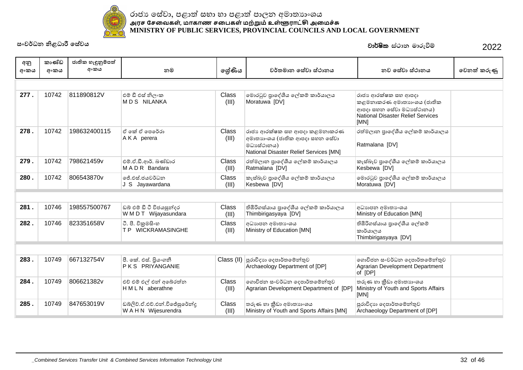

| අනු<br>අංකය | කාණ්ඩ<br>අංකය | ජාතික හැඳුනුම්පත්<br>අංකය | නම                                                  | ලේණිය                 | වර්තමාන සේවා ස්ථානය                                                                                                    | නව සේවා ස්ථානය                                                                                                                   | වෙනත් කරුණු |
|-------------|---------------|---------------------------|-----------------------------------------------------|-----------------------|------------------------------------------------------------------------------------------------------------------------|----------------------------------------------------------------------------------------------------------------------------------|-------------|
|             |               |                           |                                                     |                       |                                                                                                                        |                                                                                                                                  |             |
| 277.        | 10742         | 811890812V                | එම් ඩී එස් නිලංක<br><b>MDS NILANKA</b>              | <b>Class</b><br>(III) | මොරටුව පුාදේශීය ලේකම් කාර්යාලය<br>Moratuwa [DV]                                                                        | රාජා ආරක්ෂක සහ ආපදා<br>කළමනාකරණ අමාතාහංශය (ජාතික<br>ආපදා සහන සේවා මධාසේථානය)<br><b>National Disaster Relief Services</b><br>[MN] |             |
| 278.        | 10742         | 198632400115              | ඒ කේ ඒ පෙරේරා<br>AKA perera                         | Class<br>(III)        | රාජා ආරක්ෂක සහ ආපදා කළමනාකරණ<br>අමාතාහංශය (ජාතික ආපදා සහන සේවා<br>මධාසේථානය)<br>National Disaster Relief Services [MN] | රත්මලාන පුාදේශීය ලේකම් කාර්යාලය<br>Ratmalana [DV]                                                                                |             |
| 279.        | 10742         | 798621459v                | එම්.ඒ.ඩී.ආර්. බණ්ඩාර<br>MADR Bandara                | Class<br>(III)        | රත්මලාන පුාදේශීය ලේකම් කාර්යාලය<br>Ratmalana [DV]                                                                      | කැස්බෑව පුාදේශීය ලේකම් කාර්යාලය<br>Kesbewa [DV]                                                                                  |             |
| 280.        | 10742         | 806543870v                | ජේ.එස්.ජයවර්ධන<br>J S Jayawardana                   | Class<br>(III)        | කැස්බෑව පාදේශීය ලේකම් කාර්යාලය<br>Kesbewa [DV]                                                                         | මොරටුව පාදේශීය ලේකම් කාර්යාලය<br>Moratuwa [DV]                                                                                   |             |
|             |               |                           |                                                     |                       |                                                                                                                        |                                                                                                                                  |             |
| 281.        | 10746         | 198557500767              | ඩබ් එම් ඩී ටී විජයසුන්දර<br>W M D T Wijayasundara   | <b>Class</b><br>(III) | තිඹිරිගස්යාය පුාදේශීය ලේකම් කාර්යාලය<br>Thimbirigasyaya [DV]                                                           | අධාහපන අමාතා ශය<br>Ministry of Education [MN]                                                                                    |             |
| 282.        | 10746         | 823351658V                | ටී. පී. විකුමසිංහ<br>T P WICKRAMASINGHE             | <b>Class</b><br>(III) | අධාහපන අමාතා ශය<br>Ministry of Education [MN]                                                                          | තිඹිරිගස්යාය පුාදේශීය ලේකම්<br>කාර්යාලය<br>Thimbirigasyaya [DV]                                                                  |             |
|             |               |                           |                                                     |                       |                                                                                                                        |                                                                                                                                  |             |
| 283.        | 10749         | 667132754V                | පී. කේ. එස්. පියංගනී<br>PKS PRIYANGANIE             |                       | $\text{Class (II)}$ පුරාවිදාහ දෙපාර්තමේන්තුව<br>Archaeology Department of [DP]                                         | ගොවිජන සංවර්ධන දෙපාර්තමේන්තුව<br>Agrarian Development Department<br>of [DP]                                                      |             |
| 284.        | 10749         | 806621382v                | එච් එම් එල් එන් අබේරත්න<br>HMLN aberathne           | Class<br>(III)        | ගොවිජන සංවර්ධන දෙපාර්තමේන්තුව<br>Agrarian Development Department of [DP]                                               | තරුණ හා කීඩා අමාතාගංශය<br>Ministry of Youth and Sports Affairs<br>[MN]                                                           |             |
| 285.        | 10749         | 847653019V                | ඩබ්ලිව්.ඒ.එච්.එන්.විජේසුරේන්දු<br>WAHN Wijesurendra | Class<br>(III)        | තරුණ හා කීඩා අමාතාගංශය<br>Ministry of Youth and Sports Affairs [MN]                                                    | පුරාවිදාහ දෙපාර්තමේන්තුව<br>Archaeology Department of [DP]                                                                       |             |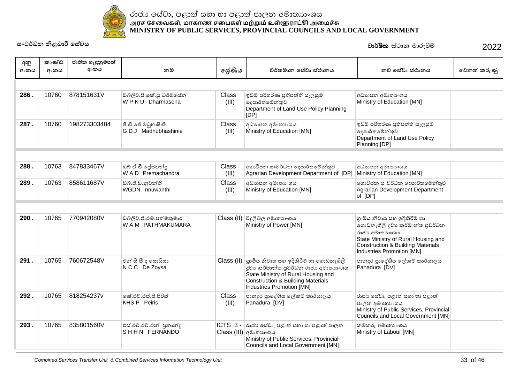

| අනු  | කාණ්ඩ | ජාතික හැඳුනුම්පත් |                                               |                       |                                                                                                                                                                                                                        |                                                                                                                                                                                                       |             |
|------|-------|-------------------|-----------------------------------------------|-----------------------|------------------------------------------------------------------------------------------------------------------------------------------------------------------------------------------------------------------------|-------------------------------------------------------------------------------------------------------------------------------------------------------------------------------------------------------|-------------|
| අංකය | අංකය  | අංකය              | නම                                            | ලශ්ණිය                | වර්තමාන සේවා ස්ථානය                                                                                                                                                                                                    | නව සේවා ස්ථානය                                                                                                                                                                                        | වෙනත් කරුණු |
|      |       |                   |                                               |                       |                                                                                                                                                                                                                        |                                                                                                                                                                                                       |             |
| 286. | 10760 | 878151631V        | ඩබ්ලිව්.පී.කේ.යු ධර්මසේන<br>WPKU Dharmasena   | Class<br>(III)        | ඉඩම් පරිහරණ පුතිපත්ති සැලසුම්<br>දෙපාර්තමේන්තුව<br>Department of Land Use Policy Planning<br>[IDP]                                                                                                                     | අධාහපන අමාතා ශය<br>Ministry of Education [MN]                                                                                                                                                         |             |
| 287. | 10760 | 198273303484      | ජී.ඩී.ජේ.මධුහාෂිණී<br>G D J Madhubhashinie    | Class<br>(III)        | අධාහපන අමාතා ංශය<br>Ministry of Education [MN]                                                                                                                                                                         | ඉඩම් පරිහරණ පුතිපත්ති සැලසුම්<br>දෙපාර්තමේන්තුව<br>Department of Land Use Policy<br>Planning [DP]                                                                                                     |             |
|      |       |                   |                                               |                       |                                                                                                                                                                                                                        |                                                                                                                                                                                                       |             |
| 288. | 10763 | 847833467V        | ඩබ් ඒ ඩී පේුමවන්දු<br>WAD Premachandra        | Class<br>(III)        | ගොවිජන සංවර්ධන දෙපාර්තමේන්තුව<br>Agrarian Development Department of [DP]                                                                                                                                               | අධාහපන අමාතා ශය<br>Ministry of Education [MN]                                                                                                                                                         |             |
| 289. | 10763 | 858611687V        | ඩබ්.ජී.ඩී.නුවන්ති<br>WGDN nnuwanthi           | <b>Class</b><br>(III) | අධාහපන අමාතා ශය<br>Ministry of Education [MN]                                                                                                                                                                          | ගොවිජන සංවර්ධන දෙපාර්තමේන්තුව<br>Agrarian Development Department<br>of [DP]                                                                                                                           |             |
|      |       |                   |                                               |                       |                                                                                                                                                                                                                        |                                                                                                                                                                                                       |             |
| 290. | 10765 | 770942080V        | ඩබ්ලිව්.ඒ.එම්.පත්මකුමාර<br>W A M PATHMAKUMARA |                       | Class (II) විදුලිබල අමාතාහංශය<br>Ministry of Power [MN]                                                                                                                                                                | ගුාමීය නිවාස සහ ඉදිකිරීම් හා<br>ගොඩනැගිලි දුවා කර්මාන්ත පුවර්ධන<br>රාජා අමාතාගංශය<br>State Ministry of Rural Housing and<br><b>Construction &amp; Building Materials</b><br>Industries Promotion [MN] |             |
| 291. | 10765 | 760672548V        | එන් සී සී ද සොයිසා<br>N C C De Zoysa          |                       | $Class (II)$ ගුාමීය නිවාස සහ ඉදිකිරීම් හා ගොඩනැගිලි<br>දුවා කර්මාන්ත පුවර්ධන රාජා අමාතාගංශය<br>State Ministry of Rural Housing and<br><b>Construction &amp; Building Materials</b><br><b>Industries Promotion [MN]</b> | පානදුර පාදේශීය ලේකම් කාර්යාලය<br>Panadura [DV]                                                                                                                                                        |             |
| 292. | 10765 | 818254237v        | කේ.එච්.එස්.පී.පීරිස්<br><b>KHS P Peiris</b>   | Class<br>(III)        | පානදූර පාදේශීය ලේකම් කාර්යාලය<br>Panadura [DV]                                                                                                                                                                         | රාජා සේවා, පළාත් සභා හා පළාත්<br>පාලන අමාතාහංශය<br>Ministry of Public Services, Provincial<br>Councils and Local Government [MN]                                                                      |             |
| 293. | 10765 | 835801560V        | එස්.එච්.එච්.එන්. පුනාන්දූ<br>SHHN FERNANDO    | ICTS 3-               | රාජා සේවා, පළාත් සභා හා පළාත් පාලන<br>Class (III)  අමාතාාංශය<br>Ministry of Public Services, Provincial<br>Councils and Local Government [MN]                                                                          | කම්කරු අමාතාහංශය<br>Ministry of Labour [MN]                                                                                                                                                           |             |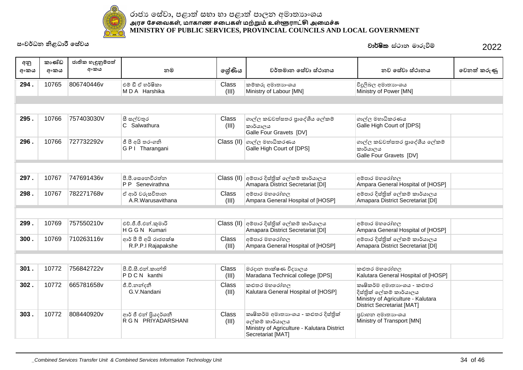

| අනු<br>අංකය | කාණ්ඩ<br>අංකය | ජාතික හැඳුනුම්පත්<br>අංකය | නම                                          | ලශ්ණිය                | වර්තමාන සේවා ස්ථානය                                                                                                        | නව සේවා ස්ථානය                                                                                                                   | වෙනත් කරුණු |
|-------------|---------------|---------------------------|---------------------------------------------|-----------------------|----------------------------------------------------------------------------------------------------------------------------|----------------------------------------------------------------------------------------------------------------------------------|-------------|
| 294.        | 10765         | 806740446v                | එම් ඩී ඒ හර්ෂිකා<br>MDA Harshika            | Class<br>(III)        | කම්කරු අමාතාහංශය<br>Ministry of Labour [MN]                                                                                | විදූලිබල අමාතාහංශය<br>Ministry of Power [MN]                                                                                     |             |
|             |               |                           |                                             |                       |                                                                                                                            |                                                                                                                                  |             |
|             |               |                           |                                             |                       |                                                                                                                            |                                                                                                                                  |             |
| 295.        | 10766         | 757403030V                | සී සල්වතුර<br>C Salwathura                  | Class<br>(III)        | ගාල්ල කඩවත්සතර පාදේශීය ලේකම්<br>කාර්යාලය<br>Galle Four Gravets [DV]                                                        | ගාල්ල මහාධිකරණය<br>Galle High Court of [DPS]                                                                                     |             |
| 296.        | 10766         | 727732292v                | ජී පී අයි තරංගනි<br>G P   Tharangani        | Class (II)            | ගාල්ල මහාධිකරණය<br>Galle High Court of [DPS]                                                                               | ගාල්ල කඩවත්සතර පාදේශීය ලේකම්<br>කාර්යාලය<br>Galle Four Gravets [DV]                                                              |             |
|             |               |                           |                                             |                       |                                                                                                                            |                                                                                                                                  |             |
| 297.        | 10767         | 747691436v                | පී.පී.සෙනෙවිරත්න<br>P P Senevirathna        |                       | Class (II) අම්පාර දිස්තික් ලේකම් කාර්යාලය<br>Amapara District Secretariat [DI]                                             | අම්පාර මහරෝහල<br>Ampara General Hospital of [HOSP]                                                                               |             |
| 298.        | 10767         | 782271768v                | ඒ ආර් වරුසවිතාන<br>A.R.Warusavithana        | Class<br>(III)        | අම්පාර මහරෝහල<br>Ampara General Hospital of [HOSP]                                                                         | අම්පාර දිස්තික් ලේකම් කාර්යාලය<br>Amapara District Secretariat [DI]                                                              |             |
|             |               |                           |                                             |                       |                                                                                                                            |                                                                                                                                  |             |
| 299.        | 10769         | 757550210v                | එච්.ජී.ජී.එන්.කුමාරි<br>H G G N Kumari      |                       | Class (II) අම්පාර දිස්තික් ලේකම් කාර්යාලය<br>Amapara District Secretariat [DI]                                             | අම්පාර මහරෝහල<br>Ampara General Hospital of [HOSP]                                                                               |             |
| 300.        | 10769         | 710263116v                | ආර් පී පී අයි රාජපක්ෂ<br>R.P.P.I Rajapakshe | Class<br>(III)        | අම්පාර මහරෝහල<br>Ampara General Hospital of [HOSP]                                                                         | අම්පාර දිස්තික් ලේකම් කාර්යාලය<br>Amapara District Secretariat [DI]                                                              |             |
|             |               |                           |                                             |                       |                                                                                                                            |                                                                                                                                  |             |
| 301.        | 10772         | 756842722v                | පී ඩී සී එන් කාන්ති<br>PDCN kanthi          | <b>Class</b><br>(III) | මරදාන තාක්ෂණ විදාහලය<br>Maradana Technical college [DPS]                                                                   | කළුතර මහරෝහල<br>Kalutara General Hospital of [HOSP]                                                                              |             |
| 302.        | 10772         | 665781658v                | ජී.වී.නන්දනී<br>G.V.Nandani                 | Class<br>(III)        | කළුතර මහරෝහල<br>Kalutara General Hospital of [HOSP]                                                                        | කෘෂිකර්ම අමාතාහංශය - කළුතර<br>දිස්තික් ලේකම් කාර්යාලය<br>Ministry of Agriculture - Kalutara<br><b>District Secretariat [MAT]</b> |             |
| 303.        | 10772         | 808440920v                | ආර් ජී එන් පියදර්ශනී<br>R G N PRIYADARSHANI | Class<br>(III)        | කෘෂිකර්ම අමාතාහංශය - කළුතර දිස්තිුක්<br>ලේකම් කාර්යාලය<br>Ministry of Agriculture - Kalutara District<br>Secretariat [MAT] | පුවාහන අමාතාහංශය<br>Ministry of Transport [MN]                                                                                   |             |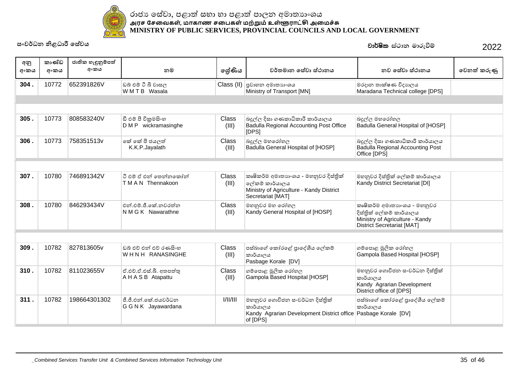

| අනු<br>අංකය | කාණ්ඩ<br>අංකය | ජාතික හැඳුනුම්පත්<br>අංකය | නම                                            | ලශ්ණිය                | වර්තමාන සේවා ස්ථානය                                                                                                      | නව සේවා ස්ථානය                                                                                                                 | වෙනත් කරුණු |
|-------------|---------------|---------------------------|-----------------------------------------------|-----------------------|--------------------------------------------------------------------------------------------------------------------------|--------------------------------------------------------------------------------------------------------------------------------|-------------|
| 304.        | 10772         | 652391826V                | ඩබ් එම් ටී බී වාසල<br>WMTB Wasala             | Class (II)            | පුවාහන අමාතහංශය<br>Ministry of Transport [MN]                                                                            | මරදාන තාක්ෂණ විදාහලය<br>Maradana Technical college [DPS]                                                                       |             |
|             |               |                           |                                               |                       |                                                                                                                          |                                                                                                                                |             |
|             |               |                           |                                               |                       |                                                                                                                          |                                                                                                                                |             |
| 305.        | 10773         | 808583240V                | ඩී එම් පී විකුමසිංහ<br>D M P wickramasinghe   | <b>Class</b><br>(III) | බදුල්ල දිසා ගණකාධිකාරී කාර්යාලය<br>Badulla Regional Accounting Post Office<br>[DPS]                                      | බදුල්ල මහරෝහල<br>Badulla General Hospital of [HOSP]                                                                            |             |
| 306.        | 10773         | 758351513v                | කේ කේ පී ජයලත්<br>K.K.P.Jayalath              | <b>Class</b><br>(III) | බදුල්ල මහරෝහල<br>Badulla General Hospital of [HOSP]                                                                      | බදුල්ල දිසා ගණකාධිකාරී කාර්යාලය<br>Badulla Regional Accounting Post<br>Office [DPS]                                            |             |
|             |               |                           |                                               |                       |                                                                                                                          |                                                                                                                                |             |
| 307.        | 10780         | 746891342V                | ටී එම් ඒ එන් තෙන්නකෝන්<br>TMAN Thennakoon     | <b>Class</b><br>(III) | කෘෂිකර්ම අමාතාහංශය - මහනුවර දිස්තික්<br>ලේකම් කාර්යාලය<br>Ministry of Agriculture - Kandy District<br>Secretariat [MAT]  | මහනුවර දිස්තික් ලේකම් කාර්යාලය<br>Kandy District Secretariat [DI]                                                              |             |
| 308.        | 10780         | 846293434V                | එන් එම්.ජී.කේ.නවරත්න<br>N M G K Nawarathne    | <b>Class</b><br>(III) | මහනුවර මහ රෝහල<br>Kandy General Hospital of [HOSP]                                                                       | කෘෂිකර්ම අමාතාහංශය - මහනුවර<br>දිස්තික් ලේකම් කාර්යාලය<br>Ministry of Agriculture - Kandy<br><b>District Secretariat [MAT]</b> |             |
|             |               |                           |                                               |                       |                                                                                                                          |                                                                                                                                |             |
| 309.        | 10782         | 827813605v                | ඩුබ් එච් එන් එච් රණසිංහ<br>WHNH RANASINGHE    | Class<br>(III)        | පස්බාගේ කෝරළේ පාදේශීය ලේකම්<br>කාර්යාලය<br>Pasbage Korale [DV]                                                           | ගම්පොළ මූලික රෝහල<br>Gampola Based Hospital [HOSP]                                                                             |             |
| 310.        | 10782         | 811023655V                | ඒ.එච්.ඒ.එස්.බී. අතපත්තු<br>A H A S B Atapattu | Class<br>(III)        | ගම්පොළ මූලික රෝහල<br>Gampola Based Hospital [HOSP]                                                                       | මහනුවර ගොවිජන සංවර්ධන දිස්තික්<br>කාර්යාලය<br>Kandy Agrarian Development<br>District office of [DPS]                           |             |
| 311.        | 10782         | 198664301302              | ජී.ජී.එන්.කේ.ජයවර්ධන<br>G G N K Jayawardana   | 1/11/111              | මහනුවර ගොවිජන සංවර්ධන දිස්තික්<br>කාර්යාලය<br>Kandy Agrarian Development District office Pasbage Korale [DV]<br>of [DPS] | පස්බාගේ කෝරළේ පාදේශීය ලේකම්<br>කාර්යාලය                                                                                        |             |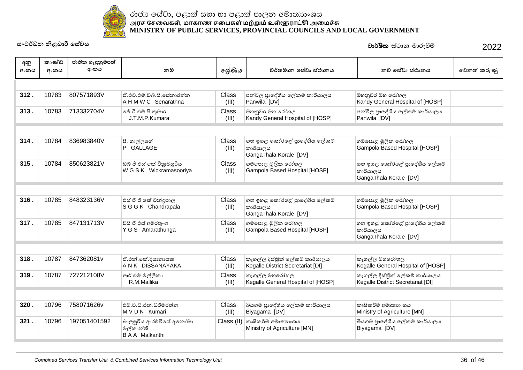

| අනු  | කාණ්ඩ | ජාතික හැඳුනුම්පත් |                                                              |                |                                                                     |                                                                     |             |
|------|-------|-------------------|--------------------------------------------------------------|----------------|---------------------------------------------------------------------|---------------------------------------------------------------------|-------------|
| අංකය | අංකය  | අංකය              | නම                                                           | ලශ්ණිය         | වර්තමාන සේවා ස්ථානය                                                 | නව සේවා ස්ථානය                                                      | වෙනත් කරුණු |
|      |       |                   |                                                              |                |                                                                     |                                                                     |             |
| 312. | 10783 | 807571893V        | ඒ.එච්.එම්.ඩබ්.සී.සේනාරත්න<br>A H M W C Senarathna            | Class<br>(III) | පන්විල පාදේශීය ලේකම් කාර්යාලය<br>Panwila [DV]                       | මහනුවර මහ රෝහල<br>Kandy General Hospital of [HOSP]                  |             |
| 313. | 10783 | 713332704V        | ජේ ටී එම් පී කුමාර<br>J.T.M.P.Kumara                         | Class<br>(III) | මහනුවර මහ රෝහල<br>Kandy General Hospital of [HOSP]                  | පන්විල පාදේශීය ලේකම් කාර්යාලය<br>Panwila [DV]                       |             |
|      |       |                   |                                                              |                |                                                                     |                                                                     |             |
| 314. | 10784 | 836983840V        | පී. ගාල්ලගේ<br>P GALLAGE                                     | Class<br>(III) | ගහ ඉහළ කෝරළේ පාදේශීය ලේකම්<br>කාර්යාලය<br>Ganga Ihala Korale [DV]   | ගම්පොළ මූලික රෝහල<br>Gampola Based Hospital [HOSP]                  |             |
| 315. | 10784 | 850623821V        | ඩබ් ජී එස් කේ විකුමසූරිය<br>W G S K Wickramasooriya          | Class<br>(III) | ගම්පොළ මූලික රෝහල<br>Gampola Based Hospital [HOSP]                  | ගහ ඉහළ කෝරළේ පාදේශීය ලේකම්<br>කාර්යාලය<br>Ganga Ihala Korale [DV]   |             |
|      |       |                   |                                                              |                |                                                                     |                                                                     |             |
| 316. | 10785 | 848323136V        | එස් ජී ජී කේ චන්දුපාල<br>SGGK Chandrapala                    | Class<br>(III) | ගහ ඉහළ කෝරළේ පාදේශීය ලේකම්<br>කාර්යාලය<br>Ganga Ihala Korale [DV]   | ගම්පොළ මූලික රෝහල<br>Gampola Based Hospital [HOSP]                  |             |
| 317. | 10785 | 847131713V        | වයි ජී එස් අමරතුංග<br>Y G S Amarathunga                      | Class<br>(III) | ගම්පොළ මූලික රෝහල<br>Gampola Based Hospital [HOSP]                  | ගහ ඉහළ කෝරළේ පාදේශීය ලේකම්<br>කාර්යාලය<br>Ganga Ihala Korale [DV]   |             |
|      |       |                   |                                                              |                |                                                                     |                                                                     |             |
| 318. | 10787 | 847362081v        | ඒ.එන්.කේ.දිසානායක<br>A N K DISSANAYAKA                       | Class<br>(III) | කෑගල්ල දිස්තික් ලේකම් කාර්යාලය<br>Kegalle District Secretariat [DI] | කෑගල්ල මහරෝහල<br>Kegalle General Hospital of [HOSP]                 |             |
| 319. | 10787 | 727212108V        | ආර් එම් මල්ලිකා<br>R.M.Mallika                               | Class<br>(III) | කෑගල්ල මහරෝහල<br>Kegalle General Hospital of [HOSP]                 | කෑගල්ල දිස්තික් ලේකම් කාර්යාලය<br>Kegalle District Secretariat [DI] |             |
|      |       |                   |                                                              |                |                                                                     |                                                                     |             |
| 320. | 10796 | 758071626v        | එම්.වී.ඩී.එන්.ධර්මරත්න<br>M V D N Kumari                     | Class<br>(III) | බියගම පුාදේශීය ලේකම් කාර්යාලය<br>Biyagama [DV]                      | කෘෂිකර්ම අමාතාහංශය<br>Ministry of Agriculture [MN]                  |             |
| 321. | 10796 | 197051401592      | බාලසූරිය ආරච්චිගේ අනෝමා<br>මල්කාන්ති<br><b>BAA</b> Malkanthi | Class (II)     | කෘෂිකර්ම අමාතාහංශය<br>Ministry of Agriculture [MN]                  | බියගම පුාදේශීය ලේකම් කාර්යාලය<br>Biyagama [DV]                      |             |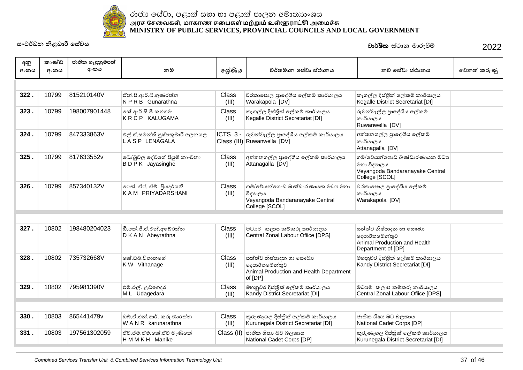

| අනු  | කාණ්ඩ | ජාතික හැඳුනුම්පත් |                                                  |                       |                                                                                                  |                                                                                                  |             |
|------|-------|-------------------|--------------------------------------------------|-----------------------|--------------------------------------------------------------------------------------------------|--------------------------------------------------------------------------------------------------|-------------|
| අංකය | අංකය  | අංකය              | නම                                               | ලශ්ණිය                | වර්තමාන සේවා ස්ථානය                                                                              | නව සේවා ස්ථානය                                                                                   | වෙනත් කරුණු |
|      |       |                   |                                                  |                       |                                                                                                  |                                                                                                  |             |
| 322. | 10799 | 815210140V        | ඒත් පී.ආර්.බී.ගුණරත්න<br>NPRB Gunarathna         | Class<br>(III)        | වරකාපොල පාදේශීය ලේකම් කාර්යාලය<br>Warakapola [DV]                                                | කෑගල්ල දිස්තික් ලේකම් කාර්යාලය<br>Kegalle District Secretariat [DI]                              |             |
| 323. | 10799 | 198007901448      | කේ ආර් සී පී කළුගම<br><b>KRCP KALUGAMA</b>       | Class<br>(III)        | කෑගල්ල දිස්තික් ලේකම් කාර්යාලය<br>Kegalle District Secretariat [DI]                              | රුවන්වැල්ල පුාදේශීය ලේකම්<br>කාර්යාලය<br>Ruwanwella [DV]                                         |             |
| 324. | 10799 | 847333863V        | එල්.ඒ.සමන්ති පුෂ්පකුමාරි ලෙනගල<br>LASP LENAGALA  |                       | ICTS 3 - රුවන්වැල්ල පුාදේශීය ලේකම් කාර්යාලය<br>Class (III) Ruwanwella [DV]                       | අත්තනගල්ල පාදේශීය ලේකම්<br>කාර්යාලය<br>Attanagalla [DV]                                          |             |
| 325. | 10799 | 817633552v        | බෝබුවල දේවගේ පියුමි කාංචනා<br>BDPK Jayasinghe    | Class<br>(III)        | අත්තනගල්ල පාදේශීය ලේකම් කාර්යාලය<br>Attanagalla [DV]                                             | ගම්/වේයන්ගොඩ බණ්ඩාරණායක මධාා<br>මහා විදාහලය<br>Veyangoda Bandaranayake Central<br>College [SCOL] |             |
| 326. | 10799 | 857340132V        | ෙක්. ඒ්. ඒම්. පියදර්ශනී<br>KAM PRIYADARSHANI     | Class<br>(III)        | ගම්/වේයන්ගොඩ බණ්ඩාරණායක මධාා මහා<br>විදාහලය<br>Veyangoda Bandaranayake Central<br>College [SCOL] | වරකාපොල පුාදේශීය ලේකම්<br>කාර්යාලය<br>Warakapola [DV]                                            |             |
|      |       |                   |                                                  |                       |                                                                                                  |                                                                                                  |             |
| 327. | 10802 | 198480204023      | ඩී.කේ.ජී.ඒ.එන්.අබේරත්න<br>DKAN Abeyrathna        | <b>Class</b><br>(III) | මධාාම කලාප කම්කරු කාර්යාලය<br>Central Zonal Labour Ofiice [DPS]                                  | සත්ත්ව නිෂ්පාදන හා සෞඛා<br>දෙපාර්තමේන්තුව<br>Animal Production and Health<br>Department of [DP]  |             |
| 328. | 10802 | 735732668V        | කේ ඩබ් විතානගේ<br>K W Vithanage                  | <b>Class</b><br>(III) | සත්ත්ව නිෂ්පාදන හා සෞඛාා<br>දෙපාර්තමේන්තුව<br>Animal Production and Health Department<br>of [DP] | මහනුවර දිස්තික් ලේකම් කාර්යාලය<br>Kandy District Secretariat [DI]                                |             |
| 329. | 10802 | 795981390V        | එම්.එල්. උඩගෙදර<br>M L Udagedara                 | Class<br>(III)        | මහනුවර දිස්තික් ලේකම් කාර්යාලය<br>Kandy District Secretariat [DI]                                | මධාාම කලාප කම්කරු කාර්යාලය<br>Central Zonal Labour Ofiice [DPS]                                  |             |
|      |       |                   |                                                  |                       |                                                                                                  |                                                                                                  |             |
| 330. | 10803 | 865441479v        | ඩබ්.ඒ.එන්.ආර්. කරුණාරත්න<br>W A N R karunarathna | Class<br>(III)        | කුරුණෑගල දිස්තික් ලේකම් කාර්යාලය<br>Kurunegala District Secretariat [DI]                         | ජාතික ශිෂාා බට බලකාය<br>National Cadet Corps [DP]                                                |             |
| 331. | 10803 | 197561302059      | ඒච්.ඒම්.ඒම්.කේ.ඒච් මැණිකේ<br>HMMKH Manike        |                       | Class (II) ජාතික ශිෂා බට බලකාය<br>National Cadet Corps [DP]                                      | කුරුණෑගල දිස්තික් ලේකම් කාර්යාලය<br>Kurunegala District Secretariat [DI]                         |             |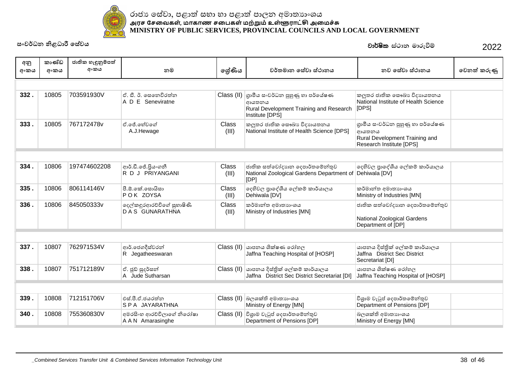

| අනු<br>අංකය | කාණ්ඩ<br>අංකය | ජාතික හැඳුනුම්පත්<br>අංකය | නම                                             | ලශ්ණිය         | වර්තමාන සේවා ස්ථානය                                                                                    | නව සේවා ස්ථානය                                                                                          | වෙනත් කරුණු |
|-------------|---------------|---------------------------|------------------------------------------------|----------------|--------------------------------------------------------------------------------------------------------|---------------------------------------------------------------------------------------------------------|-------------|
|             |               |                           |                                                |                |                                                                                                        |                                                                                                         |             |
| 332.        | 10805         | 703591930V                | ඒ, ඩී. ඊ. සෙනෙවිරත්ත<br>A D E Seneviratne      | Class (II)     | ගාමීය සංවර්ධන පුහුණු හා පර්යේෂණ<br>ආයතනය<br>Rural Development Training and Research<br>Institute [DPS] | කලුතර ජාතික සෞඛා විදාහයතනය<br>National Institute of Health Science<br>[DPS]                             |             |
| 333.        | 10805         | 767172478v                | ඒ පේ හේවගේ<br>A.J.Hewage                       | Class<br>(III) | කලුතර ජාතික සෞඛා විදාහයතනය<br>National Institute of Health Science [DPS]                               | ගුාමීය සංවර්ධන පුහුණු හා පර්යේෂණ<br>ආයතනය<br>Rural Development Training and<br>Research Institute [DPS] |             |
|             |               |                           |                                                |                |                                                                                                        |                                                                                                         |             |
| 334.        | 10806         | 197474602208              | ආර්.ඩී.ජේ.පියංගනී<br>R D J PRIYANGANI          | Class<br>(III) | ජාතික සත්වෝදාහන දෙපාර්තමේන්තුව<br>National Zoological Gardens Department of Dehiwala [DV]<br>[DP]      | දෙහිවල පුාදේශීය ලේකම් කාර්යාලය                                                                          |             |
| 335.        | 10806         | 806114146V                | පී.ඕ.කේ.සොයිසා<br>POK ZOYSA                    | Class<br>(III) | දෙහිවල පුාදේශීය ලේකම් කාර්යාලය<br>Dehiwala [DV]                                                        | කර්මාන්ත අමාතාහංශය<br>Ministry of Industries [MN]                                                       |             |
| 336.        | 10806         | 845050333v                | දෙල්කඳුරආරච්චිගේ සුභාෂිණි<br>DAS GUNARATHNA    | Class<br>(III) | කර්මාන්ත අමාතාහංශය<br>Ministry of Industries [MN]                                                      | ජාතික සත්වෝදාහන දෙපාර්තමේන්තුව<br>National Zoological Gardens<br>Department of [DP]                     |             |
|             |               |                           |                                                |                |                                                                                                        |                                                                                                         |             |
| 337.        | 10807         | 762971534V                | ආර්.ජෙගදීස්වරන්<br>R Jegatheeswaran            |                | $\textsf{Class}\left(\textsf{II}\right)$ යාපනය ශික්ෂණ රෝහල<br>Jaffna Teaching Hospital of [HOSP]       | යාපනය දිස්තික් ලේකම් කාර්යාලය<br>Jaffna District Sec District<br>Secretariat [DI]                       |             |
| 338.        | 10807         | 751712189V                | ඒ. ජූඩ් සුදර්සන්<br>A Jude Sutharsan           |                | Class (II)   යාපනය දිස්තික් ලේකම් කාර්යාලය<br>Jaffna District Sec District Secretariat [DI]            | යාපනය ශික්ෂණ රෝහල<br>Jaffna Teaching Hospital of [HOSP]                                                 |             |
|             |               |                           |                                                |                |                                                                                                        |                                                                                                         |             |
| 339.        | 10808         | 712151706V                | එස්.පී.ඒ.ජයරත්ත<br>SPA JAYARATHNA              |                | Class (II) බලශක්ති අමාතාහංශය<br>Ministry of Energy [MN]                                                | විශුාම වැටුප් දෙපාර්තමේන්තුව<br>Department of Pensions [DP]                                             |             |
| 340.        | 10808         | 755360830V                | අමරසිංහ ආරච්චිලාගේ නිරෝෂා<br>A A N Amarasinghe |                | Class (II) විශාම වැටුප් දෙපාර්තමේන්තුව<br>Department of Pensions [DP]                                  | බලශක්ති අමාතාහංශය<br>Ministry of Energy [MN]                                                            |             |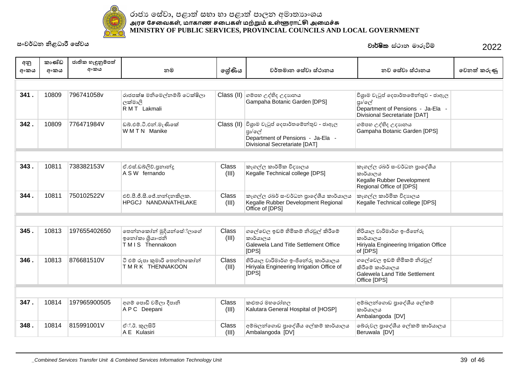

| අනු  | කාණ්ඩ | ජාතික හැඳුනුම්පත් |                                                                |                |                                                                                                                                                              |                                                                                                                     |             |
|------|-------|-------------------|----------------------------------------------------------------|----------------|--------------------------------------------------------------------------------------------------------------------------------------------------------------|---------------------------------------------------------------------------------------------------------------------|-------------|
| අංකය | අංකය  | අංකය              | නම                                                             | ලශ්ණිය         | වර්තමාන සේවා ස්ථානය                                                                                                                                          | නව සේවා ස්ථානය                                                                                                      | වෙනත් කරුණු |
|      |       |                   |                                                                |                |                                                                                                                                                              |                                                                                                                     |             |
| 341. | 10809 | 796741058v        | රාජපක්ෂ මනිමෙල්නම්බි ටෙක්ෂිලා<br>ලක්මාලි<br>R M T Lakmali      |                | Class (II) ගම්පහ උද්භිද උදාහනය<br>Gampaha Botanic Garden [DPS]                                                                                               | විශුාම වැටුප් දෙපාර්තමේන්තුව - ජාඇල<br>පුා/ලේ<br>Department of Pensions - Ja-Ela -<br>Divisional Secretariate [DAT] |             |
| 342. | 10809 | 776471984V        | ඩබ්.එම්.ටී.එන්.මැණිකේ<br>WMTN Manike                           |                | $\textsf{Class}\left(\textsf{II}\right)$ විශුාම වැටුප් දෙපාර්තමේන්තුව - ජාඇල<br>පුා/ලේ<br>Department of Pensions - Ja-Ela -<br>Divisional Secretariate [DAT] | ගම්පහ උද්භිද උදාහනය<br>Gampaha Botanic Garden [DPS]                                                                 |             |
|      |       |                   |                                                                |                |                                                                                                                                                              |                                                                                                                     |             |
| 343. | 10811 | 738382153V        | ඒ.එස්.ඩබ්ලිව්.පුනාන්දු<br>A S W fernando                       | Class<br>(III) | කෑගල්ල කාර්මික විදාහලය<br>Kegalle Technical college [DPS]                                                                                                    | කෑගල්ල රබර් සංවර්ධන පුාදේශීය<br>කාර්යාලය<br>Kegalle Rubber Development<br>Regional Office of [DPS]                  |             |
| 344. | 10811 | 750102522V        | එච්.පී.ජී.සී.ජේ.නන්දනකිලක.<br><b>HPGCJ NANDANATHILAKE</b>      | Class<br>(III) | කෑගල්ල රබර් සංවර්ධන පාදේශීය කාර්යාලය<br>Kegalle Rubber Development Regional<br>Office of [DPS]                                                               | කෑගල්ල කාර්මික විදාහලය<br>Kegalle Technical college [DPS]                                                           |             |
|      |       |                   |                                                                |                |                                                                                                                                                              |                                                                                                                     |             |
| 345. | 10813 | 197655402650      | තෙන්නකෝන් මුදියන්සේ්ලාගේ<br>ඉතෝකා ශූියාංජනි<br>TMIS Thennakoon | Class<br>(III) | ගලේවෙල ඉඩම් හිමිකම් නිරවුල් කිරීමේ<br>කාර්යාලය<br>Galewela Land Title Settlement Office<br>[DPS]                                                             | හිරියාල වාරිමාර්ග ඉංජිනේරු<br>කාර්යාලය<br>Hiriyala Engineering Irrigation Office<br>of [DPS]                        |             |
| 346. | 10813 | 876681510V        | ටි එම් රුපා කුමාරි තෙන්නකෝන්<br>TMRK THENNAKOON                | Class<br>(III) | හිරියාල වාරිමාර්ග ඉංජිනේරු කාර්යාලය<br>Hiriyala Engineering Irrigation Office of<br>[DPS]                                                                    | ගලේවෙල ඉඩම් හිමිකම් නිරවුල්<br>කිරීමේ කාර්යාලය<br>Galewela Land Title Settlement<br>Office [DPS]                    |             |
|      |       |                   |                                                                |                |                                                                                                                                                              |                                                                                                                     |             |
| 347. | 10814 | 197965900505      | අගම් පොඩි චමිලා දීපානි<br>A P C Deepani                        | Class<br>(III) | කළුතර මහරෝහල<br>Kalutara General Hospital of [HOSP]                                                                                                          | අම්බලන්ගොඩ පාදේශීය ලේකම්<br>කාර්යාලය<br>Ambalangoda [DV]                                                            |             |
| 348. | 10814 | 815991001V        | ඒ්.ඊ. කුලසිරි<br>A E Kulasiri                                  | Class<br>(III) | අම්බලන්ගොඩ පුාදේශීය ලේකම් කාර්යාලය<br>Ambalangoda [DV]                                                                                                       | බේරුවල පුාදේශීය ලේකම් කාර්යාලය<br>Beruwala [DV]                                                                     |             |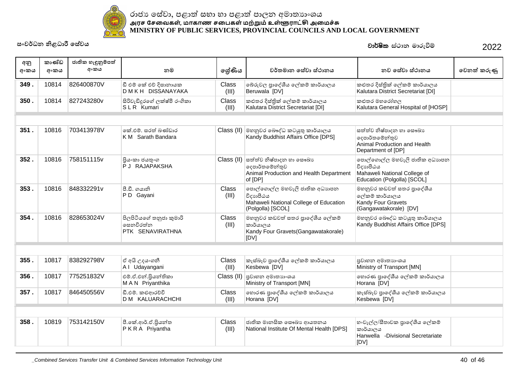

| අනු<br>අංකය | කාණ්ඩ<br>අංකය | ජාතික හැඳුනුම්පත්<br>අංකය | නම                                                       | ලශ්ණිය                | වර්තමාන සේවා ස්ථානය                                                                                       | නව සේවා ස්ථානය                                                                                            | වෙනත් කරුණු |
|-------------|---------------|---------------------------|----------------------------------------------------------|-----------------------|-----------------------------------------------------------------------------------------------------------|-----------------------------------------------------------------------------------------------------------|-------------|
| 349.        | 10814         | 826400870V                | ඩී එම් කේ එච් දිසානායක<br>D M K H DISSANAYAKA            | Class<br>(III)        | බේරුවල පුාදේශීය ලේකම් කාර්යාලය<br>Beruwala [DV]                                                           | කළුතර දිස්තික් ලේකම් කාර්යාලය<br>Kalutara District Secretariat [DI]                                       |             |
| 350.        | 10814         | 827243280v                | සිරිවැඩිදුරගේ ලක්ෂ්මි රංගිකා<br>SLR Kumari               | Class<br>(III)        | කළුතර දිස්තික් ලේකම් කාර්යාලය<br>Kalutara District Secretariat [DI]                                       | කළුතර මහරෝහල<br>Kalutara General Hospital of [HOSP]                                                       |             |
|             |               |                           |                                                          |                       |                                                                                                           |                                                                                                           |             |
| 351.        | 10816         | 703413978V                | කේ.එම්. සරත් බණ්ඩාර<br>K M Sarath Bandara                |                       | Class (II) මහනුවර බෞද්ධ කටයුතු කාර්යාලය<br>Kandy Buddhist Affairs Office [DPS]                            | සත්ත්ව නිෂ්පාදන හා සෞඛාා<br>දෙපාර්තමේන්තුව<br>Animal Production and Health<br>Department of [DP]          |             |
| 352.        | 10816         | 758151115v                | පියංකා ජයතුංග<br>P J RAJAPAKSHA                          | Class (II)            | සත්ත්ව නිෂ්පාදන හා සෞඛා<br>දෙපාර්තමේන්තුව<br>Animal Production and Health Department<br>of [DP]           | පොල්ගොල්ල මහවැලි ජාතික අධාහපන<br>විදාහපීඨය<br>Mahaweli National College of<br>Education (Polgolla) [SCOL] |             |
| 353.        | 10816         | 848332291v                | පී.ඩී. ගයානි<br>PD Gayani                                | Class<br>(III)        | පොල්ගොල්ල මහවැලි ජාතික අධාහපන<br>විදාහපීඨය<br>Mahaweli National College of Education<br>(Polgolla) [SCOL] | මහනුවර කඩවත් සතර පාදේශීය<br>ලේකම් කාර්යාලය<br>Kandy Four Gravets<br>(Gangawatakorale) [DV]                |             |
| 354.        | 10816         | 828653024V                | පිලපිටියගේ තනුජා කුමාරි<br>සෙනවිරත්න<br>PTK SENAVIRATHNA | <b>Class</b><br>(III) | මහනුවර කඩවත් සතර පාදේශීය ලේකම්<br>කාර්යාලය<br>Kandy Four Gravets (Gangawatakorale)<br>[DV]                | මහනුවර බෞද්ධ කටයුතු කාර්යාලය<br>Kandy Buddhist Affairs Office [DPS]                                       |             |
|             |               |                           |                                                          |                       |                                                                                                           |                                                                                                           |             |
| 355.        | 10817         | 838292798V                | ඒ අයි උදයංගනී<br>A I Udayangani                          | Class<br>(III)        | කැස්බෑව පාදේශීය ලේකම් කාර්යාලය<br>Kesbewa [DV]                                                            | පුවාහන අමාතාහංශය<br>Ministry of Transport [MN]                                                            |             |
| 356.        | 10817         | 775251832V                | එම්.ඒ.එන්.පියන්තිකා<br>MAN Priyanthika                   | Class (II)            | පුවාහන අමාතාහංශය<br>Ministry of Transport [MN]                                                            | හොරණ පුාදේශීය ලේකම් කාර්යාලය<br>Horana [DV]                                                               |             |
| 357.        | 10817         | 846450556V                | ඩී.එම්. කළුආරච්චි<br>D M KALUARACHCHI                    | Class<br>(III)        | හොරණ පාදේශීය ලේකම් කාර්යාලය<br>Horana [DV]                                                                | කැස්බෑව පාදේශීය ලේකම් කාර්යාලය<br>Kesbewa [DV]                                                            |             |
|             |               |                           |                                                          |                       |                                                                                                           |                                                                                                           |             |
| 358.        | 10819         | 753142150V                | පී.කේ.ආර්.ඒ.පියන්ත<br>PKRA Priyantha                     | <b>Class</b><br>(III) | ජාතික මානසික සෞඛා ආයතනය<br>National Institute Of Mental Health [DPS]                                      | හංවැල්ල/සීතාවක පුාදේශීය ලේකම්<br>කාර්යාලය<br>Hanwella -Divisional Secretariate<br>[DV]                    |             |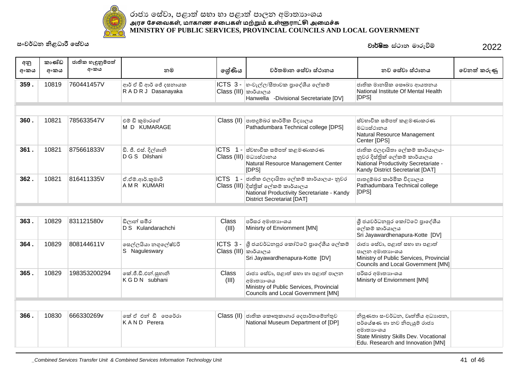

| අනු<br>අංකය | කාණ්ඩ<br>අංකය | ජාතික හැඳුනුම්පත්<br>අංකය | නම                                             | ලේණිය                             | වර්තමාන සේවා ස්ථානය                                                                                                                                                    | නව සේවා ස්ථානය                                                                                                                                             | වෙනත් කරුණු |
|-------------|---------------|---------------------------|------------------------------------------------|-----------------------------------|------------------------------------------------------------------------------------------------------------------------------------------------------------------------|------------------------------------------------------------------------------------------------------------------------------------------------------------|-------------|
| 359.        | 10819         | 760441457V                | ආර් ඒ ඩී ආර් ජේ දසනායක<br>R A D R J Dasanayaka | $Class (III)$ කාර්යාලය            | ICTS 3 -  හංවැල්ල/සීතාවක පුාදේශීය ලේකම්<br>Hanwella -Divisional Secretariate [DV]                                                                                      | ජාතික මානසික සෞඛා ආයතනය<br>National Institute Of Mental Health<br>[DPS]                                                                                    |             |
|             |               |                           |                                                |                                   |                                                                                                                                                                        |                                                                                                                                                            |             |
| 360.        | 10821         | 785633547V                | එම් ඩි කුමාරගේ<br>M D KUMARAGE                 |                                   | Class (II) පාතදූම්බර කාර්මික විදාහලය<br>Pathadumbara Technical college [DPS]                                                                                           | ස්වහාවික සම්පත් කළමණාකරණ<br>මධාසේථානය<br>Natural Resource Management<br>Center [DPS]                                                                       |             |
| 361.        | 10821         | 875661833V                | ඩි. ජී. එස්. දිල්ශානි<br>D G S Dilshani        | ICTS 1-                           | ස්වභාවික සම්පත් කළමණාකරණ<br>Class (III) මධාසේථානය<br>Natural Resource Management Center<br>[DPS]                                                                       | ජාතික ඵලදායිතා ලේකම් කාර්යාලය-<br>නුවර දිස්තික් ලේකම් කාර්යාලය<br>National Productivity Secretariate -<br>Kandy District Secretariat [DAT]                 |             |
| 362.        | 10821         | 816411335V                | ඒ.ඒම්.ආර්.කුමාරි<br>A M R KUMARI               |                                   | ICTS 1 - ජාතික ඵලදායිතා ලේකම් කාර්යාලය- නුවර<br>Class (III) දිස්තික් ලේකම් කාර්යාලය<br>National Productivity Secretariate - Kandy<br><b>District Secretariat [DAT]</b> | පාතදූම්බර කාර්මික විදාහලය<br>Pathadumbara Technical college<br>[DFS]                                                                                       |             |
|             |               |                           |                                                |                                   |                                                                                                                                                                        |                                                                                                                                                            |             |
| 363.        | 10829         | 831121580v                | ඩිලාන් සමීර<br>D S Kulandarachchi              | Class<br>(III)                    | පරිසර අමාතාහංශය<br>Minisrty of Enviornment [MN]                                                                                                                        | ශී ජයවර්ධනපුර කෝට්ටේ පාදේශීය<br>ලේකම් කාර්යාලය<br>Sri Jayawardhenapura-Kotte [DV]                                                                          |             |
| 364.        | 10829         | 808144611V                | සෙල්ලයියා නගුලේෂ්වරි<br>S Naguleswary          | ICTS 3-<br>$Class (III)$ කාර්යාලය | ශී ජයවර්ධනපුර කෝට්ටේ පාදේශීය ලේකම්<br>Sri Jayawardhenapura-Kotte [DV]                                                                                                  | රාජා සේවා, පළාත් සභා හා පළාත්<br>පාලන අමාතනංශය<br>Ministry of Public Services, Provincial<br>Councils and Local Government [MN]                            |             |
| 365.        | 10829         | 198353200294              | කේ.ජී.ඩී.එන්.සුහානි<br>K G D N subhani         | Class<br>(III)                    | රාජා සේවා, පළාත් සභා හා පළාත් පාලන<br>අමාතාහංශය<br>Ministry of Public Services, Provincial<br>Councils and Local Government [MN]                                       | පරිසර අමාතාහංශය<br>Minisrty of Enviornment [MN]                                                                                                            |             |
|             |               |                           |                                                |                                   |                                                                                                                                                                        |                                                                                                                                                            |             |
| 366.        | 10830         | 666330269v                | කේ ඒ එන් ඩී පෙරේරා<br>KAND Perera              |                                   | Class (II) ජාතික කෞතුකාගාර දෙපාර්තමේන්තුව<br>National Museum Department of [DP]                                                                                        | නිපුණතා සංවර්ධන, වෘත්තීය අධාහපන,<br>පර්යේෂණ හා නව නිපැයුම් රාජා<br>අමාතාහංශය<br>State Ministry Skills Dev. Vocational<br>Edu. Research and Innovation [MN] |             |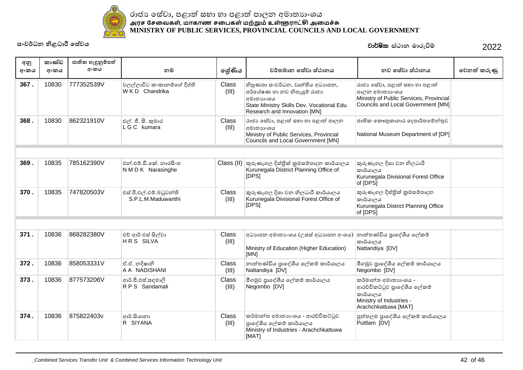

#### ˡ˫ˉɕ˳˦ʢˣ˫˚˨˫Ʈ˦˝˫˧˫˚˨˫Ʈ˚˫ˢ˘ʯ˞˫˔ɕ˫ʭˤˠ <u>அரச சேவைகள், மாகாண சபைகள் மற்றும் உள்ளூராட்சி அமைச்சு</u> **MINISTRY OF PUBLIC SERVICES, PROVINCIAL COUNCILS AND LOCAL GOVERNMENT**

| අනු  | කාණ්ඩ | ජාතික හැඳුනුම්පත්<br>අංකය |                                               |                       | වර්තමාන සේවා ස්ථානය                                                                                                                                        | නව සේවා ස්ථානය                                                                                                                   |             |
|------|-------|---------------------------|-----------------------------------------------|-----------------------|------------------------------------------------------------------------------------------------------------------------------------------------------------|----------------------------------------------------------------------------------------------------------------------------------|-------------|
| අංකය | අංකය  |                           | නම                                            | ලේණිය                 |                                                                                                                                                            |                                                                                                                                  | වෙනත් කරුණු |
| 367. | 10830 | 777352539V                | වලල්ලාවිට කංකානම්ගේ දීප්ති<br>WKD Chandrika   | <b>Class</b><br>(III) | නිපුණතා සංවර්ධන, වෘත්තීය අධාහපන,<br>පර්යේෂණ හා නව නිපැයුම් රාජා<br>අමාතාහංශය<br>State Ministry Skills Dev. Vocational Edu.<br>Research and Innovation [MN] | රාජා සේවා, පළාත් සභා හා පළාත්<br>පාලන අමාතාහංශය<br>Ministry of Public Services, Provincial<br>Councils and Local Government [MN] |             |
| 368. | 10830 | 862321910V                | එල්. ජී. සී. කුමාර<br>LGC kumara              | <b>Class</b><br>(III) | රාජා සේවා, පළාත් සභා හා පළාත් පාලන<br>අමාතාහංශය<br>Ministry of Public Services, Provincial<br>Councils and Local Government [MN]                           | ජාතික කෞතුකාගාර දෙපාර්තමේන්තුව<br>National Museum Department of [DP]                                                             |             |
|      |       |                           |                                               |                       |                                                                                                                                                            |                                                                                                                                  |             |
| 369. | 10835 | 785162390V                | එන් එම්.ඩී.කේ. නාරසිංහ<br>N M D K Narasinghe  |                       | $\textsf{Class}\left(\textsf{II}\right)$ කුරුණෑගල දිස්තික් කුමසම්පාදන කාර්යාලය<br>Kurunegala District Planning Office of<br>[DFS]                          | කුරුණෑගල දිසා වන නිලධාරී<br>කාර්යාලය<br>Kurunegala Divisional Forest Office<br>of [DPS]                                          |             |
| 370. | 10835 | 747820503V                | එස්.පී.එල්.එම්.මධුවන්ති<br>S.P.L.M.Maduwanthi | Class<br>(III)        | කුරුණෑගල දිසා වන නිලධාරී කාර්යාලය<br>Kurunegala Divisional Forest Office of<br>[DPS]                                                                       | කුරුණෑගල දිස්තික් කුමසම්පාදන<br>කාර්යාලය<br>Kurunegala District Planning Office<br>of [DPS]                                      |             |
|      |       |                           |                                               |                       |                                                                                                                                                            |                                                                                                                                  |             |
| 371. | 10836 | 868282380V                | එව් ආර් එස් සිල්වා<br>HRS SILVA               | Class<br>(III)        | අධාහපන අමාතාගයෙ (උසස් අධාහපන අංශය)<br>Ministry of Education (Higher Education)<br>[MN]                                                                     | නාත්තණ්ඩිය පාදේශීය ලේකම්<br>කාර්යාලය<br>Nattandiya [DV]                                                                          |             |
| 372. | 10836 | 858053331V                | ඒ.ඒ. නදිෂානි<br>A A NADISHANI                 | Class<br>(III)        | නාත්තණ්ඩිය පුාදේශීය ලේකම් කාර්යාලය<br>Nattandiya [DV]                                                                                                      | මීගමුව පාදේශීය ලේකම් කාර්යාලය<br>Negombo [DV]                                                                                    |             |
| 373. | 10836 | 877573206V                | ආර්.පී.එස්.සඳමාලි<br>RPS Sandamali            | <b>Class</b><br>(III) | මීගමුව පාදේශීය ලේකම් කාර්යාලය<br>Negombo [DV]                                                                                                              | කර්මාන්ත අමාතාහංශය -<br>ආරච්චිකට්ටුව පාදේශීය ලේකම්<br>කාර්යාලය<br>Ministry of Industries -<br>Arachchkattuwa [MAT]               |             |
| 374. | 10836 | 875822403v                | ආර්.සියානා<br>R SIYANA                        | <b>Class</b><br>(III) | කර්මාන්ත අමාතාහංශය - ආරච්චිකට්ටුව<br>පාදේශීය ලේකම් කාර්යාලය<br>Ministry of Industries - Arachchkattuwa<br>[MAT]                                            | පුත්තලම පාදේශීය ලේකම් කාර්යාලය<br>Puttlam [DV]                                                                                   |             |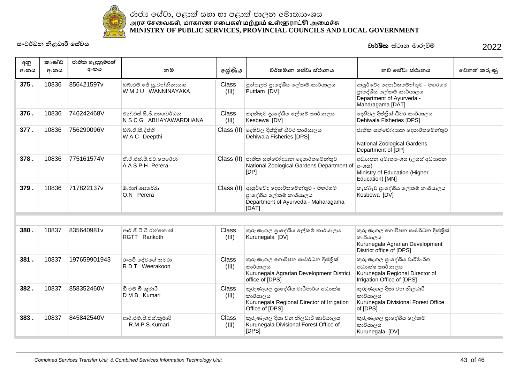

| අනු<br>අංකය | කාණ්ඩ<br>අංකය | ජාතික හැඳුනුම්පත්<br>අංකය | නම                                               | ලේණිය          | වර්තමාන සේවා ස්ථානය                                                                                                           | නව සේවා ස්ථානය                                                                                                  | වෙනත් කරුණු |
|-------------|---------------|---------------------------|--------------------------------------------------|----------------|-------------------------------------------------------------------------------------------------------------------------------|-----------------------------------------------------------------------------------------------------------------|-------------|
| 375.        | 10836         | 856421597v                | ඩබ්.එම්.ජේ.ශූ.වන්නිනායක<br>W M J U WANNINAYAKA   | Class<br>(III) | පුත්තලම පාදේශීය ලේකම් කාර්යාලය<br>Puttlam [DV]                                                                                | ආයුර්වේද දෙපාර්තමේන්තුව - මහරගම<br>පාදේශීය ලේකම් කාර්යාලය<br>Department of Ayurveda -<br>Maharagama [DAT]       |             |
| 376.        | 10836         | 746242468V                | එන්.එස්.සී.ජී.අභයවර්ධන<br>N S C G ABHAYAWARDHANA | Class<br>(III) | කැස්බෑව පුාදේශීය ලේකම් කාර්යාලය<br>Kesbewa [DV]                                                                               | දෙහිවල දිස්තික් ධීවර කාර්යාලය<br>Dehiwala Fisheries [DPS]                                                       |             |
| 377.        | 10836         | 756290096V                | ඩබූ.ඒ.සී.දීප්ති<br>W A C Deepthi                 | Class $(II)$   | දෙහිවල දිස්තික් ධීවර කාර්යාලය<br>Dehiwala Fisheries [DPS]                                                                     | ජාතික සත්වෝදාහන දෙපාර්තමේන්තුව<br>National Zoological Gardens<br>Department of [DP]                             |             |
| 378.        | 10836         | 775161574V                | ඒ.ඒ.එස්.පී.එච්.පෙරේරා<br>AASPH Perera            |                | Class (II) ජාතික සත්වෝදාහන දෙපාර්තමේන්තුව<br>National Zoological Gardens Department of<br>[DP]                                | අධාහපන අමාතාංශය (උසස් අධාහපන<br>$\vert$ േശക<br>Ministry of Education (Higher<br>Education) [MN]                 |             |
| 379.        | 10836         | 717822137v                | ඕ.එන්.පෙරේරා<br>O.N Perera                       |                | $\text{Class (II)}$ ආයුර්වේද දෙපාර්තමේන්තුව - මහරගම<br>පාදේශීය ලේකම් කාර්යාලය<br>Department of Ayurveda - Maharagama<br>[DAT] | කැස්බෑව පාදේශීය ලේකම් කාර්යාලය<br>Kesbewa [DV]                                                                  |             |
|             |               |                           |                                                  |                |                                                                                                                               |                                                                                                                 |             |
| 380.        | 10837         | 835640981v                | ආර් ජී ටී ටී රන්කොත්<br>RGTT Rankoth             | Class<br>(III) | කුරුණෑගල පුාදේශීය ලේකම් කාර්යාලය<br>Kurunegala [DV]                                                                           | කුරුණෑගල ගොවිජන සංවර්ධන දිස්තික්<br>කාර්යාලය<br>Kurunegala Agrarian Development<br>District office of [DPS]     |             |
| 381.        | 10837         | 197659901943              | රංපටි දේවගේ තමරා<br>RDT Weerakoon                | Class<br>(III) | කුරුණෑගල ගොවිජන සංවර්ධන දිස්තික්<br>කාර්යාලය<br>Kurunegala Agrarian Development District<br>office of [DPS]                   | කුරුණෑගල පුාදේශීය වාරිමාර්ග<br>අධාතේෂ කාර්යාලය<br>Kurunegala Regional Director of<br>Irrigation Office of [DPS] |             |
| 382.        | 10837         | 858352460V                | ඩී එම් බී කුමාරි<br>D M B Kumari                 | Class<br>(III) | කුරුණෑගල පාදේශීය වාරිමාර්ග අධාහක්ෂ<br>කාර්යාලය<br>Kurunegala Regional Director of Irrigation<br>Office of [DPS]               | කුරුණෑගල දිසා වන නිලධාරී<br>කාර්යාලය<br>Kurunegala Divisional Forest Office<br>of [DPS]                         |             |
| 383.        | 10837         | 845842540V                | ආර්.එම්.පී.එස්.කුමාරි<br>R.M.P.S.Kumari          | Class<br>(III) | කුරුණෑගල දිසා වන නිලධාරී කාර්යාලය<br>Kurunegala Divisional Forest Office of<br>[DPS]                                          | කුරුණෑගල පුාදේශීය ලේකම්<br>කාර්යාලය<br>Kurunegala [DV]                                                          |             |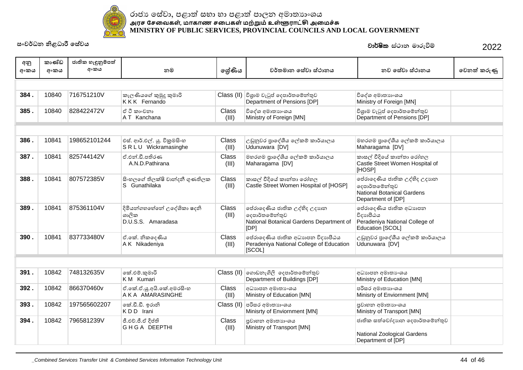

| අනු  | කාණ්ඩ | ජාතික හැඳුනුම්පත් |                                                           |                       |                                                                                                     |                                                                                                    |             |
|------|-------|-------------------|-----------------------------------------------------------|-----------------------|-----------------------------------------------------------------------------------------------------|----------------------------------------------------------------------------------------------------|-------------|
| අංකය | අංකය  | අංකය              | නම                                                        | ලශ්ණිය                | වර්තමාන සේවා ස්ථානය                                                                                 | නව සේවා ස්ථානය                                                                                     | වෙනත් කරුණු |
|      |       |                   |                                                           |                       |                                                                                                     |                                                                                                    |             |
| 384. | 10840 | 716751210V        | කැලණියගේ කුමුදු කුමාරි<br>KKK Fernando                    |                       | Class (II) විශාම වැටුප් දෙපාර්තමේන්තුව<br>Department of Pensions [DP]                               | විදේශ අමාතාහංශය<br>Ministry of Foreign [MN]                                                        |             |
| 385. | 10840 | 828422472V        | ඒ ටී කාංචනා<br>A T Kanchana                               | Class<br>(III)        | විදේශ අමාතාහංශය<br>Ministry of Foreign [MN]                                                         | විශුාම වැටුප් දෙපාර්තමේන්තුව<br>Department of Pensions [DP]                                        |             |
|      |       |                   |                                                           |                       |                                                                                                     |                                                                                                    |             |
| 386. | 10841 | 198652101244      | එස්. ආර්.එල්. යු. විකුමසිංහ<br>SRLU Wickramasinghe        | Class<br>(III)        | උඩුනුවර පාදේශීය ලේකම් කාර්යාලය<br>Udunuwara [DV]                                                    | මහරගම පාදේශීය ලේකම් කාර්යාලය<br>Maharagama [DV]                                                    |             |
| 387. | 10841 | 825744142V        | ඒ.එන්.ඩී.පතිරණ<br>A.N.D.Pathirana                         | Class<br>(III)        | මහරගම පාදේශීය ලේකම් කාර්යාලය<br>Maharagama [DV]                                                     | කාසල් වීදියේ කාන්තා රෝහල<br>Castle Street Women Hospital of<br>[HOSP]                              |             |
| 388. | 10841 | 807572385V        | සිංහලගේ තිලක්ෂි වාන්දනී ගුණතිලක<br>S Gunathilaka          | Class<br>(III)        | කාසල් වීදියේ කාන්තා රෝහල<br>Castle Street Women Hospital of [HOSP]                                  | ජේරාදෙණිය ජාතික උද්භිද උදාහන<br>දෙපාර්තමේන්තුව<br>National Botanical Gardens<br>Department of [DP] |             |
| 389. | 10841 | 875361104V        | දිමියන්ගහහේතේ උදේශිකා ෂදනි<br>ශාලික<br>D.U.S.S. Amaradasa | Class<br>(III)        | පේරාදෙණිය ජාතික උද්භිද උදාහන<br> ලදපාර්තමේන්තුව<br>National Botanical Gardens Department of<br>[DP] | පේරාදෙණිය ජාතික අධාහපත<br>විදාහපීඨය<br>Peradeniya National College of<br>Education [SCOL]          |             |
| 390. | 10841 | 837733480V        | ඒ.කේ. නිකදෙණිය<br>A K Nikadeniya                          | Class<br>(III)        | පේරාදෙණිය ජාතික අධාහපන විදාහපීඨය<br>Peradeniya National College of Education<br>[SCOL]              | උඩුනුවර පාදේශීය ලේකම් කාර්යාලය<br>Udunuwara [DV]                                                   |             |
|      |       |                   |                                                           |                       |                                                                                                     |                                                                                                    |             |
| 391. | 10842 | 748132635V        | කේ.එම්.කුමාරි<br>K M Kumari                               |                       | $\text{Class (II)}$ ගොඩනැගිලි දෙපාර්තමේන්තුව<br>Department of Buildings [DP]                        | අධාහපන අමාතා ශය<br>Ministry of Education [MN]                                                      |             |
| 392. | 10842 | 866370460v        | ඒ.කේ.ඒ.යූ.අයි.කේ.අමරසිංහ<br>A K A AMARASINGHE             | Class<br>(III)        | අධාහපන අමාතා ශය<br>Ministry of Education [MN]                                                       | පරිසර අමාතාහංශය<br>Minisrty of Enviornment [MN]                                                    |             |
| 393. | 10842 | 197565602207      | කේ.ඩී.ඩී. ඉරානි<br>KDD Irani                              | Class (II)            | පරිසර අමාතාහංශය<br>Minisrty of Enviornment [MN]                                                     | පුවාහන අමාතාහංශය<br>Ministry of Transport [MN]                                                     |             |
| 394. | 10842 | 796581239V        | ජී.එච්.ජී.ඒ දීප්ති<br>GHGA DEEPTHI                        | <b>Class</b><br>(III) | පුවාහන අමාතාහංශය<br>Ministry of Transport [MN]                                                      | ජාතික සත්වෝදාහන දෙපාර්තමේන්තුව<br>National Zoological Gardens<br>Department of [DP]                |             |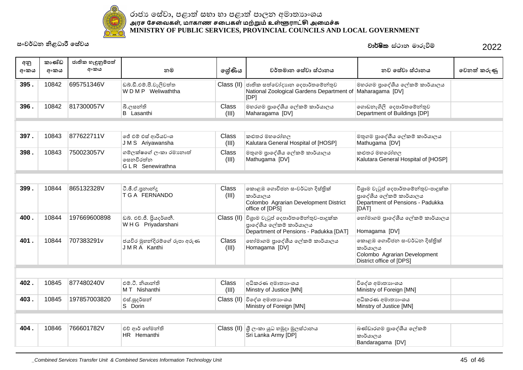

| අනු<br>අංකය | කාණ්ඩ<br>අංකය | ජාතික හැඳුනුම්පත්<br>අංකය | නම                                                              | ලශ්ණිය         | වර්තමාන සේවා ස්ථානය                                                                                                 | නව සේවා ස්ථානය                                                                                              | වෙනත් කරුණු |
|-------------|---------------|---------------------------|-----------------------------------------------------------------|----------------|---------------------------------------------------------------------------------------------------------------------|-------------------------------------------------------------------------------------------------------------|-------------|
| 395.        | 10842         | 695751346V                | ඩබ්.ඩී.එම්.පී.වැලිවත්ත<br>WDMP Weliwaththa                      |                | Class (II) ජාතික සත්වෝදාහන දෙපාර්තමේන්තුව<br>National Zoological Gardens Department of Maharagama [DV]<br>[IDP]     | මහරගම පාදේශීය ලේකම් කාර්යාලය                                                                                |             |
| 396.        | 10842         | 817300057V                | බී.ලසන්ති<br><b>B</b> Lasanthi                                  | Class<br>(III) | මහරගම පුාදේශීය ලේකම් කාර්යාලය<br>Maharagama [DV]                                                                    | ගොඩනැගිලි දෙපාර්තමේන්තුව<br>Department of Buildings [DP]                                                    |             |
|             |               |                           |                                                                 |                |                                                                                                                     |                                                                                                             |             |
| 397.        | 10843         | 877622711V                | ජේ එම් එස් ආරියවංශ<br>JMS Ariyawansha                           | Class<br>(III) | කළුතර මහරෝහල<br>Kalutara General Hospital of [HOSP]                                                                 | මතුගම පුාදේශීය ලේකම් කාර්යාලය<br>Mathugama [DV]                                                             |             |
| 398.        | 10843         | 750023057V                | ගම්ලක්ෂගේ ලංකා රමාානාත්<br>සෙනවිරත්න<br><b>GLR</b> Senewirathna | Class<br>(III) | මතුගම පුාදේශීය ලේකම් කාර්යාලය<br>Mathugama [DV]                                                                     | කළුතර මහරෝහල<br>Kalutara General Hospital of [HOSP]                                                         |             |
|             |               |                           |                                                                 |                |                                                                                                                     |                                                                                                             |             |
| 399.        | 10844         | 865132328V                | ටී.ඡී.ඒ.පුනාන්දු<br><b>T G A FERNANDO</b>                       | Class<br>(III) | කොළඹ ගොවිජන සංවර්ධන දිස්තික්<br>කාර්යාලය<br>Colombo Agrarian Development District<br>office of [DPS]                | විශුාම වැටූප් දෙපාර්තමේන්තුව-පාදූක්ක<br>පාදේශීය ලේකම් කාර්යාලය<br>Department of Pensions - Padukka<br>[DAT] |             |
| 400.        | 10844         | 197669600898              | ඩබ්. එච්.ජී. පියදර්ශනී.<br>WHG Priyadarshani                    |                | Class (II) විශුාම වැටුප් දෙපාර්තමේන්තුව-පාදුක්ක<br>පාදේශීය ලේකම් කාර්යාලය<br>Department of Pensions - Padukka [DAT] | හෝමාගම පුාදේශීය ලේකම් කාර්යාලය<br>Homagama [DV]                                                             |             |
| 401.        | 10844         | 707383291v                | ජයවිර මුහන්දිරම්ගේ රූපා අරුණ<br>JMRA Kanthi                     | Class<br>(III) | හෝමාගම පුාදේශීය ලේකම් කාර්යාලය<br>Homagama [DV]                                                                     | කොළඹ ගොවිජන සංවර්ධන දිස්තික්<br>කාර්යාලය<br>Colombo Agrarian Development<br>District office of [DPS]        |             |
|             |               |                           |                                                                 |                |                                                                                                                     |                                                                                                             |             |
| 402.        | 10845         | 877480240V                | එම්.ටී. නිශාන්ති<br>M T Nishanthi                               | Class<br>(III) | අධිකරණ අමාතාහංශය<br>Minstry of Justice [MN]                                                                         | විදේශ අමාතාහංශය<br>Ministry of Foreign [MN]                                                                 |             |
| 403.        | 10845         | 197857003820              | එස්.සුදර්සන්<br>S Dorin                                         |                | Class (II) විදේශ අමාතාහංශය<br>Ministry of Foreign [MN]                                                              | අධිකරණ අමාතාහංශය<br>Minstry of Justice [MN]                                                                 |             |
|             |               |                           |                                                                 |                |                                                                                                                     |                                                                                                             |             |
| 404.        | 10846         | 766601782V                | එච් ආර් හේමන්ති<br>HR Hemanthi                                  |                | Class (II)  යු ලංකා යුධ හමුදා මූලස්ථානය<br>Sri Lanka Army [DP]                                                      | බණ්ඩාරගම පාදේශීය ලේකම්<br>කාර්යාලය<br>Bandaragama [DV]                                                      |             |